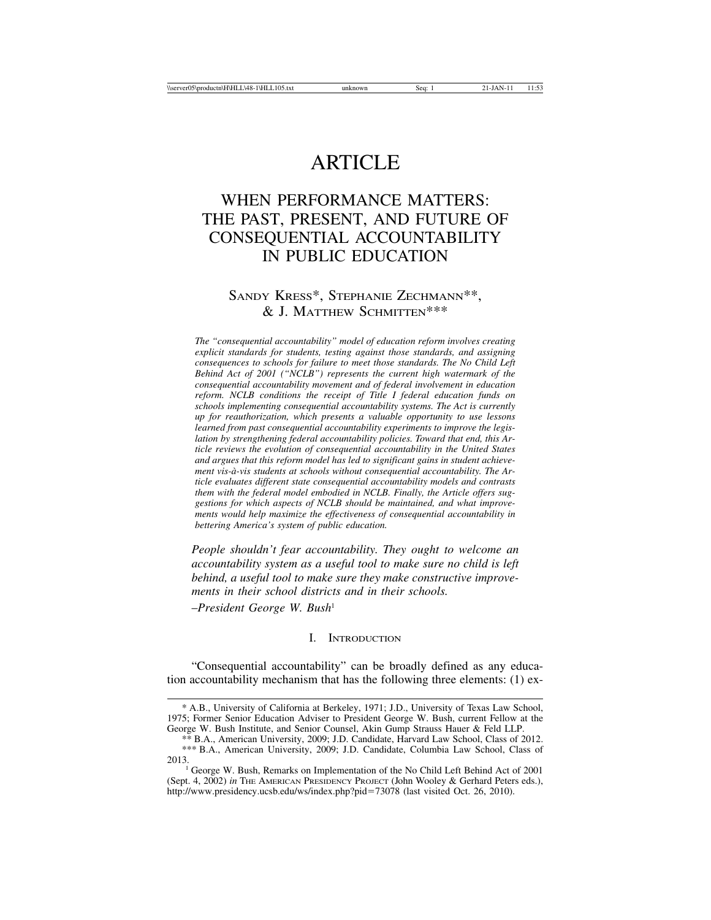# ARTICLE

## WHEN PERFORMANCE MATTERS: THE PAST, PRESENT, AND FUTURE OF CONSEQUENTIAL ACCOUNTABILITY IN PUBLIC EDUCATION

### SANDY KRESS\*, STEPHANIE ZECHMANN\*\*, & J. MATTHEW SCHMITTEN\*\*\*

*The "consequential accountability" model of education reform involves creating explicit standards for students, testing against those standards, and assigning consequences to schools for failure to meet those standards. The No Child Left Behind Act of 2001 ("NCLB") represents the current high watermark of the consequential accountability movement and of federal involvement in education reform. NCLB conditions the receipt of Title I federal education funds on schools implementing consequential accountability systems. The Act is currently up for reauthorization, which presents a valuable opportunity to use lessons learned from past consequential accountability experiments to improve the legislation by strengthening federal accountability policies. Toward that end, this Article reviews the evolution of consequential accountability in the United States and argues that this reform model has led to significant gains in student achieve*ment vis-à-vis students at schools without consequential accountability. The Ar*ticle evaluates different state consequential accountability models and contrasts them with the federal model embodied in NCLB. Finally, the Article offers suggestions for which aspects of NCLB should be maintained, and what improvements would help maximize the effectiveness of consequential accountability in bettering America's system of public education.*

*People shouldn't fear accountability. They ought to welcome an accountability system as a useful tool to make sure no child is left behind, a useful tool to make sure they make constructive improvements in their school districts and in their schools.* –*President George W. Bush*<sup>1</sup>

#### I. INTRODUCTION

"Consequential accountability" can be broadly defined as any education accountability mechanism that has the following three elements: (1) ex-

<sup>\*</sup> A.B., University of California at Berkeley, 1971; J.D., University of Texas Law School, 1975; Former Senior Education Adviser to President George W. Bush, current Fellow at the George W. Bush Institute, and Senior Counsel, Akin Gump Strauss Hauer & Feld LLP.

<sup>\*\*</sup> B.A., American University, 2009; J.D. Candidate, Harvard Law School, Class of 2012. \*\*\* B.A., American University, 2009; J.D. Candidate, Columbia Law School, Class of

<sup>&</sup>lt;sup>1</sup> George W. Bush, Remarks on Implementation of the No Child Left Behind Act of 2001 (Sept. 4, 2002) *in* THE AMERICAN PRESIDENCY PROJECT (John Wooley & Gerhard Peters eds.), http://www.presidency.ucsb.edu/ws/index.php?pid=73078 (last visited Oct. 26, 2010).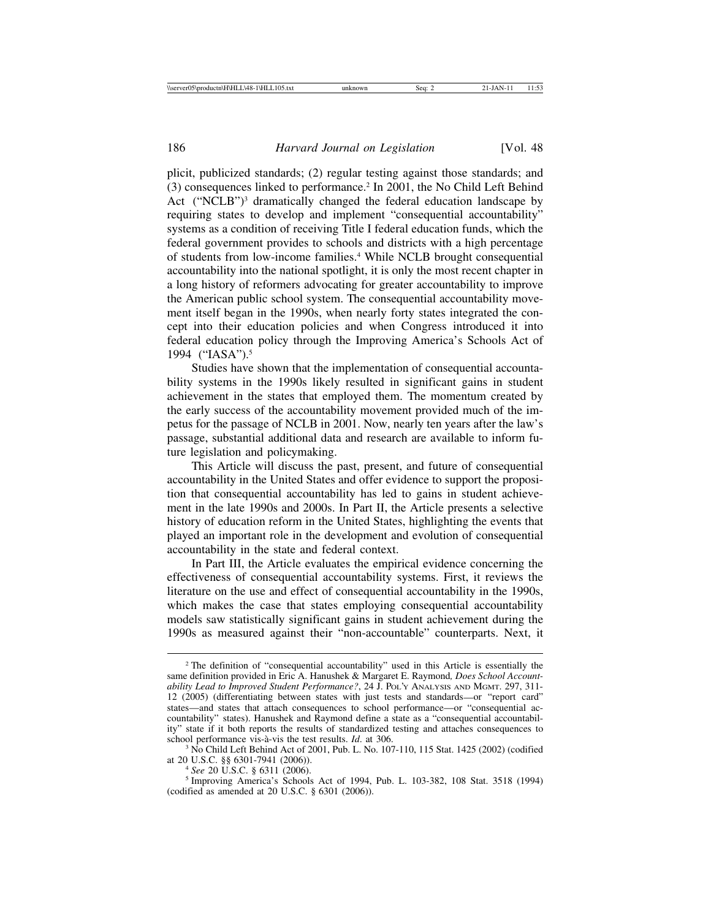plicit, publicized standards; (2) regular testing against those standards; and (3) consequences linked to performance.2 In 2001, the No Child Left Behind Act ("NCLB")<sup>3</sup> dramatically changed the federal education landscape by requiring states to develop and implement "consequential accountability" systems as a condition of receiving Title I federal education funds, which the federal government provides to schools and districts with a high percentage of students from low-income families.4 While NCLB brought consequential accountability into the national spotlight, it is only the most recent chapter in a long history of reformers advocating for greater accountability to improve the American public school system. The consequential accountability movement itself began in the 1990s, when nearly forty states integrated the concept into their education policies and when Congress introduced it into federal education policy through the Improving America's Schools Act of 1994 ("IASA").5

Studies have shown that the implementation of consequential accountability systems in the 1990s likely resulted in significant gains in student achievement in the states that employed them. The momentum created by the early success of the accountability movement provided much of the impetus for the passage of NCLB in 2001. Now, nearly ten years after the law's passage, substantial additional data and research are available to inform future legislation and policymaking.

This Article will discuss the past, present, and future of consequential accountability in the United States and offer evidence to support the proposition that consequential accountability has led to gains in student achievement in the late 1990s and 2000s. In Part II, the Article presents a selective history of education reform in the United States, highlighting the events that played an important role in the development and evolution of consequential accountability in the state and federal context.

In Part III, the Article evaluates the empirical evidence concerning the effectiveness of consequential accountability systems. First, it reviews the literature on the use and effect of consequential accountability in the 1990s, which makes the case that states employing consequential accountability models saw statistically significant gains in student achievement during the 1990s as measured against their "non-accountable" counterparts. Next, it

<sup>2</sup> The definition of "consequential accountability" used in this Article is essentially the same definition provided in Eric A. Hanushek & Margaret E. Raymond*, Does School Accountability Lead to Improved Student Performance?*, 24 J. POL'Y ANALYSIS AND MGMT. 297, 311- 12 (2005) (differentiating between states with just tests and standards—or "report card" states—and states that attach consequences to school performance—or "consequential accountability" states). Hanushek and Raymond define a state as a "consequential accountability" state if it both reports the results of standardized testing and attaches consequences to

school performance vis-à-vis the test results. *Id.* at 306.<br><sup>3</sup> No Child Left Behind Act of 2001, Pub. L. No. 107-110, 115 Stat. 1425 (2002) (codified at 20 U.S.C. §§ 6301-7941 (2006)).

<sup>&</sup>lt;sup>4</sup> See 20 U.S.C. § 6311 (2006). <sup>5</sup> Improving America's Schools Act of 1994, Pub. L. 103-382, 108 Stat. 3518 (1994) (codified as amended at 20 U.S.C. § 6301 (2006)).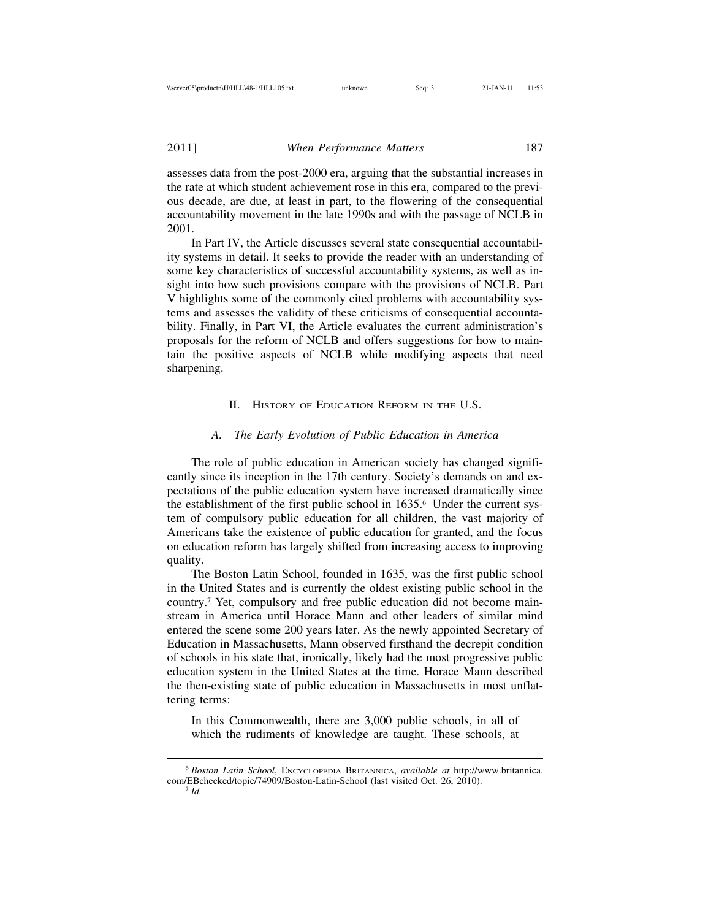assesses data from the post-2000 era, arguing that the substantial increases in the rate at which student achievement rose in this era, compared to the previous decade, are due, at least in part, to the flowering of the consequential accountability movement in the late 1990s and with the passage of NCLB in 2001.

In Part IV, the Article discusses several state consequential accountability systems in detail. It seeks to provide the reader with an understanding of some key characteristics of successful accountability systems, as well as insight into how such provisions compare with the provisions of NCLB. Part V highlights some of the commonly cited problems with accountability systems and assesses the validity of these criticisms of consequential accountability. Finally, in Part VI, the Article evaluates the current administration's proposals for the reform of NCLB and offers suggestions for how to maintain the positive aspects of NCLB while modifying aspects that need sharpening.

II. HISTORY OF EDUCATION REFORM IN THE U.S.

#### *A. The Early Evolution of Public Education in America*

The role of public education in American society has changed significantly since its inception in the 17th century. Society's demands on and expectations of the public education system have increased dramatically since the establishment of the first public school in 1635.<sup>6</sup> Under the current system of compulsory public education for all children, the vast majority of Americans take the existence of public education for granted, and the focus on education reform has largely shifted from increasing access to improving quality.

The Boston Latin School, founded in 1635, was the first public school in the United States and is currently the oldest existing public school in the country.7 Yet, compulsory and free public education did not become mainstream in America until Horace Mann and other leaders of similar mind entered the scene some 200 years later. As the newly appointed Secretary of Education in Massachusetts, Mann observed firsthand the decrepit condition of schools in his state that, ironically, likely had the most progressive public education system in the United States at the time. Horace Mann described the then-existing state of public education in Massachusetts in most unflattering terms:

In this Commonwealth, there are 3,000 public schools, in all of which the rudiments of knowledge are taught. These schools, at

<sup>6</sup> *Boston Latin School*, ENCYCLOPEDIA BRITANNICA, *available at* http://www.britannica. com/EBchecked/topic/74909/Boston-Latin-School (last visited Oct. 26, 2010). <sup>7</sup> *Id.*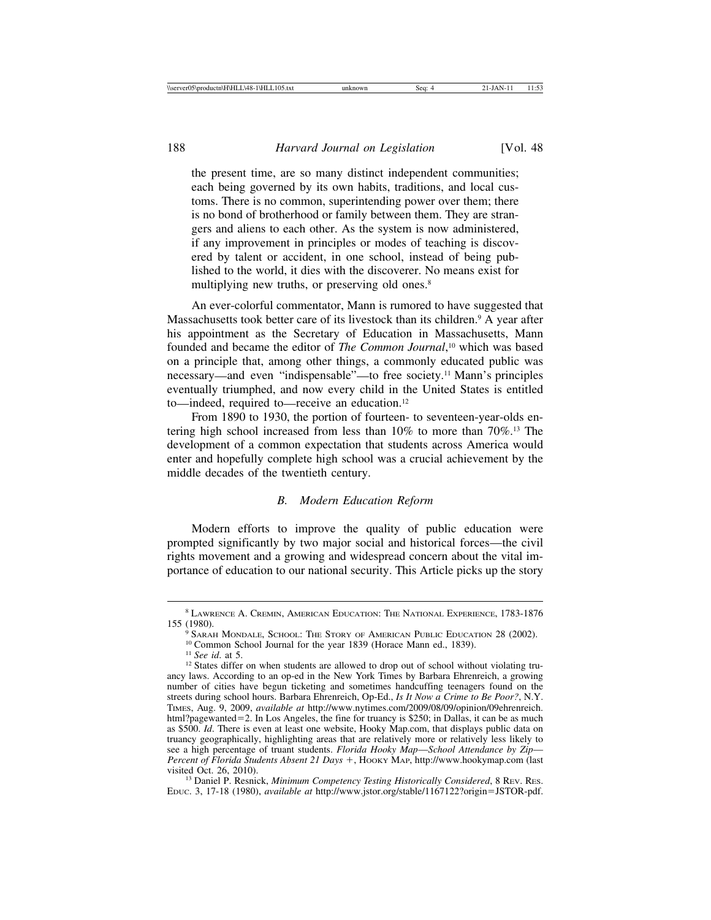the present time, are so many distinct independent communities; each being governed by its own habits, traditions, and local customs. There is no common, superintending power over them; there is no bond of brotherhood or family between them. They are strangers and aliens to each other. As the system is now administered, if any improvement in principles or modes of teaching is discovered by talent or accident, in one school, instead of being published to the world, it dies with the discoverer. No means exist for multiplying new truths, or preserving old ones.<sup>8</sup>

An ever-colorful commentator, Mann is rumored to have suggested that Massachusetts took better care of its livestock than its children.<sup>9</sup> A year after his appointment as the Secretary of Education in Massachusetts, Mann founded and became the editor of *The Common Journal*, 10 which was based on a principle that, among other things, a commonly educated public was necessary—and even "indispensable"—to free society.11 Mann's principles eventually triumphed, and now every child in the United States is entitled to—indeed, required to—receive an education.12

From 1890 to 1930, the portion of fourteen- to seventeen-year-olds entering high school increased from less than 10% to more than 70%.13 The development of a common expectation that students across America would enter and hopefully complete high school was a crucial achievement by the middle decades of the twentieth century.

#### *B. Modern Education Reform*

Modern efforts to improve the quality of public education were prompted significantly by two major social and historical forces—the civil rights movement and a growing and widespread concern about the vital importance of education to our national security. This Article picks up the story

<sup>13</sup> Daniel P. Resnick, *Minimum Competency Testing Historically Considered*, 8 REV. RES. EDUC. 3, 17-18 (1980), *available at* http://www.jstor.org/stable/1167122?origin=JSTOR-pdf.

 $^8$  LAWRENCE A. CREMIN, AMERICAN EDUCATION: THE NATIONAL EXPERIENCE,  $1783\text{-}1876$  155 $\,(1980).$ 

<sup>&</sup>lt;sup>9</sup> SARAH MONDALE, SCHOOL: THE STORY OF AMERICAN PUBLIC EDUCATION 28 (2002).<br><sup>10</sup> Common School Journal for the year 1839 (Horace Mann ed., 1839).<br><sup>11</sup> *See id.* at 5.<br><sup>12</sup> States differ on when students are allowed to dr

ancy laws. According to an op-ed in the New York Times by Barbara Ehrenreich, a growing number of cities have begun ticketing and sometimes handcuffing teenagers found on the streets during school hours. Barbara Ehrenreich, Op-Ed., *Is It Now a Crime to Be Poor?*, N.Y. TIMES, Aug. 9, 2009, *available at* http://www.nytimes.com/2009/08/09/opinion/09ehrenreich. html?pagewanted=2. In Los Angeles, the fine for truancy is \$250; in Dallas, it can be as much as \$500. *Id*. There is even at least one website, Hooky Map.com, that displays public data on truancy geographically, highlighting areas that are relatively more or relatively less likely to see a high percentage of truant students. *Florida Hooky Map*—*School Attendance by Zip*— *Percent of Florida Students Absent 21 Days* +, HOOKY MAP, http://www.hookymap.com (last visited Oct. 26, 2010).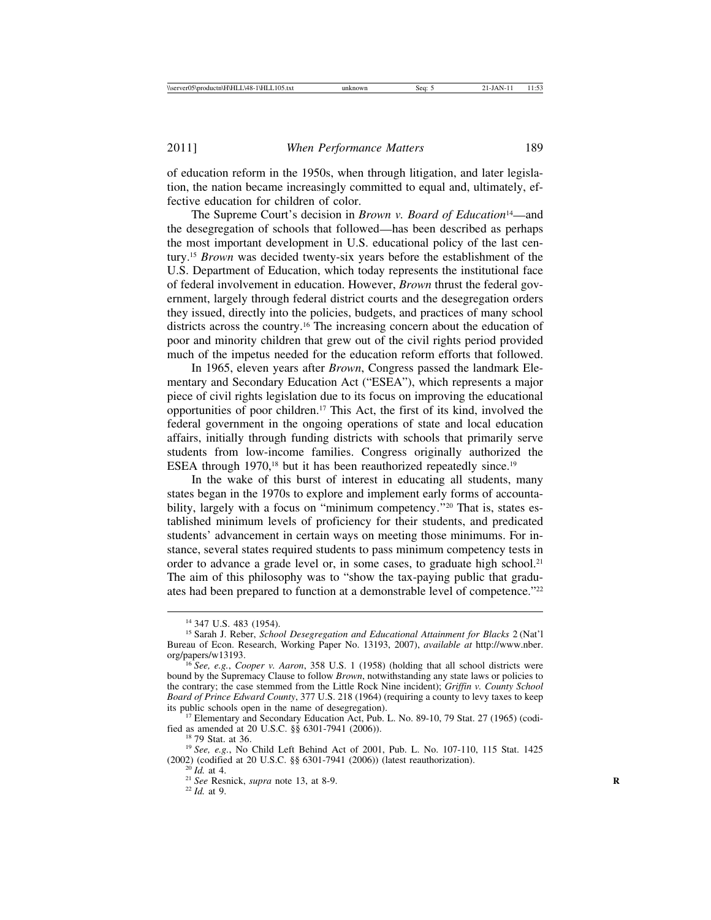of education reform in the 1950s, when through litigation, and later legislation, the nation became increasingly committed to equal and, ultimately, effective education for children of color.

The Supreme Court's decision in *Brown v. Board of Education*<sup>14</sup>—and the desegregation of schools that followed—has been described as perhaps the most important development in U.S. educational policy of the last century.15 *Brown* was decided twenty-six years before the establishment of the U.S. Department of Education, which today represents the institutional face of federal involvement in education. However, *Brown* thrust the federal government, largely through federal district courts and the desegregation orders they issued, directly into the policies, budgets, and practices of many school districts across the country.16 The increasing concern about the education of poor and minority children that grew out of the civil rights period provided much of the impetus needed for the education reform efforts that followed.

In 1965, eleven years after *Brown*, Congress passed the landmark Elementary and Secondary Education Act ("ESEA"), which represents a major piece of civil rights legislation due to its focus on improving the educational opportunities of poor children.17 This Act, the first of its kind, involved the federal government in the ongoing operations of state and local education affairs, initially through funding districts with schools that primarily serve students from low-income families. Congress originally authorized the ESEA through  $1970$ ,<sup>18</sup> but it has been reauthorized repeatedly since.<sup>19</sup>

In the wake of this burst of interest in educating all students, many states began in the 1970s to explore and implement early forms of accountability, largely with a focus on "minimum competency."<sup>20</sup> That is, states established minimum levels of proficiency for their students, and predicated students' advancement in certain ways on meeting those minimums. For instance, several states required students to pass minimum competency tests in order to advance a grade level or, in some cases, to graduate high school.<sup>21</sup> The aim of this philosophy was to "show the tax-paying public that graduates had been prepared to function at a demonstrable level of competence."<sup>22</sup>

<sup>17</sup> Elementary and Secondary Education Act, Pub. L. No. 89-10, 79 Stat. 27 (1965) (codi-<br>fied as amended at 20 U.S.C.  $\S$  6301-7941 (2006)).

<sup>18</sup> 79 Stat. at 36.<br><sup>19</sup> See, e.g., No Child Left Behind Act of 2001, Pub. L. No. 107-110, 115 Stat. 1425 (2002) (codified at 20 U.S.C. §§ 6301-7941 (2006)) (latest reauthorization). <sup>20</sup> *Id.* at 4. <sup>21</sup> *See* Resnick, *supra* note 13, at 8-9. <sup>22</sup> *Id.* at 9.

<sup>14</sup> 347 U.S. 483 (1954). <sup>15</sup> Sarah J. Reber, *School Desegregation and Educational Attainment for Blacks* 2 (Nat'l Bureau of Econ. Research, Working Paper No. 13193, 2007), *available at* http://www.nber.

<sup>&</sup>lt;sup>16</sup> *See, e.g., Cooper v. Aaron,* 358 U.S. 1 (1958) (holding that all school districts were bound by the Supremacy Clause to follow *Brown*, notwithstanding any state laws or policies to the contrary; the case stemmed from the Little Rock Nine incident); *Griffin v. County School Board of Prince Edward County*, 377 U.S. 218 (1964) (requiring a county to levy taxes to keep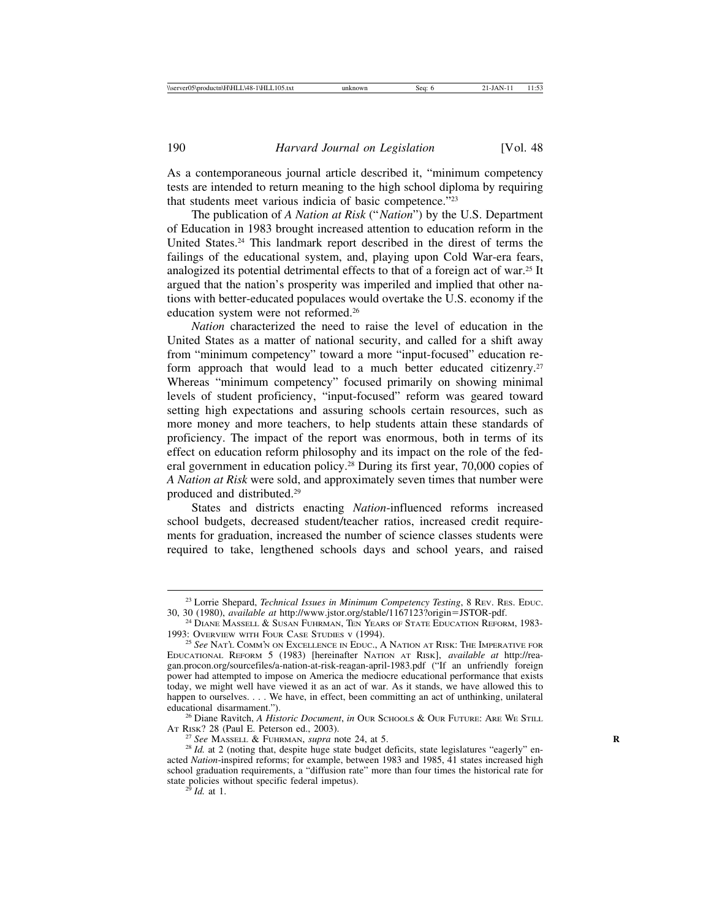As a contemporaneous journal article described it, "minimum competency tests are intended to return meaning to the high school diploma by requiring that students meet various indicia of basic competence."23

The publication of *A Nation at Risk* ("*Nation*") by the U.S. Department of Education in 1983 brought increased attention to education reform in the United States.24 This landmark report described in the direst of terms the failings of the educational system, and, playing upon Cold War-era fears, analogized its potential detrimental effects to that of a foreign act of war.25 It argued that the nation's prosperity was imperiled and implied that other nations with better-educated populaces would overtake the U.S. economy if the education system were not reformed.26

*Nation* characterized the need to raise the level of education in the United States as a matter of national security, and called for a shift away from "minimum competency" toward a more "input-focused" education reform approach that would lead to a much better educated citizenry.<sup>27</sup> Whereas "minimum competency" focused primarily on showing minimal levels of student proficiency, "input-focused" reform was geared toward setting high expectations and assuring schools certain resources, such as more money and more teachers, to help students attain these standards of proficiency. The impact of the report was enormous, both in terms of its effect on education reform philosophy and its impact on the role of the federal government in education policy.28 During its first year, 70,000 copies of *A Nation at Risk* were sold, and approximately seven times that number were produced and distributed.29

States and districts enacting *Nation*-influenced reforms increased school budgets, decreased student/teacher ratios, increased credit requirements for graduation, increased the number of science classes students were required to take, lengthened schools days and school years, and raised

<sup>26</sup> Diane Ravitch, *A Historic Document*, *in* Our Schools & Our Future: Are We Still At Risk? 28 (Paul E. Peterson ed., 2003).

<sup>27</sup> See MASSELL & FUHRMAN, *supra* note 24, at 5.<br><sup>28</sup> *Id.* at 2 (noting that, despite huge state budget deficits, state legislatures "eagerly" enacted *Nation*-inspired reforms; for example, between 1983 and 1985, 41 states increased high school graduation requirements, a "diffusion rate" more than four times the historical rate for state policies without specific federal impetus). <sup>29</sup> *Id.* at 1.

<sup>&</sup>lt;sup>23</sup> Lorrie Shepard, *Technical Issues in Minimum Competency Testing*, 8 REV. RES. EDUC.<br>30, 30 (1980), *available at http://www.jstor.org/stable/1167123?origin=JSTOR-pdf.* 

<sup>&</sup>lt;sup>24</sup> DIANE MASSELL & SUSAN FUHRMAN, TEN YEARS OF STATE EDUCATION REFORM, 1983-1993: OVERVIEW WITH FOUR CASE STUDIES **v** (1994).

<sup>&</sup>lt;sup>25</sup> See NAT'L COMM'N ON EXCELLENCE IN EDUC., A NATION AT RISK: THE IMPERATIVE FOR EDUCATIONAL REFORM 5 (1983) [hereinafter NATION AT RISK], *available at* http://reagan.procon.org/sourcefiles/a-nation-at-risk-reagan-april-1983.pdf ("If an unfriendly foreign power had attempted to impose on America the mediocre educational performance that exists today, we might well have viewed it as an act of war. As it stands, we have allowed this to happen to ourselves. . . . We have, in effect, been committing an act of unthinking, unilateral educational disarmament.").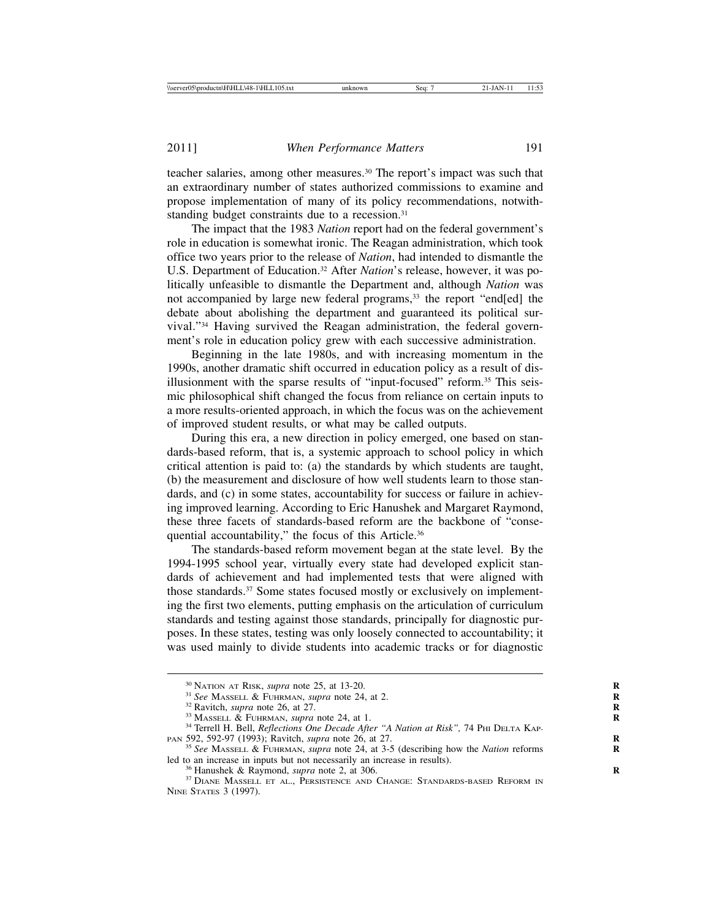teacher salaries, among other measures.30 The report's impact was such that an extraordinary number of states authorized commissions to examine and propose implementation of many of its policy recommendations, notwithstanding budget constraints due to a recession.<sup>31</sup>

The impact that the 1983 *Nation* report had on the federal government's role in education is somewhat ironic. The Reagan administration, which took office two years prior to the release of *Nation*, had intended to dismantle the U.S. Department of Education.<sup>32</sup> After *Nation*'s release, however, it was politically unfeasible to dismantle the Department and, although *Nation* was not accompanied by large new federal programs,33 the report "end[ed] the debate about abolishing the department and guaranteed its political survival."34 Having survived the Reagan administration, the federal government's role in education policy grew with each successive administration.

Beginning in the late 1980s, and with increasing momentum in the 1990s, another dramatic shift occurred in education policy as a result of disillusionment with the sparse results of "input-focused" reform.35 This seismic philosophical shift changed the focus from reliance on certain inputs to a more results-oriented approach, in which the focus was on the achievement of improved student results, or what may be called outputs.

During this era, a new direction in policy emerged, one based on standards-based reform, that is, a systemic approach to school policy in which critical attention is paid to: (a) the standards by which students are taught, (b) the measurement and disclosure of how well students learn to those standards, and (c) in some states, accountability for success or failure in achieving improved learning. According to Eric Hanushek and Margaret Raymond, these three facets of standards-based reform are the backbone of "consequential accountability," the focus of this Article.<sup>36</sup>

The standards-based reform movement began at the state level. By the 1994-1995 school year, virtually every state had developed explicit standards of achievement and had implemented tests that were aligned with those standards.<sup>37</sup> Some states focused mostly or exclusively on implementing the first two elements, putting emphasis on the articulation of curriculum standards and testing against those standards, principally for diagnostic purposes. In these states, testing was only loosely connected to accountability; it was used mainly to divide students into academic tracks or for diagnostic

<sup>&</sup>lt;sup>30</sup> NATION AT RISK, *supra* note 25, at 13-20.<br><sup>31</sup> See MASSELL & FUHRMAN, *supra* note 24, at 2.<br><sup>32</sup> Ravitch, *supra* note 26, at 27.<br><sup>33</sup> MASSELL & FUHRMAN, *supra* note 24, at 1.<br><sup>34</sup> Terrell H. Bell, *Reflections On* 

<sup>&</sup>lt;sup>35</sup> See MASSELL & FUHRMAN, *supra* note 24, at 3-5 (describing how the *Nation* reforms led to an increase in inputs but not necessarily an increase in results).

<sup>&</sup>lt;sup>36</sup> Hanushek & Raymond, *supra* note 2, at 306.<br><sup>37</sup> DIANE MASSELL ET AL., PERSISTENCE AND CHANGE: STANDARDS-BASED REFORM IN NINE STATES 3 (1997).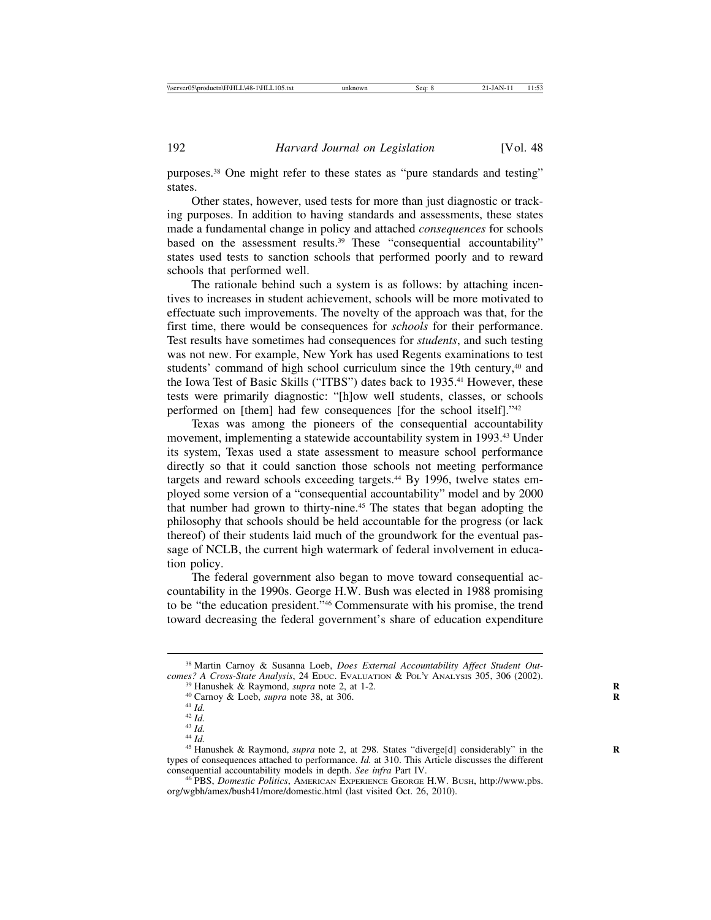purposes.38 One might refer to these states as "pure standards and testing" states.

Other states, however, used tests for more than just diagnostic or tracking purposes. In addition to having standards and assessments, these states made a fundamental change in policy and attached *consequences* for schools based on the assessment results.<sup>39</sup> These "consequential accountability" states used tests to sanction schools that performed poorly and to reward schools that performed well.

The rationale behind such a system is as follows: by attaching incentives to increases in student achievement, schools will be more motivated to effectuate such improvements. The novelty of the approach was that, for the first time, there would be consequences for *schools* for their performance. Test results have sometimes had consequences for *students*, and such testing was not new. For example, New York has used Regents examinations to test students' command of high school curriculum since the 19th century,<sup>40</sup> and the Iowa Test of Basic Skills ("ITBS") dates back to 1935.41 However, these tests were primarily diagnostic: "[h]ow well students, classes, or schools performed on [them] had few consequences [for the school itself]."42

Texas was among the pioneers of the consequential accountability movement, implementing a statewide accountability system in 1993.43 Under its system, Texas used a state assessment to measure school performance directly so that it could sanction those schools not meeting performance targets and reward schools exceeding targets.<sup>44</sup> By 1996, twelve states employed some version of a "consequential accountability" model and by 2000 that number had grown to thirty-nine.45 The states that began adopting the philosophy that schools should be held accountable for the progress (or lack thereof) of their students laid much of the groundwork for the eventual passage of NCLB, the current high watermark of federal involvement in education policy.

The federal government also began to move toward consequential accountability in the 1990s. George H.W. Bush was elected in 1988 promising to be "the education president."46 Commensurate with his promise, the trend toward decreasing the federal government's share of education expenditure

<sup>&</sup>lt;sup>38</sup> Martin Carnoy & Susanna Loeb, *Does External Accountability Affect Student Out-comes? A Cross-State Analysis, 24 EDUC. EVALUATION & POL'Y ANALYSIS 305, 306 (2002).* 

<sup>&</sup>lt;sup>39</sup> Hanushek & Raymond, *supra* note 2, at 1-2.<br>
<sup>40</sup> Carnoy & Loeb, *supra* note 38, at 306.<br>
<sup>41</sup> Id.<br>
<sup>42</sup> Id.<br>
<sup>43</sup> Id.<br>
<sup>44</sup> Id.<br>
<sup>44</sup> Id.<br>
<sup>44</sup> Id.<br>
<sup>44</sup> Id.<br>
<sup>45</sup> Hanushek & Raymond, *supra* note 2, at 298. States types of consequences attached to performance. *Id.* at 310. This Article discusses the different consequential accountability models in depth. *See infra* Part IV.

<sup>&</sup>lt;sup>46</sup> PBS, *Domestic Politics*, AMERICAN EXPERIENCE GEORGE H.W. BUSH, http://www.pbs. org/wgbh/amex/bush41/more/domestic.html (last visited Oct. 26, 2010).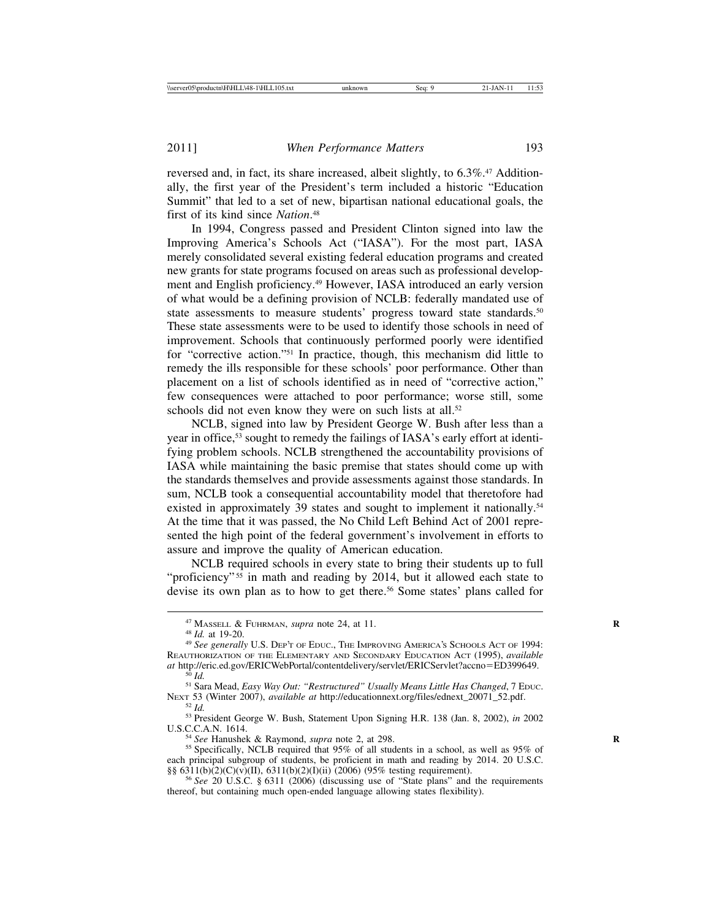reversed and, in fact, its share increased, albeit slightly, to 6.3%.<sup>47</sup> Additionally, the first year of the President's term included a historic "Education Summit" that led to a set of new, bipartisan national educational goals, the first of its kind since *Nation*. 48

In 1994, Congress passed and President Clinton signed into law the Improving America's Schools Act ("IASA"). For the most part, IASA merely consolidated several existing federal education programs and created new grants for state programs focused on areas such as professional development and English proficiency.49 However, IASA introduced an early version of what would be a defining provision of NCLB: federally mandated use of state assessments to measure students' progress toward state standards.<sup>50</sup> These state assessments were to be used to identify those schools in need of improvement. Schools that continuously performed poorly were identified for "corrective action."51 In practice, though, this mechanism did little to remedy the ills responsible for these schools' poor performance. Other than placement on a list of schools identified as in need of "corrective action," few consequences were attached to poor performance; worse still, some schools did not even know they were on such lists at all.<sup>52</sup>

NCLB, signed into law by President George W. Bush after less than a year in office,53 sought to remedy the failings of IASA's early effort at identifying problem schools. NCLB strengthened the accountability provisions of IASA while maintaining the basic premise that states should come up with the standards themselves and provide assessments against those standards. In sum, NCLB took a consequential accountability model that theretofore had existed in approximately 39 states and sought to implement it nationally.<sup>54</sup> At the time that it was passed, the No Child Left Behind Act of 2001 represented the high point of the federal government's involvement in efforts to assure and improve the quality of American education.

NCLB required schools in every state to bring their students up to full "proficiency"<sup>55</sup> in math and reading by 2014, but it allowed each state to devise its own plan as to how to get there.<sup>56</sup> Some states' plans called for

<sup>54</sup> *See* Hanushek & Raymond, *supra* note 2, at 298. *S* Specifically, NCLB required that 95% of all students in a school, as well as 95% of each principal subgroup of students, be proficient in math and reading by 2014. 20 U.S.C.  $\S\S 6311(b)(2)(C)(v)(II), 6311(b)(2)(I)(ii)$  (2006) (95% testing requirement).

<sup>&</sup>lt;sup>47</sup> MASSELL & FUHRMAN, *supra* note 24, at 11.<br><sup>48</sup> *Id.* at 19-20.<br><sup>49</sup> *See generally* U.S. Dep't of Educ., The IMPROVING AMERICA'S SCHOOLS ACT OF 1994: REAUTHORIZATION OF THE ELEMENTARY AND SECONDARY EDUCATION ACT (1995), *available*

<sup>&</sup>lt;sup>50</sup> Id.<br><sup>51</sup> Sara Mead, *Easy Way Out: "Restructured" Usually Means Little Has Changed*, 7 EDUC.<br>NEXT 53 (Winter 2007), *available at http://educationnext.org/files/ednext\_20071\_52.pdf.* 

<sup>&</sup>lt;sup>52</sup> *Id.* <sup>53</sup> President George W. Bush, Statement Upon Signing H.R. 138 (Jan. 8, 2002), *in* 2002<br>U.S.C.C.A.N. 1614.

<sup>&</sup>lt;sup>56</sup> See 20 U.S.C. § 6311 (2006) (discussing use of "State plans" and the requirements thereof, but containing much open-ended language allowing states flexibility).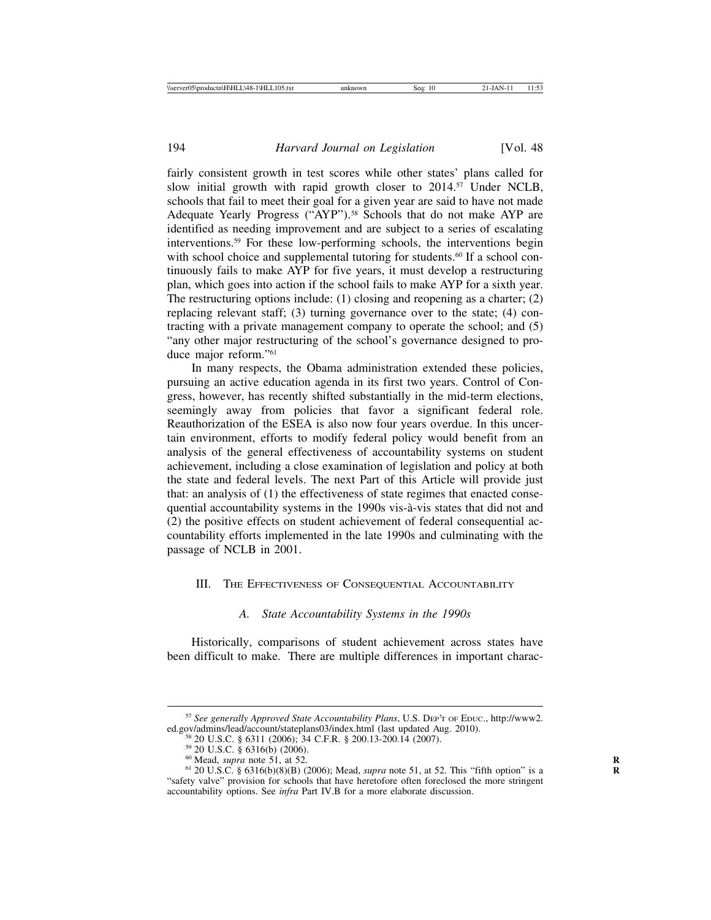fairly consistent growth in test scores while other states' plans called for slow initial growth with rapid growth closer to 2014.<sup>57</sup> Under NCLB, schools that fail to meet their goal for a given year are said to have not made Adequate Yearly Progress ("AYP").<sup>58</sup> Schools that do not make AYP are identified as needing improvement and are subject to a series of escalating interventions.59 For these low-performing schools, the interventions begin with school choice and supplemental tutoring for students.<sup>60</sup> If a school continuously fails to make AYP for five years, it must develop a restructuring plan, which goes into action if the school fails to make AYP for a sixth year. The restructuring options include: (1) closing and reopening as a charter; (2) replacing relevant staff; (3) turning governance over to the state; (4) contracting with a private management company to operate the school; and (5) "any other major restructuring of the school's governance designed to produce major reform."61

In many respects, the Obama administration extended these policies, pursuing an active education agenda in its first two years. Control of Congress, however, has recently shifted substantially in the mid-term elections, seemingly away from policies that favor a significant federal role. Reauthorization of the ESEA is also now four years overdue. In this uncertain environment, efforts to modify federal policy would benefit from an analysis of the general effectiveness of accountability systems on student achievement, including a close examination of legislation and policy at both the state and federal levels. The next Part of this Article will provide just that: an analysis of (1) the effectiveness of state regimes that enacted consequential accountability systems in the 1990s vis-à-vis states that did not and (2) the positive effects on student achievement of federal consequential accountability efforts implemented in the late 1990s and culminating with the passage of NCLB in 2001.

#### III. THE EFFECTIVENESS OF CONSEQUENTIAL ACCOUNTABILITY

#### *A. State Accountability Systems in the 1990s*

Historically, comparisons of student achievement across states have been difficult to make. There are multiple differences in important charac-

<sup>&</sup>lt;sup>57</sup> *See generally Approved State Accountability Plans*, U.S. DEP'T OF EDUC., http://www2.<br>ed.gov/admins/lead/account/stateplans03/index.html (last updated Aug. 2010).

<sup>&</sup>lt;sup>58</sup> 20 U.S.C. § 6311 (2006); 34 C.F.R. § 200.13-200.14 (2007).<br><sup>59</sup> 20 U.S.C. § 6316(b) (2006).<br><sup>60</sup> Mead, *supra* note 51, at 52.<br><sup>61</sup> 20 U.S.C. § 6316(b)(8)(B) (2006); Mead, *supra* note 51, at 52. This "fifth option" "safety valve" provision for schools that have heretofore often foreclosed the more stringent accountability options. See *infra* Part IV.B for a more elaborate discussion.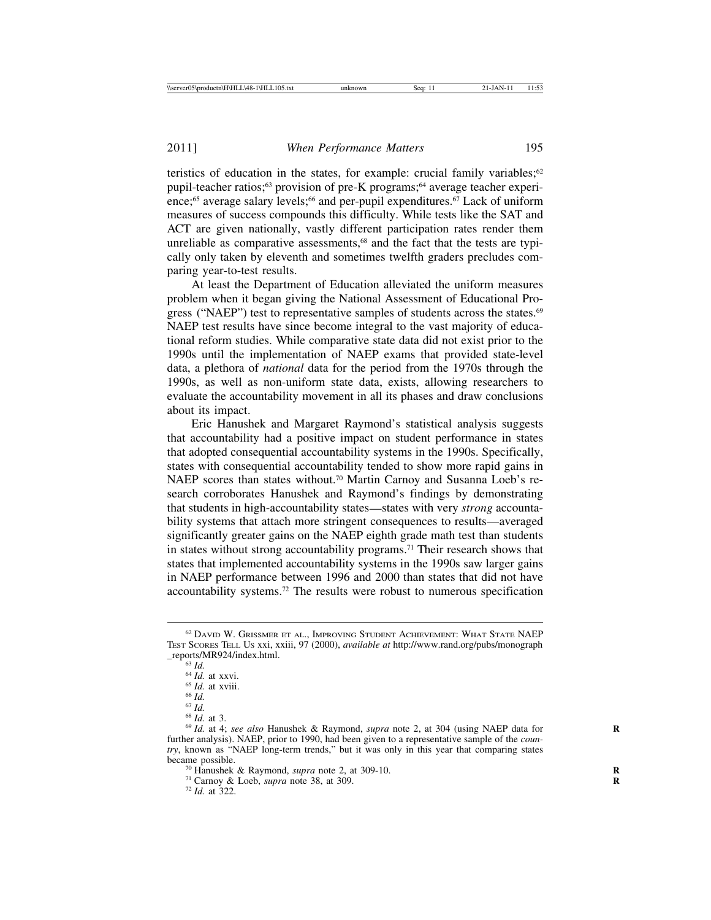teristics of education in the states, for example: crucial family variables; $62$ pupil-teacher ratios;<sup>63</sup> provision of pre-K programs;<sup>64</sup> average teacher experience;<sup>65</sup> average salary levels;<sup>66</sup> and per-pupil expenditures.<sup>67</sup> Lack of uniform measures of success compounds this difficulty. While tests like the SAT and ACT are given nationally, vastly different participation rates render them unreliable as comparative assessments,<sup>68</sup> and the fact that the tests are typically only taken by eleventh and sometimes twelfth graders precludes comparing year-to-test results.

At least the Department of Education alleviated the uniform measures problem when it began giving the National Assessment of Educational Progress ("NAEP") test to representative samples of students across the states.<sup>69</sup> NAEP test results have since become integral to the vast majority of educational reform studies. While comparative state data did not exist prior to the 1990s until the implementation of NAEP exams that provided state-level data, a plethora of *national* data for the period from the 1970s through the 1990s, as well as non-uniform state data, exists, allowing researchers to evaluate the accountability movement in all its phases and draw conclusions about its impact.

Eric Hanushek and Margaret Raymond's statistical analysis suggests that accountability had a positive impact on student performance in states that adopted consequential accountability systems in the 1990s. Specifically, states with consequential accountability tended to show more rapid gains in NAEP scores than states without.<sup>70</sup> Martin Carnoy and Susanna Loeb's research corroborates Hanushek and Raymond's findings by demonstrating that students in high-accountability states—states with very *strong* accountability systems that attach more stringent consequences to results—averaged significantly greater gains on the NAEP eighth grade math test than students in states without strong accountability programs.71 Their research shows that states that implemented accountability systems in the 1990s saw larger gains in NAEP performance between 1996 and 2000 than states that did not have accountability systems.72 The results were robust to numerous specification

- 
- 

<sup>62</sup> DAVID W. GRISSMER ET AL., IMPROVING STUDENT ACHIEVEMENT: WHAT STATE NAEP TEST SCORES TELL US xxi, xxiii, 97 (2000), *available at* http://www.rand.org/pubs/monograph

<sup>&</sup>lt;sup>63</sup> *Id.*<br><sup>64</sup> *Id.* at xxvi.<br><sup>65</sup> *Id.* at xviii.<br><sup>66</sup> *Id.*<br><sup>67</sup> *Id.*<br><sup>67</sup> *Id.*<br><sup>68</sup> *Id.* at 3.<br><sup>69</sup> *Id.* at 4; *see also* Hanushek & Raymond, *supra* note 2, at 304 (using NAEP data for further analysis). NAEP, prior to 1990, had been given to a representative sample of the *country*, known as "NAEP long-term trends," but it was only in this year that comparing states

<sup>&</sup>lt;sup>70</sup> Hanushek & Raymond, *supra* note 2, at 309-10.<br><sup>71</sup> Carnoy & Loeb, *supra* note 38, at 309. <sup>72</sup> *Id.* at 322.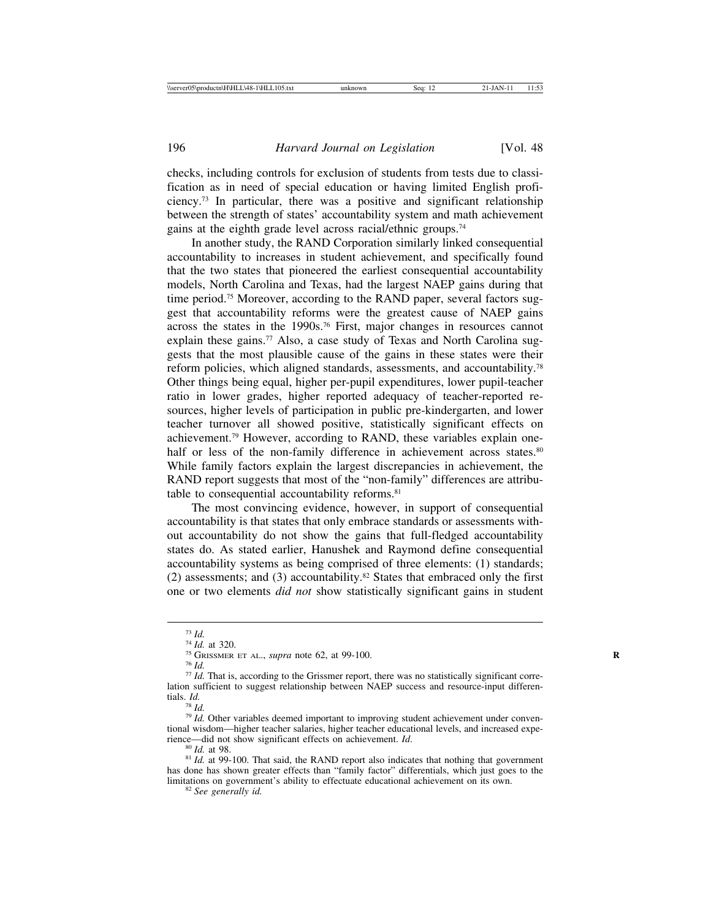checks, including controls for exclusion of students from tests due to classification as in need of special education or having limited English proficiency.73 In particular, there was a positive and significant relationship between the strength of states' accountability system and math achievement gains at the eighth grade level across racial/ethnic groups.74

In another study, the RAND Corporation similarly linked consequential accountability to increases in student achievement, and specifically found that the two states that pioneered the earliest consequential accountability models, North Carolina and Texas, had the largest NAEP gains during that time period.<sup>75</sup> Moreover, according to the RAND paper, several factors suggest that accountability reforms were the greatest cause of NAEP gains across the states in the 1990s.76 First, major changes in resources cannot explain these gains.<sup>77</sup> Also, a case study of Texas and North Carolina suggests that the most plausible cause of the gains in these states were their reform policies, which aligned standards, assessments, and accountability.78 Other things being equal, higher per-pupil expenditures, lower pupil-teacher ratio in lower grades, higher reported adequacy of teacher-reported resources, higher levels of participation in public pre-kindergarten, and lower teacher turnover all showed positive, statistically significant effects on achievement.79 However, according to RAND, these variables explain onehalf or less of the non-family difference in achievement across states.<sup>80</sup> While family factors explain the largest discrepancies in achievement, the RAND report suggests that most of the "non-family" differences are attributable to consequential accountability reforms.<sup>81</sup>

The most convincing evidence, however, in support of consequential accountability is that states that only embrace standards or assessments without accountability do not show the gains that full-fledged accountability states do. As stated earlier, Hanushek and Raymond define consequential accountability systems as being comprised of three elements: (1) standards; (2) assessments; and (3) accountability.82 States that embraced only the first one or two elements *did not* show statistically significant gains in student

<sup>&</sup>lt;sup>73</sup> *Id.* <sup>74</sup> *Id.* at 320. <sup>75</sup> GRISSMER ET AL., *supra* note 62, at 99-100.<br><sup>75</sup> GRISSMER ET AL., *supra* note 62, at 99-100.<br><sup>76</sup> *Id.* That is, according to the Grissmer report, there was no statistically significan lation sufficient to suggest relationship between NAEP success and resource-input differentials. *Id.*

<sup>&</sup>lt;sup>79</sup> *Id.* Other variables deemed important to improving student achievement under conventional wisdom—higher teacher salaries, higher teacher educational levels, and increased experience—did not show significant effects on achievement.  $Id$ .

<sup>&</sup>lt;sup>80</sup> *Id.* at 98. **IDE.** 80 *Id.* at 99-100. That said, the RAND report also indicates that nothing that government has done has shown greater effects than "family factor" differentials, which just goes to the limitations on government's ability to effectuate educational achievement on its own. <sup>82</sup> *See generally id.*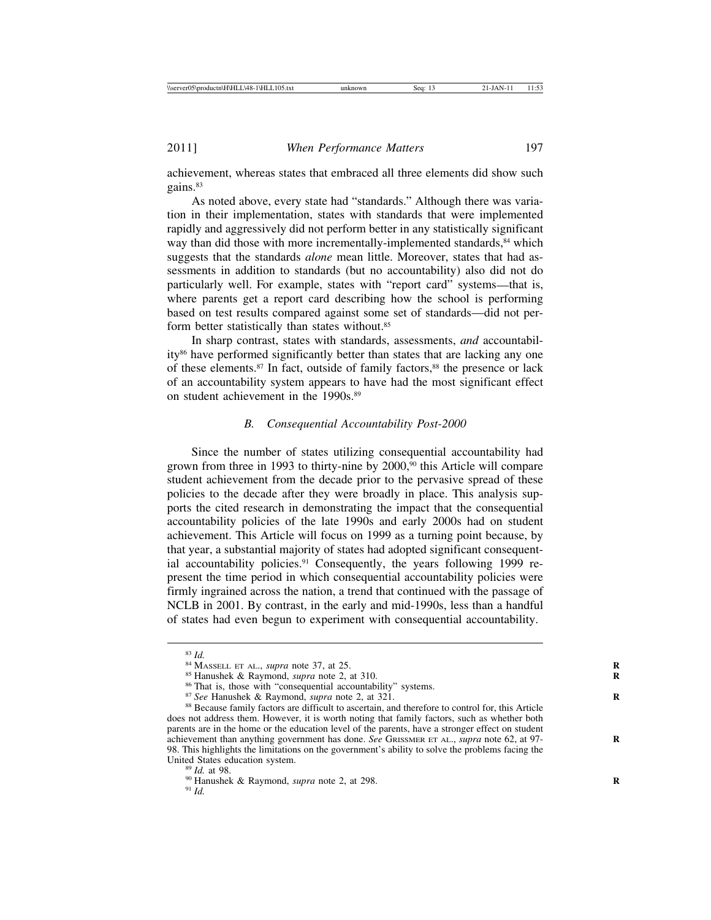achievement, whereas states that embraced all three elements did show such gains.<sup>83</sup>

As noted above, every state had "standards." Although there was variation in their implementation, states with standards that were implemented rapidly and aggressively did not perform better in any statistically significant way than did those with more incrementally-implemented standards,<sup>84</sup> which suggests that the standards *alone* mean little. Moreover, states that had assessments in addition to standards (but no accountability) also did not do particularly well. For example, states with "report card" systems—that is, where parents get a report card describing how the school is performing based on test results compared against some set of standards—did not perform better statistically than states without.<sup>85</sup>

In sharp contrast, states with standards, assessments, *and* accountability86 have performed significantly better than states that are lacking any one of these elements.<sup>87</sup> In fact, outside of family factors,<sup>88</sup> the presence or lack of an accountability system appears to have had the most significant effect on student achievement in the 1990s.<sup>89</sup>

#### *B. Consequential Accountability Post-2000*

Since the number of states utilizing consequential accountability had grown from three in 1993 to thirty-nine by 2000,<sup>90</sup> this Article will compare student achievement from the decade prior to the pervasive spread of these policies to the decade after they were broadly in place. This analysis supports the cited research in demonstrating the impact that the consequential accountability policies of the late 1990s and early 2000s had on student achievement. This Article will focus on 1999 as a turning point because, by that year, a substantial majority of states had adopted significant consequential accountability policies.<sup>91</sup> Consequently, the years following 1999 represent the time period in which consequential accountability policies were firmly ingrained across the nation, a trend that continued with the passage of NCLB in 2001. By contrast, in the early and mid-1990s, less than a handful of states had even begun to experiment with consequential accountability.

<sup>&</sup>lt;sup>83</sup> *Id.*<br><sup>84</sup> MASSELL ET AL., *supra* note 37, at 25.<br><sup>85</sup> Hanushek & Raymond, *supra* note 2, at 310.<br><sup>86</sup> That is, those with "consequential accountability" systems.<br><sup>87</sup> *See* Hanushek & Raymond, *supra* note 2, at 3 does not address them. However, it is worth noting that family factors, such as whether both parents are in the home or the education level of the parents, have a stronger effect on student achievement than anything government has done. *See* GRISSMER ET AL., *supra* note 62, at 97-98. This highlights the limitations on the government's ability to solve the problems facing the

<sup>&</sup>lt;sup>89</sup> *Id.* at 98. **(8)** Hanushek & Raymond, *supra* note 2, at 298. <sup>91</sup> *Id.*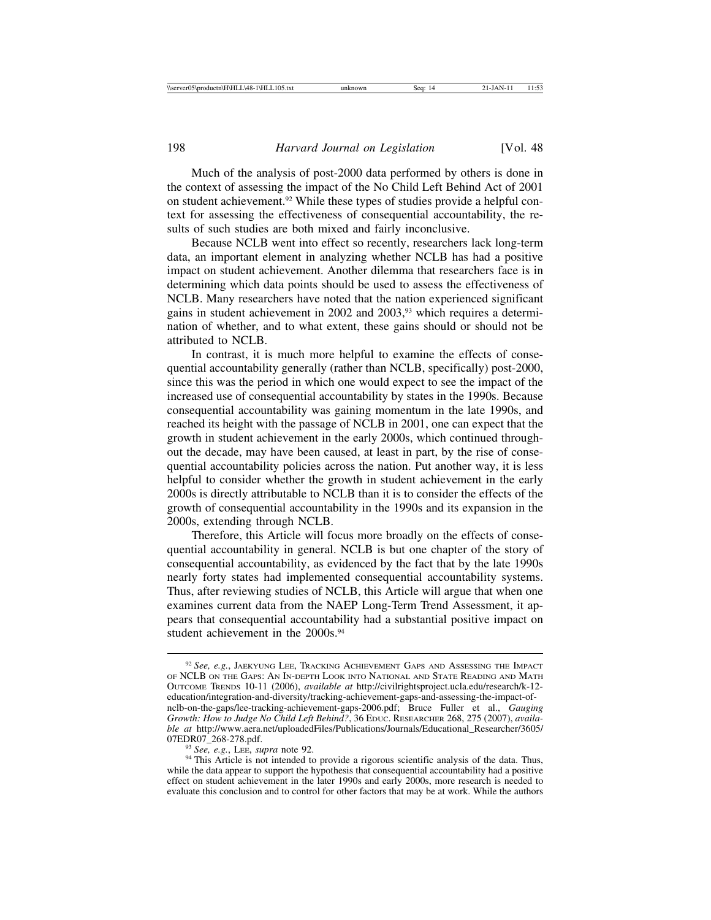Much of the analysis of post-2000 data performed by others is done in the context of assessing the impact of the No Child Left Behind Act of 2001 on student achievement.92 While these types of studies provide a helpful context for assessing the effectiveness of consequential accountability, the results of such studies are both mixed and fairly inconclusive.

Because NCLB went into effect so recently, researchers lack long-term data, an important element in analyzing whether NCLB has had a positive impact on student achievement. Another dilemma that researchers face is in determining which data points should be used to assess the effectiveness of NCLB. Many researchers have noted that the nation experienced significant gains in student achievement in 2002 and 2003,93 which requires a determination of whether, and to what extent, these gains should or should not be attributed to NCLB.

In contrast, it is much more helpful to examine the effects of consequential accountability generally (rather than NCLB, specifically) post-2000, since this was the period in which one would expect to see the impact of the increased use of consequential accountability by states in the 1990s. Because consequential accountability was gaining momentum in the late 1990s, and reached its height with the passage of NCLB in 2001, one can expect that the growth in student achievement in the early 2000s, which continued throughout the decade, may have been caused, at least in part, by the rise of consequential accountability policies across the nation. Put another way, it is less helpful to consider whether the growth in student achievement in the early 2000s is directly attributable to NCLB than it is to consider the effects of the growth of consequential accountability in the 1990s and its expansion in the 2000s, extending through NCLB.

Therefore, this Article will focus more broadly on the effects of consequential accountability in general. NCLB is but one chapter of the story of consequential accountability, as evidenced by the fact that by the late 1990s nearly forty states had implemented consequential accountability systems. Thus, after reviewing studies of NCLB, this Article will argue that when one examines current data from the NAEP Long-Term Trend Assessment, it appears that consequential accountability had a substantial positive impact on student achievement in the 2000s.<sup>94</sup>

<sup>92</sup> *See, e.g.*, JAEKYUNG LEE, TRACKING ACHIEVEMENT GAPS AND ASSESSING THE IMPACT OF NCLB ON THE GAPS: AN IN-DEPTH LOOK INTO NATIONAL AND STATE READING AND MATH OUTCOME TRENDS 10-11 (2006), *available at* http://civilrightsproject.ucla.edu/research/k-12 education/integration-and-diversity/tracking-achievement-gaps-and-assessing-the-impact-ofnclb-on-the-gaps/lee-tracking-achievement-gaps-2006.pdf; Bruce Fuller et al., *Gauging Growth: How to Judge No Child Left Behind?*, 36 EDUC. RESEARCHER 268, 275 (2007), *available at* http://www.aera.net/uploadedFiles/Publications/Journals/Educational\_Researcher/3605/

<sup>&</sup>lt;sup>93</sup> *See, e.g.*, LEE, *supra* note 92. <sup>94</sup> This Article is not intended to provide a rigorous scientific analysis of the data. Thus, while the data appear to support the hypothesis that consequential accountability had a positive effect on student achievement in the later 1990s and early 2000s, more research is needed to evaluate this conclusion and to control for other factors that may be at work. While the authors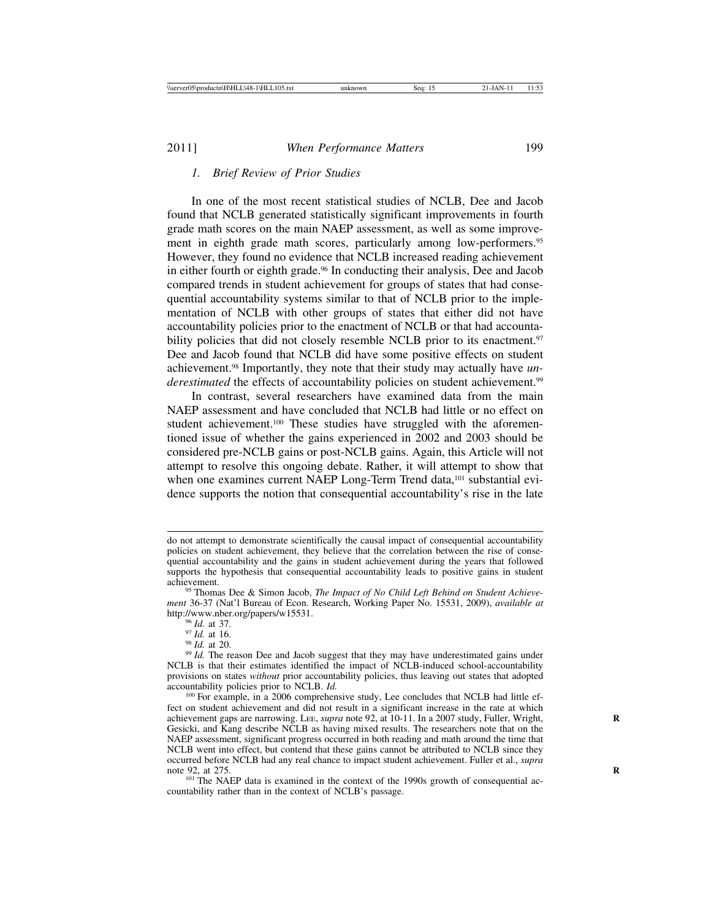#### *1. Brief Review of Prior Studies*

In one of the most recent statistical studies of NCLB, Dee and Jacob found that NCLB generated statistically significant improvements in fourth grade math scores on the main NAEP assessment, as well as some improvement in eighth grade math scores, particularly among low-performers.<sup>95</sup> However, they found no evidence that NCLB increased reading achievement in either fourth or eighth grade.<sup>96</sup> In conducting their analysis, Dee and Jacob compared trends in student achievement for groups of states that had consequential accountability systems similar to that of NCLB prior to the implementation of NCLB with other groups of states that either did not have accountability policies prior to the enactment of NCLB or that had accountability policies that did not closely resemble NCLB prior to its enactment.<sup>97</sup> Dee and Jacob found that NCLB did have some positive effects on student achievement.98 Importantly, they note that their study may actually have *underestimated* the effects of accountability policies on student achievement.<sup>99</sup>

In contrast, several researchers have examined data from the main NAEP assessment and have concluded that NCLB had little or no effect on student achievement.<sup>100</sup> These studies have struggled with the aforementioned issue of whether the gains experienced in 2002 and 2003 should be considered pre-NCLB gains or post-NCLB gains. Again, this Article will not attempt to resolve this ongoing debate. Rather, it will attempt to show that when one examines current NAEP Long-Term Trend data,<sup>101</sup> substantial evidence supports the notion that consequential accountability's rise in the late

<sup>101</sup> The NAEP data is examined in the context of the 1990s growth of consequential accountability rather than in the context of NCLB's passage.

do not attempt to demonstrate scientifically the causal impact of consequential accountability policies on student achievement, they believe that the correlation between the rise of consequential accountability and the gains in student achievement during the years that followed supports the hypothesis that consequential accountability leads to positive gains in student achievement.

<sup>&</sup>lt;sup>95</sup> Thomas Dee & Simon Jacob, *The Impact of No Child Left Behind on Student Achievement* 36-37 (Nat'l Bureau of Econ. Research, Working Paper No. 15531, 2009), *available at*

<sup>&</sup>lt;sup>96</sup> *Id.* at 37. <sup>97</sup> *Id.* at 16. 98 *Id.* at 16. 98 *Id.* at 20. 99 *Id.* The reason Dee and Jacob suggest that they may have underestimated gains under <br><sup>99</sup> *Id.* The reason Dee and Jacob suggest that they may have un NCLB is that their estimates identified the impact of NCLB-induced school-accountability provisions on states *without* prior accountability policies, thus leaving out states that adopted accountability policies prior to NCLB. *Id*.

<sup>&</sup>lt;sup>100</sup> For example, in a 2006 comprehensive study, Lee concludes that NCLB had little effect on student achievement and did not result in a significant increase in the rate at which achievement gaps are narrowing. Lee, *supra* note 92, at 10-11. In a 2007 study, Fuller, Wright, Gesicki, and Kang describe NCLB as having mixed results. The researchers note that on the NAEP assessment, significant progress occurred in both reading and math around the time that NCLB went into effect, but contend that these gains cannot be attributed to NCLB since they occurred before NCLB had any real chance to impact student achievement. Fuller et al., *supra*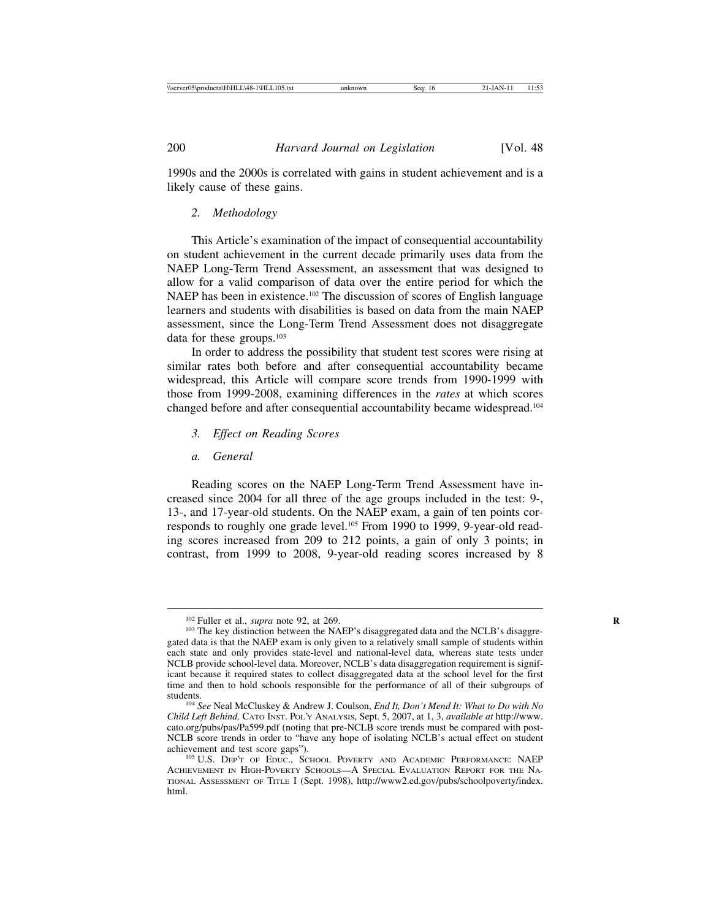1990s and the 2000s is correlated with gains in student achievement and is a likely cause of these gains.

#### *2. Methodology*

This Article's examination of the impact of consequential accountability on student achievement in the current decade primarily uses data from the NAEP Long-Term Trend Assessment, an assessment that was designed to allow for a valid comparison of data over the entire period for which the NAEP has been in existence.<sup>102</sup> The discussion of scores of English language learners and students with disabilities is based on data from the main NAEP assessment, since the Long-Term Trend Assessment does not disaggregate data for these groups.<sup>103</sup>

In order to address the possibility that student test scores were rising at similar rates both before and after consequential accountability became widespread, this Article will compare score trends from 1990-1999 with those from 1999-2008, examining differences in the *rates* at which scores changed before and after consequential accountability became widespread.104

- *3. Effect on Reading Scores*
- *a. General*

Reading scores on the NAEP Long-Term Trend Assessment have increased since 2004 for all three of the age groups included in the test: 9-, 13-, and 17-year-old students. On the NAEP exam, a gain of ten points corresponds to roughly one grade level.<sup>105</sup> From 1990 to 1999, 9-year-old reading scores increased from 209 to 212 points, a gain of only 3 points; in contrast, from 1999 to 2008, 9-year-old reading scores increased by 8

<sup>&</sup>lt;sup>102</sup> Fuller et al., *supra* note 92, at 269.<br><sup>103</sup> The key distinction between the NAEP's disaggregated data and the NCLB's disaggregated data is that the NAEP exam is only given to a relatively small sample of students within each state and only provides state-level and national-level data, whereas state tests under NCLB provide school-level data. Moreover, NCLB's data disaggregation requirement is significant because it required states to collect disaggregated data at the school level for the first time and then to hold schools responsible for the performance of all of their subgroups of

<sup>&</sup>lt;sup>104</sup> See Neal McCluskey & Andrew J. Coulson, *End It, Don't Mend It: What to Do with No Child Left Behind,* CATO INST. POL'Y ANALYSIS, Sept. 5, 2007, at 1, 3, *available at* http://www. cato.org/pubs/pas/Pa599.pdf (noting that pre-NCLB score trends must be compared with post-NCLB score trends in order to "have any hope of isolating NCLB's actual effect on student

<sup>&</sup>lt;sup>105</sup> U.S. DEP'T OF EDUC., SCHOOL POVERTY AND ACADEMIC PERFORMANCE: NAEP ACHIEVEMENT IN HIGH-POVERTY SCHOOLS—A SPECIAL EVALUATION REPORT FOR THE NA-TIONAL ASSESSMENT OF TITLE I (Sept. 1998), http://www2.ed.gov/pubs/schoolpoverty/index. html.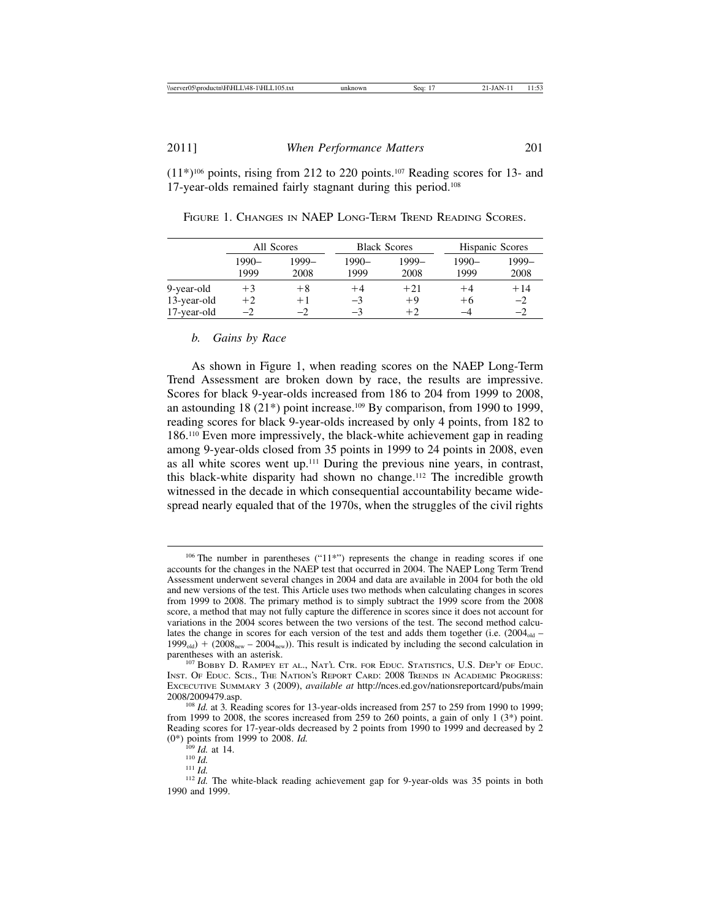$(11*)^{106}$  points, rising from 212 to 220 points.<sup>107</sup> Reading scores for 13- and 17-year-olds remained fairly stagnant during this period.108

|             | All Scores |       | <b>Black Scores</b> |         | <b>Hispanic Scores</b> |       |
|-------------|------------|-------|---------------------|---------|------------------------|-------|
|             | $1990 -$   | 1999– | 1990-               | $1999-$ | $1990 -$               | 1999- |
|             | 1999       | 2008  | 1999                | 2008    | 1999                   | 2008  |
| 9-year-old  | $+3$       | $+8$  | $+4$                | $+21$   | $^{\rm +4}$            | $+14$ |
| 13-year-old | $+2$       | $+1$  | $-3$                | $+9$    | $+6$                   | $-2$  |
| 17-year-old | $-2$       | $-2$  | $-3$                | $+2$    | -4                     | $-2$  |

FIGURE 1. CHANGES IN NAEP LONG-TERM TREND READING SCORES.

#### *b. Gains by Race*

As shown in Figure 1, when reading scores on the NAEP Long-Term Trend Assessment are broken down by race, the results are impressive. Scores for black 9-year-olds increased from 186 to 204 from 1999 to 2008, an astounding 18 (21\*) point increase.109 By comparison, from 1990 to 1999, reading scores for black 9-year-olds increased by only 4 points, from 182 to 186.110 Even more impressively, the black-white achievement gap in reading among 9-year-olds closed from 35 points in 1999 to 24 points in 2008, even as all white scores went up.111 During the previous nine years, in contrast, this black-white disparity had shown no change.112 The incredible growth witnessed in the decade in which consequential accountability became widespread nearly equaled that of the 1970s, when the struggles of the civil rights

<sup>106</sup> The number in parentheses ("11\*") represents the change in reading scores if one accounts for the changes in the NAEP test that occurred in 2004. The NAEP Long Term Trend Assessment underwent several changes in 2004 and data are available in 2004 for both the old and new versions of the test. This Article uses two methods when calculating changes in scores from 1999 to 2008. The primary method is to simply subtract the 1999 score from the 2008 score, a method that may not fully capture the difference in scores since it does not account for variations in the 2004 scores between the two versions of the test. The second method calculates the change in scores for each version of the test and adds them together (i.e.  $(2004<sub>old</sub> 1999<sub>old</sub> + (2008<sub>new</sub> - 2004<sub>new</sub>)).$  This result is indicated by including the second calculation in parentheses with an asterisk.

<sup>107</sup> BOBBY D. RAMPEY ET AL., NAT'L CTR. FOR EDUC. STATISTICS, U.S. DEP'T OF EDUC. INST. OF EDUC. SCIS., THE NATION'S REPORT CARD: 2008 TRENDS IN ACADEMIC PROGRESS: EXCECUTIVE SUMMARY 3 (2009), *available at* http://nces.ed.gov/nationsreportcard/pubs/main

<sup>&</sup>lt;sup>108</sup> *Id.* at 3. Reading scores for 13-year-olds increased from 257 to 259 from 1990 to 1999; from 1999 to 2008, the scores increased from 259 to 260 points, a gain of only 1  $(3^*)$  point. Reading scores for 17-year-olds decreased by 2 points from 1990 to 1999 and decreased by 2

<sup>(0\*)</sup> points from 1999 to 2008. *Id.*<br>
<sup>109</sup> *Id.* at 14.<br>
<sup>110</sup> *Id.* 111 *Id.* 112 *Id.* The white-black reading achievement gap for 9-year-olds was 35 points in both <br>
<sup>112</sup> *Id.* The white-black reading achievement gap 1990 and 1999.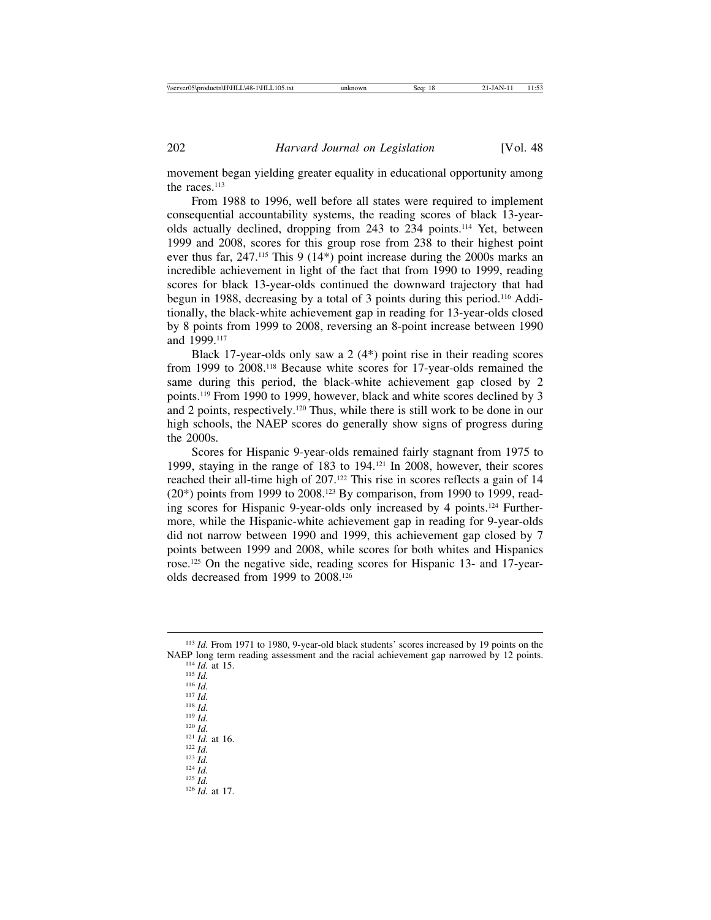movement began yielding greater equality in educational opportunity among the races.<sup>113</sup>

From 1988 to 1996, well before all states were required to implement consequential accountability systems, the reading scores of black 13-yearolds actually declined, dropping from 243 to 234 points.114 Yet, between 1999 and 2008, scores for this group rose from 238 to their highest point ever thus far, 247.115 This 9 (14\*) point increase during the 2000s marks an incredible achievement in light of the fact that from 1990 to 1999, reading scores for black 13-year-olds continued the downward trajectory that had begun in 1988, decreasing by a total of 3 points during this period.116 Additionally, the black-white achievement gap in reading for 13-year-olds closed by 8 points from 1999 to 2008, reversing an 8-point increase between 1990 and 1999.117

Black 17-year-olds only saw a 2 (4\*) point rise in their reading scores from 1999 to 2008.118 Because white scores for 17-year-olds remained the same during this period, the black-white achievement gap closed by 2 points.119 From 1990 to 1999, however, black and white scores declined by 3 and 2 points, respectively.120 Thus, while there is still work to be done in our high schools, the NAEP scores do generally show signs of progress during the 2000s.

Scores for Hispanic 9-year-olds remained fairly stagnant from 1975 to 1999, staying in the range of 183 to 194.121 In 2008, however, their scores reached their all-time high of 207.<sup>122</sup> This rise in scores reflects a gain of 14  $(20^*)$  points from 1999 to 2008.<sup>123</sup> By comparison, from 1990 to 1999, reading scores for Hispanic 9-year-olds only increased by 4 points.124 Furthermore, while the Hispanic-white achievement gap in reading for 9-year-olds did not narrow between 1990 and 1999, this achievement gap closed by 7 points between 1999 and 2008, while scores for both whites and Hispanics rose.125 On the negative side, reading scores for Hispanic 13- and 17-yearolds decreased from 1999 to 2008.126

NAEP long term reading assessment and the racial achievement gap narrowed by 12 points.<br>
114 Id. at 15.<br>
115 Id.<br>
116 Id.<br>
117 Id.<br>
118 Id.<br>
129 Id.<br>
129 Id.<br>
129 Id.<br>
123 Id.<br>
124 Id.<br>
129 Id.<br>
129 Id.<br>
129 Id.<br>
129 Id.<br>

<sup>&</sup>lt;sup>113</sup> *Id.* From 1971 to 1980, 9-year-old black students' scores increased by 19 points on the NAEP long term reading assessment and the racial achievement gap narrowed by 12 points.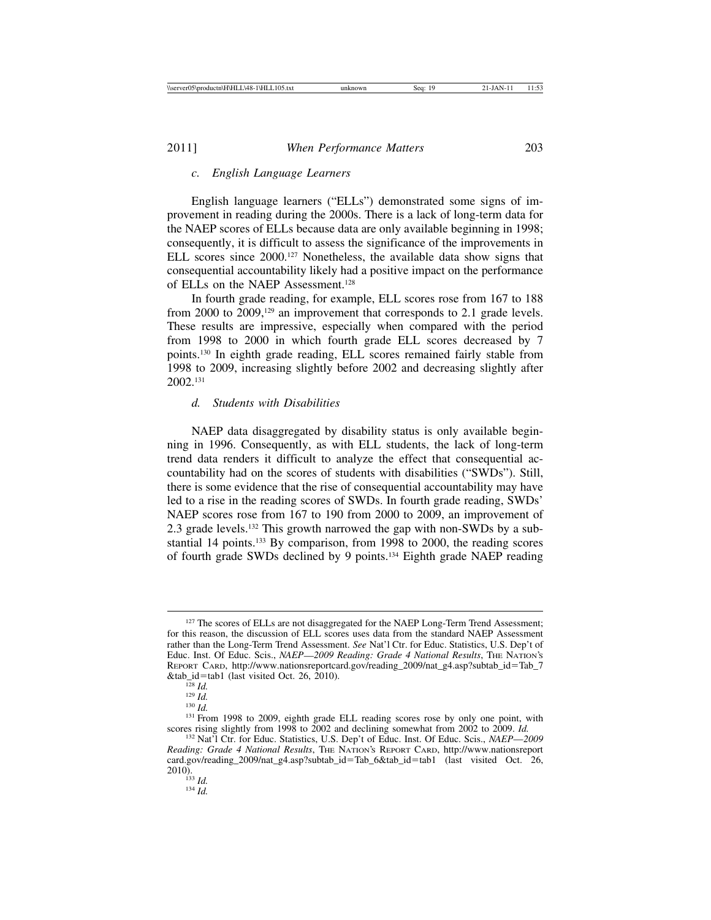#### *c. English Language Learners*

English language learners ("ELLs") demonstrated some signs of improvement in reading during the 2000s. There is a lack of long-term data for the NAEP scores of ELLs because data are only available beginning in 1998; consequently, it is difficult to assess the significance of the improvements in ELL scores since 2000.127 Nonetheless, the available data show signs that consequential accountability likely had a positive impact on the performance of ELLs on the NAEP Assessment.128

In fourth grade reading, for example, ELL scores rose from 167 to 188 from 2000 to 2009,<sup>129</sup> an improvement that corresponds to 2.1 grade levels. These results are impressive, especially when compared with the period from 1998 to 2000 in which fourth grade ELL scores decreased by 7 points.130 In eighth grade reading, ELL scores remained fairly stable from 1998 to 2009, increasing slightly before 2002 and decreasing slightly after 2002.131

#### *d. Students with Disabilities*

NAEP data disaggregated by disability status is only available beginning in 1996. Consequently, as with ELL students, the lack of long-term trend data renders it difficult to analyze the effect that consequential accountability had on the scores of students with disabilities ("SWDs"). Still, there is some evidence that the rise of consequential accountability may have led to a rise in the reading scores of SWDs. In fourth grade reading, SWDs' NAEP scores rose from 167 to 190 from 2000 to 2009, an improvement of 2.3 grade levels.132 This growth narrowed the gap with non-SWDs by a substantial 14 points.133 By comparison, from 1998 to 2000, the reading scores of fourth grade SWDs declined by 9 points.134 Eighth grade NAEP reading

<sup>&</sup>lt;sup>127</sup> The scores of ELLs are not disaggregated for the NAEP Long-Term Trend Assessment; for this reason, the discussion of ELL scores uses data from the standard NAEP Assessment rather than the Long-Term Trend Assessment. *See* Nat'l Ctr. for Educ. Statistics, U.S. Dep't of Educ. Inst. Of Educ. Scis., *NAEP*—*2009 Reading: Grade 4 National Results*, THE NATION'S REPORT CARD, http://www.nationsreportcard.gov/reading\_2009/nat\_g4.asp?subtab\_id=Tab\_7

<sup>&</sup>lt;sup>128</sup> *Id.* <sup>129</sup> *Id.* <sup>130</sup> *Id.* <sup>130</sup> *Id.* <sup>130</sup> *Id.* <sup>131</sup> From 1998 to 2009, eighth grade ELL reading scores rose by only one point, with scores rising slightly from 1998 to 2002 and declining somewhat from 2002 t

<sup>&</sup>lt;sup>132</sup> Nat'l Ctr. for Educ. Statistics, U.S. Dep't of Educ. Inst. Of Educ. Scis., *NAEP*—2009 *Reading: Grade 4 National Results*, THE NATION'S REPORT CARD, http://www.nationsreport card.gov/reading\_2009/nat\_g4.asp?subtab\_id=Tab\_6&tab\_id=tab1 (last visited Oct. 26, 2010). <sup>133</sup> *Id.* <sup>134</sup> *Id.*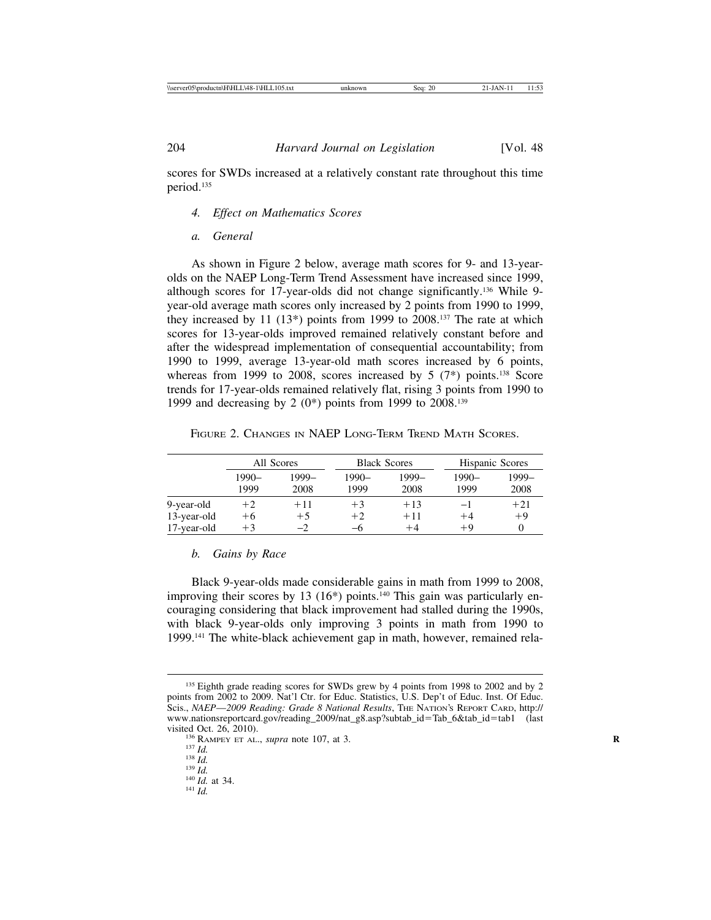scores for SWDs increased at a relatively constant rate throughout this time period.135

- *4. Effect on Mathematics Scores*
- *a. General*

As shown in Figure 2 below, average math scores for 9- and 13-yearolds on the NAEP Long-Term Trend Assessment have increased since 1999, although scores for 17-year-olds did not change significantly.136 While 9 year-old average math scores only increased by 2 points from 1990 to 1999, they increased by 11  $(13^*)$  points from 1999 to 2008.<sup>137</sup> The rate at which scores for 13-year-olds improved remained relatively constant before and after the widespread implementation of consequential accountability; from 1990 to 1999, average 13-year-old math scores increased by 6 points, whereas from 1999 to 2008, scores increased by  $5$  (7\*) points.<sup>138</sup> Score trends for 17-year-olds remained relatively flat, rising 3 points from 1990 to 1999 and decreasing by 2  $(0^*)$  points from 1999 to 2008.<sup>139</sup>

FIGURE 2. CHANGES IN NAEP LONG-TERM TREND MATH SCORES.

|             | All Scores |       | <b>Black Scores</b> |       | <b>Hispanic Scores</b> |       |
|-------------|------------|-------|---------------------|-------|------------------------|-------|
|             | $1990-$    | 1999- | $1990-$             | 1999– | $1990-$                | 1999- |
|             | 1999       | 2008  | 1999                | 2008  | 1999                   | 2008  |
| 9-year-old  | $+2$       | $+11$ | $+3$                | $+13$ | -1                     | $+21$ |
| 13-year-old | $+6$       | $+5$  | $+2$                | $+11$ | $+4$                   | $+9$  |
| 17-year-old | $+3$       | $-2$  | —რ                  | $+4$  | $+9$                   |       |

#### *b. Gains by Race*

Black 9-year-olds made considerable gains in math from 1999 to 2008, improving their scores by 13 (16<sup>\*</sup>) points.<sup>140</sup> This gain was particularly encouraging considering that black improvement had stalled during the 1990s, with black 9-year-olds only improving 3 points in math from 1990 to 1999.141 The white-black achievement gap in math, however, remained rela-

<sup>&</sup>lt;sup>135</sup> Eighth grade reading scores for SWDs grew by 4 points from 1998 to 2002 and by 2 points from 2002 to 2009. Nat'l Ctr. for Educ. Statistics, U.S. Dep't of Educ. Inst. Of Educ. Scis., *NAEP*—*2009 Reading: Grade 8 National Results*, THE NATION'S REPORT CARD, http:// www.nationsreportcard.gov/reading\_2009/nat\_g8.asp?subtab\_id=Tab\_6&tab\_id=tab1 (last visited Oct. 26, 2010). visited Oct. 26, 2010).<br>
<sup>136</sup> RAMPEY ET AL., *supra* note 107, at 3.<br>
<sup>137</sup> *Id.*<br>
<sup>138</sup> *Id.* 140 *Id.* at 34. <sup>141</sup> *Id.* 141 *Id.*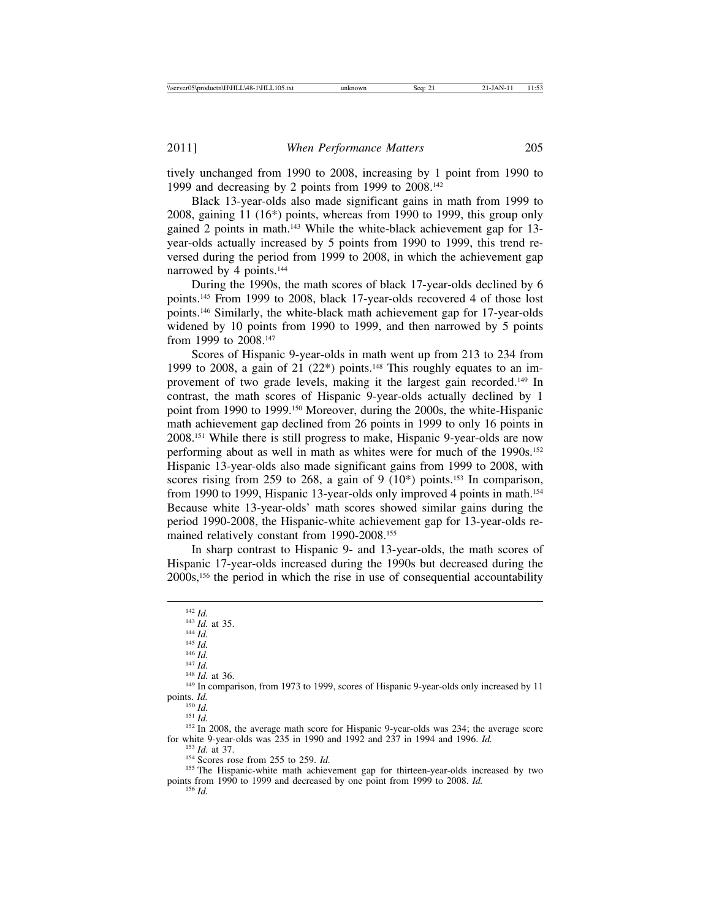tively unchanged from 1990 to 2008, increasing by 1 point from 1990 to 1999 and decreasing by 2 points from 1999 to 2008.142

Black 13-year-olds also made significant gains in math from 1999 to 2008, gaining 11 (16\*) points, whereas from 1990 to 1999, this group only gained 2 points in math.143 While the white-black achievement gap for 13 year-olds actually increased by 5 points from 1990 to 1999, this trend reversed during the period from 1999 to 2008, in which the achievement gap narrowed by 4 points.<sup>144</sup>

During the 1990s, the math scores of black 17-year-olds declined by 6 points.145 From 1999 to 2008, black 17-year-olds recovered 4 of those lost points.146 Similarly, the white-black math achievement gap for 17-year-olds widened by 10 points from 1990 to 1999, and then narrowed by 5 points from 1999 to 2008.147

Scores of Hispanic 9-year-olds in math went up from 213 to 234 from 1999 to 2008, a gain of 21  $(22^*)$  points.<sup>148</sup> This roughly equates to an improvement of two grade levels, making it the largest gain recorded.149 In contrast, the math scores of Hispanic 9-year-olds actually declined by 1 point from 1990 to 1999.150 Moreover, during the 2000s, the white-Hispanic math achievement gap declined from 26 points in 1999 to only 16 points in 2008.151 While there is still progress to make, Hispanic 9-year-olds are now performing about as well in math as whites were for much of the 1990s.<sup>152</sup> Hispanic 13-year-olds also made significant gains from 1999 to 2008, with scores rising from 259 to 268, a gain of 9  $(10^*)$  points.<sup>153</sup> In comparison, from 1990 to 1999, Hispanic 13-year-olds only improved 4 points in math.154 Because white 13-year-olds' math scores showed similar gains during the period 1990-2008, the Hispanic-white achievement gap for 13-year-olds remained relatively constant from 1990-2008.155

In sharp contrast to Hispanic 9- and 13-year-olds, the math scores of Hispanic 17-year-olds increased during the 1990s but decreased during the 2000s,156 the period in which the rise in use of consequential accountability

142 *Id.*<br>
143 *Id.* at 35.<br>
144 *Id.*<br>
145 *Id.*<br>
146 *Id.*<br>
148 *Id.* 147<br>
148 *Id.* at 36.<br>
149 In comparison, from 1973 to 1999, scores of Hispanic 9-year-olds only increased by 11<br>
150 *Id.*<br>
150 *Id.* 

<sup>151</sup> *Id.* <sup>152</sup> In 2008, the average math score for Hispanic 9-year-olds was 234; the average score for white 9-year-olds was 235 in 1990 and 1992 and 237 in 1994 and 1996. *Id.* 

 $153$  *Id.* at 37.<br><sup>154</sup> Scores rose from 255 to 259. *Id.*<br><sup>155</sup> The Hispanic-white math achievement gap for thirteen-year-olds increased by two points from 1990 to 1999 and decreased by one point from 1999 to 2008. *Id.* <sup>156</sup> *Id.*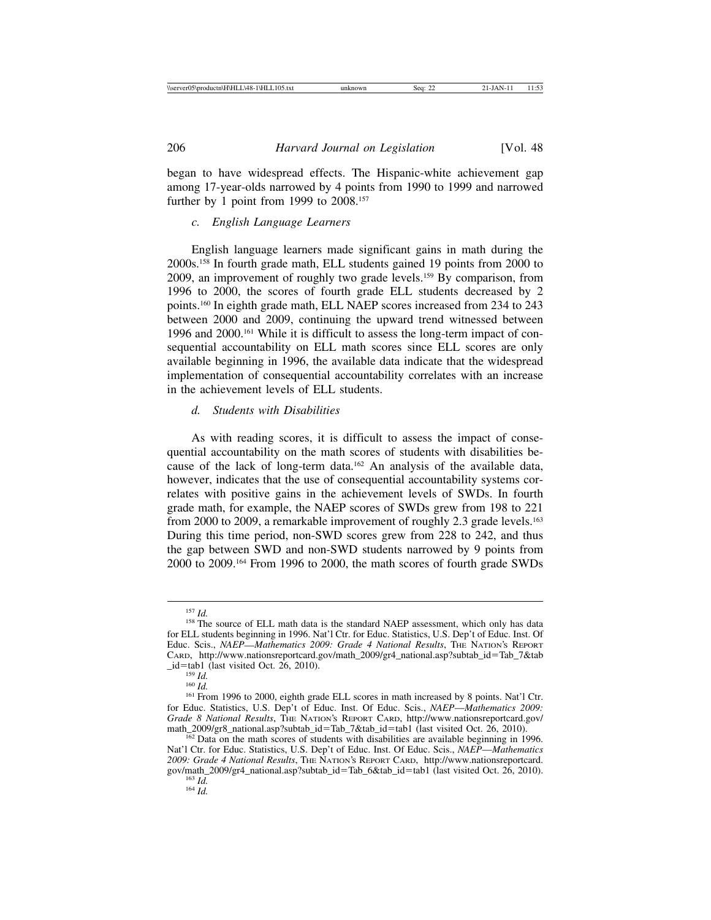began to have widespread effects. The Hispanic-white achievement gap among 17-year-olds narrowed by 4 points from 1990 to 1999 and narrowed further by 1 point from 1999 to 2008.<sup>157</sup>

#### *c. English Language Learners*

English language learners made significant gains in math during the 2000s.158 In fourth grade math, ELL students gained 19 points from 2000 to 2009, an improvement of roughly two grade levels.159 By comparison, from 1996 to 2000, the scores of fourth grade ELL students decreased by 2 points.160 In eighth grade math, ELL NAEP scores increased from 234 to 243 between 2000 and 2009, continuing the upward trend witnessed between 1996 and 2000.161 While it is difficult to assess the long-term impact of consequential accountability on ELL math scores since ELL scores are only available beginning in 1996, the available data indicate that the widespread implementation of consequential accountability correlates with an increase in the achievement levels of ELL students.

#### *d. Students with Disabilities*

As with reading scores, it is difficult to assess the impact of consequential accountability on the math scores of students with disabilities because of the lack of long-term data.162 An analysis of the available data, however, indicates that the use of consequential accountability systems correlates with positive gains in the achievement levels of SWDs. In fourth grade math, for example, the NAEP scores of SWDs grew from 198 to 221 from 2000 to 2009, a remarkable improvement of roughly 2.3 grade levels.<sup>163</sup> During this time period, non-SWD scores grew from 228 to 242, and thus the gap between SWD and non-SWD students narrowed by 9 points from 2000 to 2009.164 From 1996 to 2000, the math scores of fourth grade SWDs

<sup>&</sup>lt;sup>157 *Id.* 158 *Id.* 158 *If <i>Is* The source of ELL math data is the standard NAEP assessment, which only has data</sup> for ELL students beginning in 1996. Nat'l Ctr. for Educ. Statistics, U.S. Dep't of Educ. Inst. Of Educ. Scis., *NAEP*—*Mathematics 2009: Grade 4 National Results*, THE NATION'S REPORT CARD, http://www.nationsreportcard.gov/math\_2009/gr4\_national.asp?subtab\_id=Tab\_7&tab

<sup>&</sup>lt;sup>159</sup> *Id.* <sup>160</sup> *Id.* 160 *Id.* 160 *Id.* 160 *Id.* 160 *Id.* 160 *Id.* 161 From 1996 to 2000, eighth grade ELL scores in math increased by 8 points. Nat'l Ctr. for Educ. Statistics, U.S. Dep't of Educ. Inst. Of Educ. Scis., *NAEP*—*Mathematics 2009: Grade 8 National Results*, THE NATION's REPORT CARD, http://www.nationsreportcard.gov/<br>math\_2009/gr8\_national.asp?subtab\_id=Tab\_7&tab\_id=tab1 (last visited Oct. 26, 2010).

 $\frac{162}{162}$  Data on the math scores of students with disabilities are available beginning in 1996. Nat'l Ctr. for Educ. Statistics, U.S. Dep't of Educ. Inst. Of Educ. Scis., *NAEP*—*Mathematics 2009: Grade 4 National Results*, THE NATION'S REPORT CARD, http://www.nationsreportcard. gov/math\_2009/gr4\_national.asp?subtab\_id=Tab\_6&tab\_id=tab1 (last visited Oct. 26, 2010). <sup>163</sup> *Id.* <sup>164</sup> *Id.*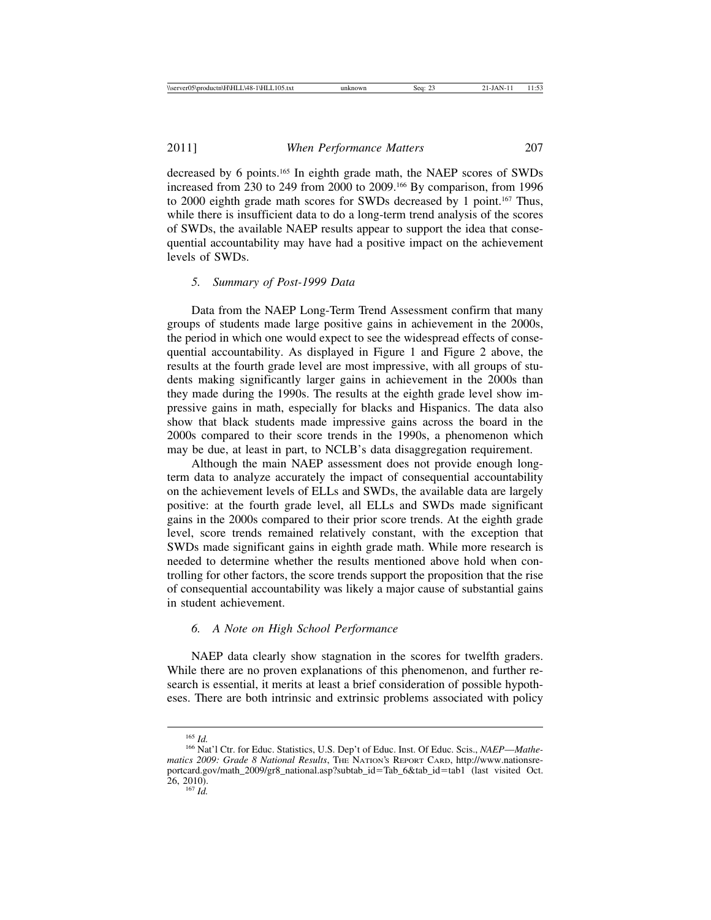decreased by 6 points.165 In eighth grade math, the NAEP scores of SWDs increased from 230 to 249 from 2000 to 2009.166 By comparison, from 1996 to 2000 eighth grade math scores for SWDs decreased by 1 point.<sup>167</sup> Thus, while there is insufficient data to do a long-term trend analysis of the scores of SWDs, the available NAEP results appear to support the idea that consequential accountability may have had a positive impact on the achievement levels of SWDs.

#### *5. Summary of Post-1999 Data*

Data from the NAEP Long-Term Trend Assessment confirm that many groups of students made large positive gains in achievement in the 2000s, the period in which one would expect to see the widespread effects of consequential accountability. As displayed in Figure 1 and Figure 2 above, the results at the fourth grade level are most impressive, with all groups of students making significantly larger gains in achievement in the 2000s than they made during the 1990s. The results at the eighth grade level show impressive gains in math, especially for blacks and Hispanics. The data also show that black students made impressive gains across the board in the 2000s compared to their score trends in the 1990s, a phenomenon which may be due, at least in part, to NCLB's data disaggregation requirement.

Although the main NAEP assessment does not provide enough longterm data to analyze accurately the impact of consequential accountability on the achievement levels of ELLs and SWDs, the available data are largely positive: at the fourth grade level, all ELLs and SWDs made significant gains in the 2000s compared to their prior score trends. At the eighth grade level, score trends remained relatively constant, with the exception that SWDs made significant gains in eighth grade math. While more research is needed to determine whether the results mentioned above hold when controlling for other factors, the score trends support the proposition that the rise of consequential accountability was likely a major cause of substantial gains in student achievement.

#### *6. A Note on High School Performance*

NAEP data clearly show stagnation in the scores for twelfth graders. While there are no proven explanations of this phenomenon, and further research is essential, it merits at least a brief consideration of possible hypotheses. There are both intrinsic and extrinsic problems associated with policy

<sup>165</sup> *Id.* <sup>166</sup> Nat'l Ctr. for Educ. Statistics, U.S. Dep't of Educ. Inst. Of Educ. Scis., *NAEP*—*Mathematics 2009: Grade 8 National Results*, THE NATION'S REPORT CARD, http://www.nationsreportcard.gov/math\_2009/gr8\_national.asp?subtab\_id=Tab\_6&tab\_id=tab1 (last visited Oct.  $\overline{26}$ , 2010).<br><sup>167</sup> *Id.*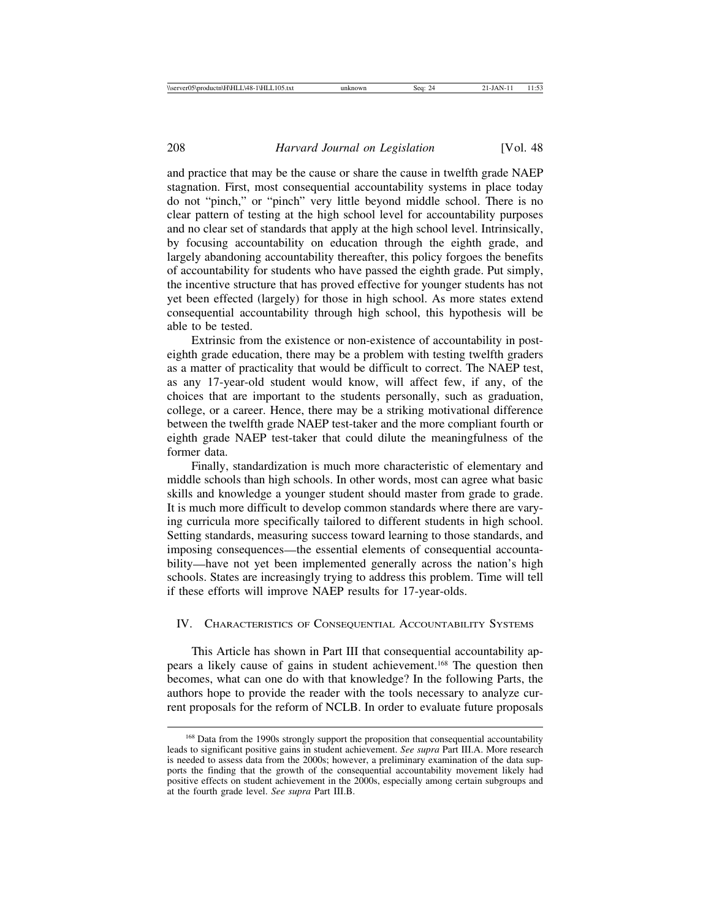and practice that may be the cause or share the cause in twelfth grade NAEP stagnation. First, most consequential accountability systems in place today do not "pinch," or "pinch" very little beyond middle school. There is no clear pattern of testing at the high school level for accountability purposes and no clear set of standards that apply at the high school level. Intrinsically, by focusing accountability on education through the eighth grade, and largely abandoning accountability thereafter, this policy forgoes the benefits of accountability for students who have passed the eighth grade. Put simply, the incentive structure that has proved effective for younger students has not yet been effected (largely) for those in high school. As more states extend consequential accountability through high school, this hypothesis will be able to be tested.

Extrinsic from the existence or non-existence of accountability in posteighth grade education, there may be a problem with testing twelfth graders as a matter of practicality that would be difficult to correct. The NAEP test, as any 17-year-old student would know, will affect few, if any, of the choices that are important to the students personally, such as graduation, college, or a career. Hence, there may be a striking motivational difference between the twelfth grade NAEP test-taker and the more compliant fourth or eighth grade NAEP test-taker that could dilute the meaningfulness of the former data.

Finally, standardization is much more characteristic of elementary and middle schools than high schools. In other words, most can agree what basic skills and knowledge a younger student should master from grade to grade. It is much more difficult to develop common standards where there are varying curricula more specifically tailored to different students in high school. Setting standards, measuring success toward learning to those standards, and imposing consequences—the essential elements of consequential accountability—have not yet been implemented generally across the nation's high schools. States are increasingly trying to address this problem. Time will tell if these efforts will improve NAEP results for 17-year-olds.

#### IV. CHARACTERISTICS OF CONSEQUENTIAL ACCOUNTABILITY SYSTEMS

This Article has shown in Part III that consequential accountability appears a likely cause of gains in student achievement.168 The question then becomes, what can one do with that knowledge? In the following Parts, the authors hope to provide the reader with the tools necessary to analyze current proposals for the reform of NCLB. In order to evaluate future proposals

<sup>&</sup>lt;sup>168</sup> Data from the 1990s strongly support the proposition that consequential accountability leads to significant positive gains in student achievement. *See supra* Part III.A. More research is needed to assess data from the 2000s; however, a preliminary examination of the data supports the finding that the growth of the consequential accountability movement likely had positive effects on student achievement in the 2000s, especially among certain subgroups and at the fourth grade level. *See supra* Part III.B.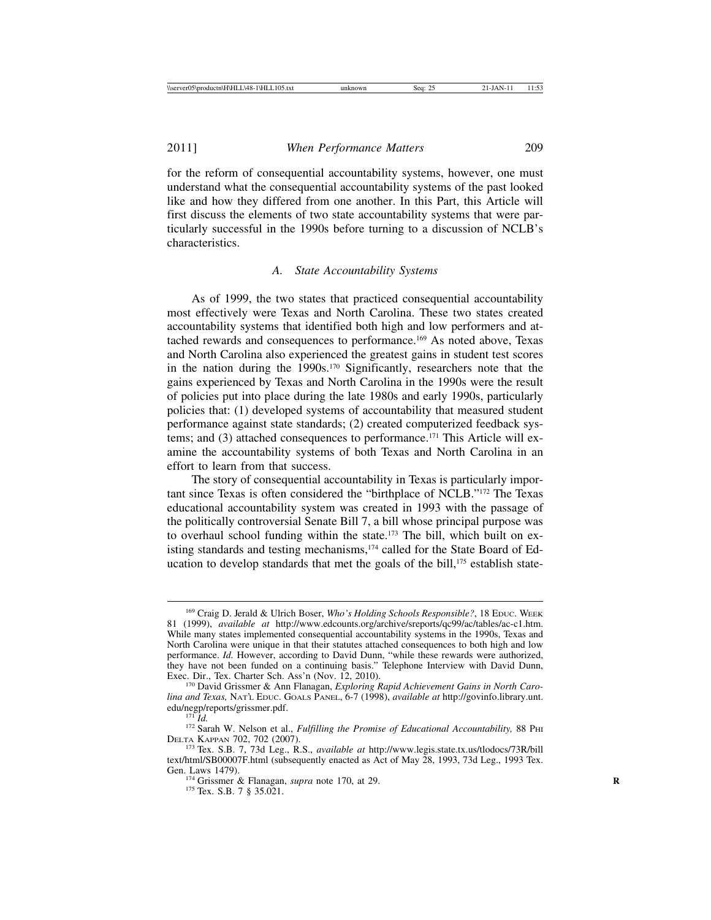for the reform of consequential accountability systems, however, one must understand what the consequential accountability systems of the past looked like and how they differed from one another. In this Part, this Article will first discuss the elements of two state accountability systems that were particularly successful in the 1990s before turning to a discussion of NCLB's characteristics.

#### *A. State Accountability Systems*

As of 1999, the two states that practiced consequential accountability most effectively were Texas and North Carolina. These two states created accountability systems that identified both high and low performers and attached rewards and consequences to performance.169 As noted above, Texas and North Carolina also experienced the greatest gains in student test scores in the nation during the 1990s.170 Significantly, researchers note that the gains experienced by Texas and North Carolina in the 1990s were the result of policies put into place during the late 1980s and early 1990s, particularly policies that: (1) developed systems of accountability that measured student performance against state standards; (2) created computerized feedback systems; and  $(3)$  attached consequences to performance.<sup>171</sup> This Article will examine the accountability systems of both Texas and North Carolina in an effort to learn from that success.

The story of consequential accountability in Texas is particularly important since Texas is often considered the "birthplace of NCLB."172 The Texas educational accountability system was created in 1993 with the passage of the politically controversial Senate Bill 7, a bill whose principal purpose was to overhaul school funding within the state.173 The bill, which built on existing standards and testing mechanisms,<sup>174</sup> called for the State Board of Education to develop standards that met the goals of the bill,<sup>175</sup> establish state-

<sup>169</sup> Craig D. Jerald & Ulrich Boser, *Who's Holding Schools Responsible?*, 18 EDUC. WEEK 81 (1999), *available at* http://www.edcounts.org/archive/sreports/qc99/ac/tables/ac-c1.htm. While many states implemented consequential accountability systems in the 1990s, Texas and North Carolina were unique in that their statutes attached consequences to both high and low performance. *Id.* However, according to David Dunn, "while these rewards were authorized, they have not been funded on a continuing basis." Telephone Interview with David Dunn, Exec. Dir., Tex. Charter Sch. Ass'n (Nov. 12, 2010).

<sup>&</sup>lt;sup>170</sup> David Grissmer & Ann Flanagan, *Exploring Rapid Achievement Gains in North Carolina and Texas,* NAT'L EDUC. GOALS PANEL, 6-7 (1998), *available at* http://govinfo.library.unt.

edu/negp/reports/grissmer.pdf. 171 *Id.* 171 *Id.* 172 Sarah W. Nelson et al., *Fulfilling the Promise of Educational Accountability, 88 PHI*<br>DELTA KAPPAN 702, 702 (2007).

<sup>&</sup>lt;sup>173</sup> Tex. S.B. 7, 73d Leg., R.S., *available at http://www.legis.state.tx.us/tlodocs/73R/bill* text/html/SB00007F.html (subsequently enacted as Act of May 28, 1993, 73d Leg., 1993 Tex. Gen. Laws 1479).

<sup>&</sup>lt;sup>174</sup> Grissmer & Flanagan, *supra* note 170, at 29. <sup>175</sup> Tex. S.B. 7 § 35.021.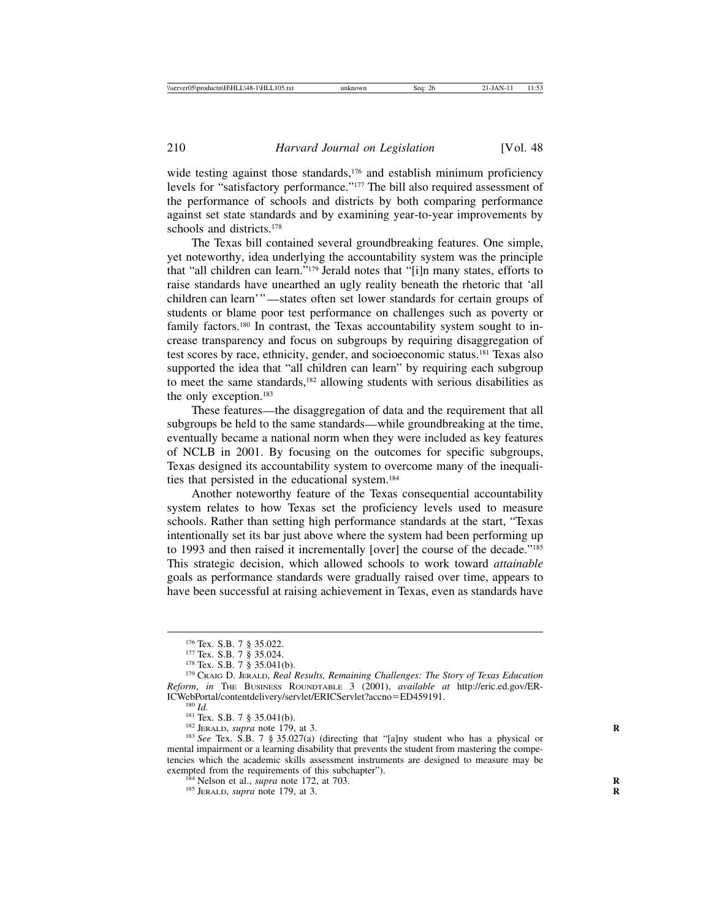wide testing against those standards,<sup>176</sup> and establish minimum proficiency levels for "satisfactory performance."177 The bill also required assessment of the performance of schools and districts by both comparing performance against set state standards and by examining year-to-year improvements by schools and districts.178

The Texas bill contained several groundbreaking features. One simple, yet noteworthy, idea underlying the accountability system was the principle that "all children can learn."179 Jerald notes that "[i]n many states, efforts to raise standards have unearthed an ugly reality beneath the rhetoric that 'all children can learn'"—states often set lower standards for certain groups of students or blame poor test performance on challenges such as poverty or family factors.<sup>180</sup> In contrast, the Texas accountability system sought to increase transparency and focus on subgroups by requiring disaggregation of test scores by race, ethnicity, gender, and socioeconomic status.181 Texas also supported the idea that "all children can learn" by requiring each subgroup to meet the same standards,<sup>182</sup> allowing students with serious disabilities as the only exception.183

These features—the disaggregation of data and the requirement that all subgroups be held to the same standards—while groundbreaking at the time, eventually became a national norm when they were included as key features of NCLB in 2001. By focusing on the outcomes for specific subgroups, Texas designed its accountability system to overcome many of the inequalities that persisted in the educational system.184

Another noteworthy feature of the Texas consequential accountability system relates to how Texas set the proficiency levels used to measure schools. Rather than setting high performance standards at the start, "Texas intentionally set its bar just above where the system had been performing up to 1993 and then raised it incrementally [over] the course of the decade."185 This strategic decision, which allowed schools to work toward *attainable* goals as performance standards were gradually raised over time, appears to have been successful at raising achievement in Texas, even as standards have

<sup>180</sup> *Id.*<br><sup>181</sup> Tex. S.B. 7 § 35.041(b).<br><sup>182</sup> JERALD, *supra* note 179, at 3.<br><sup>182</sup> JERALD, *supra* note 179, at 3.<br><sup>183</sup> See Tex. S.B. 7 § 35.027(a) (directing that "[a]ny student who has a physical or mental impairment or a learning disability that prevents the student from mastering the competencies which the academic skills assessment instruments are designed to measure may be exempted from the requirements of this subchapter"). <sup>184</sup> Nelson et al., *supra* note 172, at 703. *RB 185 JERALD, <i>supra* note 179, at 3.

<sup>&</sup>lt;sup>176</sup> Tex. S.B. 7 § 35.022.<br><sup>177</sup> Tex. S.B. 7 § 35.024.<br><sup>178</sup> Tex. S.B. 7 § 35.041(b).<br><sup>179</sup> CRAIG D. JERALD, *Real Results, Remaining Challenges: The Story of Texas Education Reform*, *in* THE BUSINESS ROUNDTABLE 3 (2001), *available at* http://eric.ed.gov/ER-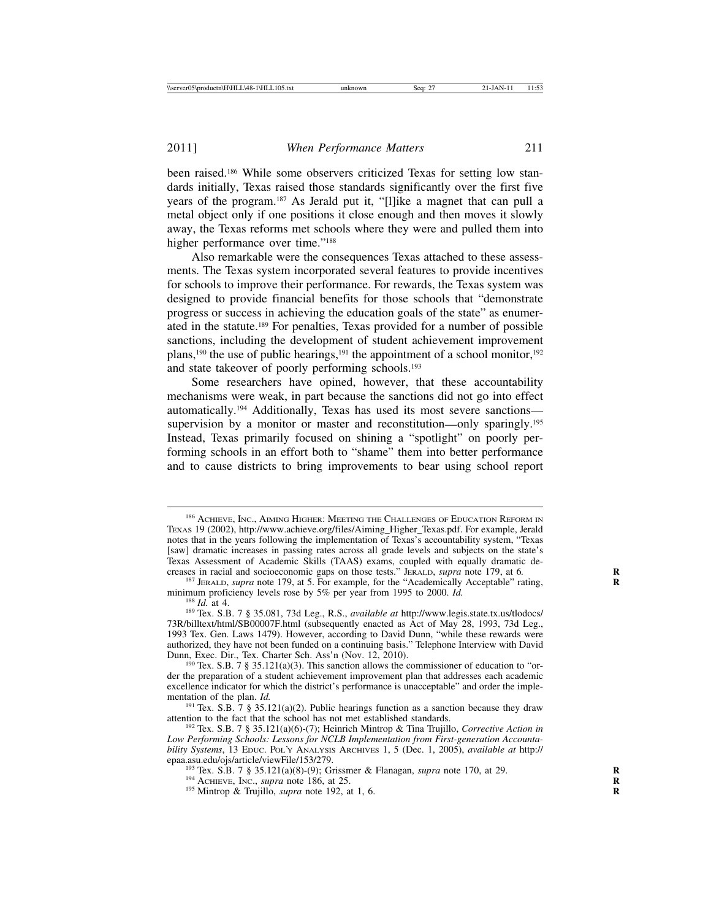been raised.186 While some observers criticized Texas for setting low standards initially, Texas raised those standards significantly over the first five years of the program.187 As Jerald put it, "[l]ike a magnet that can pull a metal object only if one positions it close enough and then moves it slowly away, the Texas reforms met schools where they were and pulled them into higher performance over time."<sup>188</sup>

Also remarkable were the consequences Texas attached to these assessments. The Texas system incorporated several features to provide incentives for schools to improve their performance. For rewards, the Texas system was designed to provide financial benefits for those schools that "demonstrate progress or success in achieving the education goals of the state" as enumerated in the statute.189 For penalties, Texas provided for a number of possible sanctions, including the development of student achievement improvement plans,<sup>190</sup> the use of public hearings,<sup>191</sup> the appointment of a school monitor,<sup>192</sup> and state takeover of poorly performing schools.193

Some researchers have opined, however, that these accountability mechanisms were weak, in part because the sanctions did not go into effect automatically.194 Additionally, Texas has used its most severe sanctions supervision by a monitor or master and reconstitution—only sparingly.<sup>195</sup> Instead, Texas primarily focused on shining a "spotlight" on poorly performing schools in an effort both to "shame" them into better performance and to cause districts to bring improvements to bear using school report

<sup>187</sup> JERALD, *supra* note 179, at 5. For example, for the "Academically Acceptable" rating, minimum proficiency levels rose by 5% per year from 1995 to 2000. *Id.* 

<sup>188</sup> Id. at 4. *Id.* at 4. *Id.* at 4. *If.* **2000.** *Id.* **189 Tex. S.B. 7 § 35.081, 73d Leg., R.S.,** *available at http://www.legis.state.tx.us/tlodocs/* 73R/billtext/html/SB00007F.html (subsequently enacted as Act of May 28, 1993, 73d Leg., 1993 Tex. Gen. Laws 1479). However, according to David Dunn, "while these rewards were authorized, they have not been funded on a continuing basis." Telephone Interview with David

<sup>190</sup> Tex. S.B. 7 § 35.121(a)(3). This sanction allows the commissioner of education to "order the preparation of a student achievement improvement plan that addresses each academic excellence indicator for which the district's performance is unacceptable" and order the imple-<br>mentation of the plan.  $Id$ .

<sup>191</sup> Tex. S.B.  $\overline{7}$  § 35.121(a)(2). Public hearings function as a sanction because they draw attention to the fact that the school has not met established standards.

<sup>192</sup> Tex. S.B. 7 § 35.121(a)(6)-(7); Heinrich Mintrop & Tina Trujillo, *Corrective Action in Low Performing Schools: Lessons for NCLB Implementation from First-generation Accountability Systems*, 13 EDUC. POL'Y ANALYSIS ARCHIVES 1, 5 (Dec. 1, 2005), *available at* http://

<sup>193</sup> Tex. S.B. 7 § 35.121(a)(8)-(9); Grissmer & Flanagan, *supra* note 170, at 29.<br><sup>194</sup> ACHIEVE, INC., *supra* note 186, at 25.<br><sup>195</sup> Mintrop & Trujillo, *supra* note 192, at 1, 6.

<sup>186</sup> ACHIEVE, INC., AIMING HIGHER: MEETING THE CHALLENGES OF EDUCATION REFORM IN TEXAS 19 (2002), http://www.achieve.org/files/Aiming\_Higher\_Texas.pdf. For example, Jerald notes that in the years following the implementation of Texas's accountability system, "Texas [saw] dramatic increases in passing rates across all grade levels and subjects on the state's Texas Assessment of Academic Skills (TAAS) exams, coupled with equally dramatic decreases in racial and socioeconomic gaps on those tests." JERALD, *supra* note 179, at 6.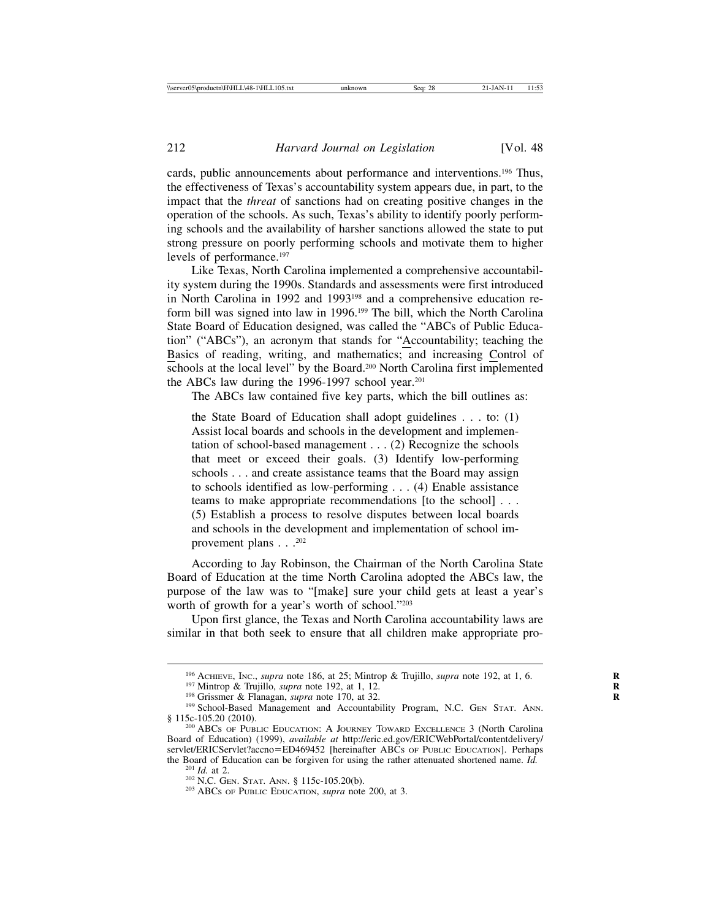cards, public announcements about performance and interventions.196 Thus, the effectiveness of Texas's accountability system appears due, in part, to the impact that the *threat* of sanctions had on creating positive changes in the operation of the schools. As such, Texas's ability to identify poorly performing schools and the availability of harsher sanctions allowed the state to put strong pressure on poorly performing schools and motivate them to higher levels of performance.<sup>197</sup>

Like Texas, North Carolina implemented a comprehensive accountability system during the 1990s. Standards and assessments were first introduced in North Carolina in 1992 and 1993198 and a comprehensive education reform bill was signed into law in 1996.199 The bill, which the North Carolina State Board of Education designed, was called the "ABCs of Public Education" ("ABCs"), an acronym that stands for "Accountability; teaching the Basics of reading, writing, and mathematics; and increasing Control of schools at the local level" by the Board.<sup>200</sup> North Carolina first implemented the ABCs law during the 1996-1997 school year.<sup>201</sup>

The ABCs law contained five key parts, which the bill outlines as:

the State Board of Education shall adopt guidelines . . . to: (1) Assist local boards and schools in the development and implementation of school-based management . . . (2) Recognize the schools that meet or exceed their goals. (3) Identify low-performing schools . . . and create assistance teams that the Board may assign to schools identified as low-performing . . . (4) Enable assistance teams to make appropriate recommendations [to the school] . . . (5) Establish a process to resolve disputes between local boards and schools in the development and implementation of school improvement plans . . .<sup>202</sup>

According to Jay Robinson, the Chairman of the North Carolina State Board of Education at the time North Carolina adopted the ABCs law, the purpose of the law was to "[make] sure your child gets at least a year's worth of growth for a year's worth of school."203

Upon first glance, the Texas and North Carolina accountability laws are similar in that both seek to ensure that all children make appropriate pro-

<sup>&</sup>lt;sup>196</sup> ACHIEVE, INC., *supra* note 186, at 25; Mintrop & Trujillo, *supra* note 192, at 1, 6.<br><sup>197</sup> Mintrop & Trujillo, *supra* note 192, at 1, 12.<br><sup>198</sup> Grissmer & Flanagan, *supra* note 170, at 32.<br><sup>199</sup> School-Based Man

<sup>&</sup>lt;sup>200</sup> ABCs OF PUBLIC EDUCATION: A JOURNEY TOWARD EXCELLENCE 3 (North Carolina Board of Education) (1999), *available at* http://eric.ed.gov/ERICWebPortal/contentdelivery/ servlet/ERICServlet?accno=ED469452 [hereinafter ABCs of PUBLIC EDUCATION]. Perhaps the Board of Education can be forgiven for using the rather attenuated shortened name. *Id.* <sup>201</sup> *Id.* at 2. <sup>202</sup> N.C. GEN. STAT. ANN. § 115c-105.20(b). <sup>203</sup> ABCs of PUBLIC EDUCATION, *supra* note 200, at 3.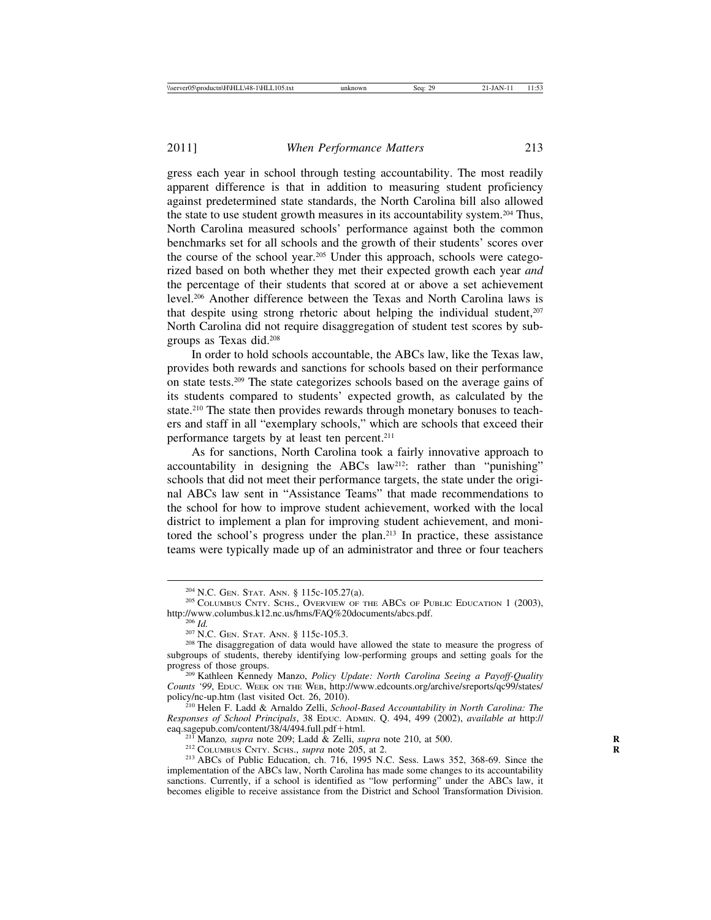gress each year in school through testing accountability. The most readily apparent difference is that in addition to measuring student proficiency against predetermined state standards, the North Carolina bill also allowed the state to use student growth measures in its accountability system.<sup>204</sup> Thus, North Carolina measured schools' performance against both the common benchmarks set for all schools and the growth of their students' scores over the course of the school year.205 Under this approach, schools were categorized based on both whether they met their expected growth each year *and* the percentage of their students that scored at or above a set achievement level.206 Another difference between the Texas and North Carolina laws is that despite using strong rhetoric about helping the individual student, $207$ North Carolina did not require disaggregation of student test scores by subgroups as Texas did.208

In order to hold schools accountable, the ABCs law, like the Texas law, provides both rewards and sanctions for schools based on their performance on state tests.209 The state categorizes schools based on the average gains of its students compared to students' expected growth, as calculated by the state.210 The state then provides rewards through monetary bonuses to teachers and staff in all "exemplary schools," which are schools that exceed their performance targets by at least ten percent.211

As for sanctions, North Carolina took a fairly innovative approach to accountability in designing the ABCs  $law^{212}$ : rather than "punishing" schools that did not meet their performance targets, the state under the original ABCs law sent in "Assistance Teams" that made recommendations to the school for how to improve student achievement, worked with the local district to implement a plan for improving student achievement, and monitored the school's progress under the plan.213 In practice, these assistance teams were typically made up of an administrator and three or four teachers

<sup>211</sup> Manzo, *supra* note 209; Ladd & Zelli, *supra* note 210, at 500.<br><sup>212</sup> COLUMBUS CNTY. SCHS., *supra* note 205, at 2.<br><sup>213</sup> ABCs of Public Education, ch. 716, 1995 N.C. Sess. Laws 352, 368-69. Since the implementation of the ABCs law, North Carolina has made some changes to its accountability sanctions. Currently, if a school is identified as "low performing" under the ABCs law, it becomes eligible to receive assistance from the District and School Transformation Division.

<sup>&</sup>lt;sup>204</sup> N.C. GEN. STAT. ANN. § 115c-105.27(a).<br><sup>205</sup> COLUMBUS CNTY. SCHS., OVERVIEW OF THE ABCS OF PUBLIC EDUCATION 1 (2003),<br>http://www.columbus.k12.nc.us/hms/FAQ%20documents/abcs.pdf.

<sup>&</sup>lt;sup>206</sup> *Id.*<br><sup>207</sup> N.C. GEN. STAT. ANN. § 115c-105.3. <sup>208</sup> The disaggregation of data would have allowed the state to measure the progress of subgroups of students, thereby identifying low-performing groups and setting goals for the

<sup>&</sup>lt;sup>209</sup> Kathleen Kennedy Manzo, *Policy Update: North Carolina Seeing a Payoff-Quality Counts '99*, EDUC. WEEK ON THE WEB, http://www.edcounts.org/archive/sreports/qc99/states/

<sup>&</sup>lt;sup>210</sup> Helen F. Ladd & Arnaldo Zelli, *School-Based Accountability in North Carolina: The Responses of School Principals*, 38 EDUC. ADMIN. Q. 494, 499 (2002), *available at* http://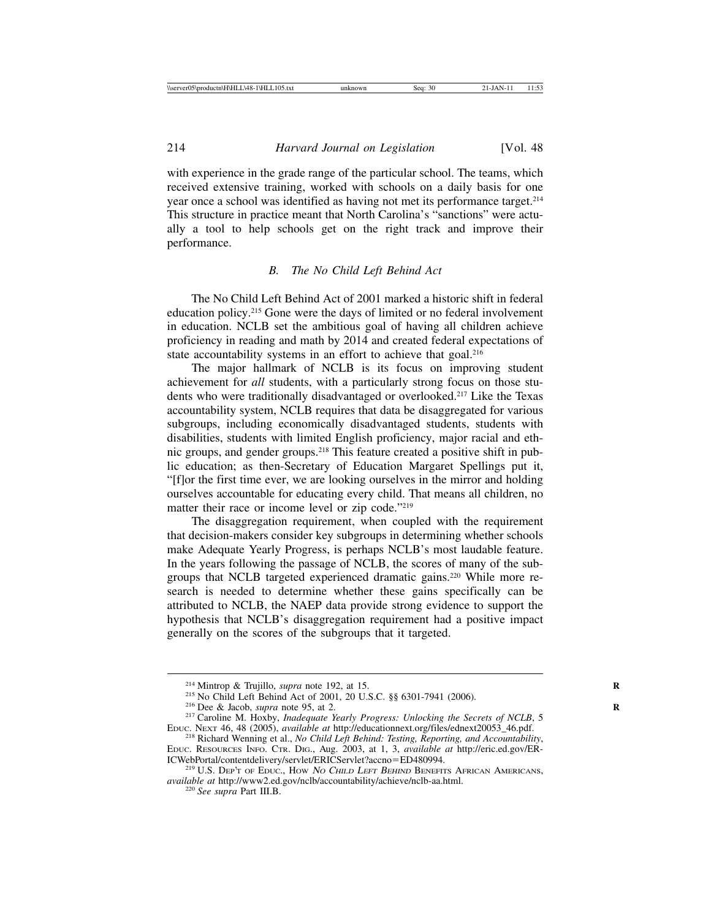with experience in the grade range of the particular school. The teams, which received extensive training, worked with schools on a daily basis for one year once a school was identified as having not met its performance target.214 This structure in practice meant that North Carolina's "sanctions" were actually a tool to help schools get on the right track and improve their performance.

#### *B. The No Child Left Behind Act*

The No Child Left Behind Act of 2001 marked a historic shift in federal education policy.215 Gone were the days of limited or no federal involvement in education. NCLB set the ambitious goal of having all children achieve proficiency in reading and math by 2014 and created federal expectations of state accountability systems in an effort to achieve that goal.<sup>216</sup>

The major hallmark of NCLB is its focus on improving student achievement for *all* students, with a particularly strong focus on those students who were traditionally disadvantaged or overlooked.217 Like the Texas accountability system, NCLB requires that data be disaggregated for various subgroups, including economically disadvantaged students, students with disabilities, students with limited English proficiency, major racial and ethnic groups, and gender groups.218 This feature created a positive shift in public education; as then-Secretary of Education Margaret Spellings put it, "[f]or the first time ever, we are looking ourselves in the mirror and holding ourselves accountable for educating every child. That means all children, no matter their race or income level or zip code."219

The disaggregation requirement, when coupled with the requirement that decision-makers consider key subgroups in determining whether schools make Adequate Yearly Progress, is perhaps NCLB's most laudable feature. In the years following the passage of NCLB, the scores of many of the subgroups that NCLB targeted experienced dramatic gains.220 While more research is needed to determine whether these gains specifically can be attributed to NCLB, the NAEP data provide strong evidence to support the hypothesis that NCLB's disaggregation requirement had a positive impact generally on the scores of the subgroups that it targeted.

<sup>&</sup>lt;sup>214</sup> Mintrop & Trujillo, *supra* note 192, at 15.<br><sup>215</sup> No Child Left Behind Act of 2001, 20 U.S.C. §§ 6301-7941 (2006).<br><sup>216</sup> Dee & Jacob, *supra* note 95, at 2.<br><sup>217</sup> Caroline M. Hoxby, *Inadequate Yearly Progress: Unl* 

<sup>&</sup>lt;sup>218</sup> Richard Wenning et al., *No Child Left Behind: Testing, Reporting, and Accountability,* EDUC. RESOURCES INFO. CTR. DIG., Aug. 2003, at 1, 3, *available at* http://eric.ed.gov/ER-

 $^{219}$  U.S. Dep't of Educ., How No Child Left Behind Benefits African Americans, *available at* http://www2.ed.gov/nclb/accountability/achieve/nclb-aa.html. <sup>220</sup> *See supra* Part III.B.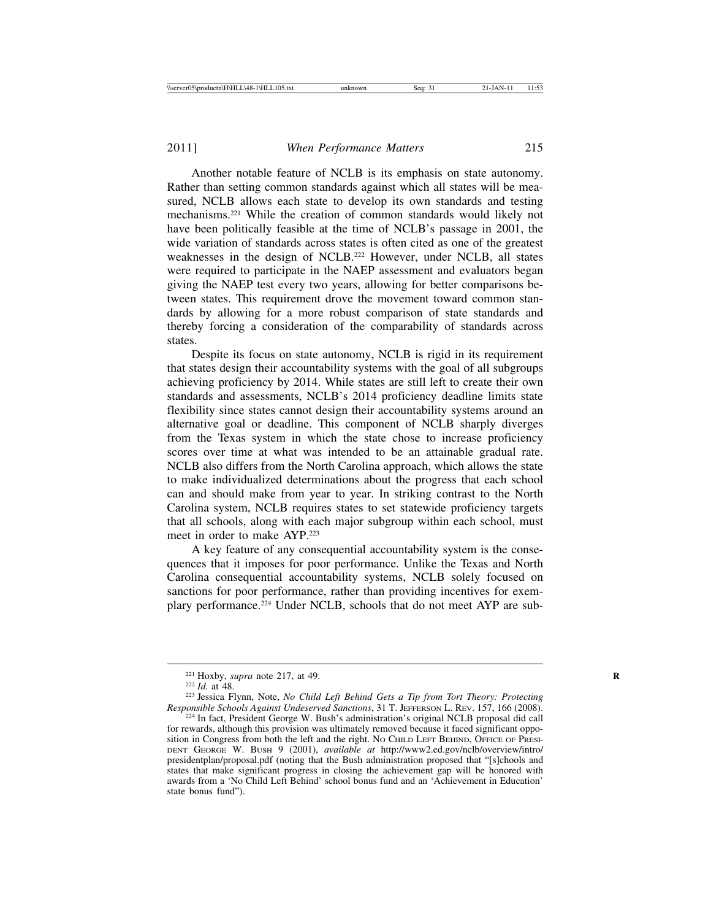Another notable feature of NCLB is its emphasis on state autonomy. Rather than setting common standards against which all states will be measured, NCLB allows each state to develop its own standards and testing mechanisms.221 While the creation of common standards would likely not have been politically feasible at the time of NCLB's passage in 2001, the wide variation of standards across states is often cited as one of the greatest weaknesses in the design of NCLB.<sup>222</sup> However, under NCLB, all states were required to participate in the NAEP assessment and evaluators began giving the NAEP test every two years, allowing for better comparisons between states. This requirement drove the movement toward common standards by allowing for a more robust comparison of state standards and thereby forcing a consideration of the comparability of standards across states.

Despite its focus on state autonomy, NCLB is rigid in its requirement that states design their accountability systems with the goal of all subgroups achieving proficiency by 2014. While states are still left to create their own standards and assessments, NCLB's 2014 proficiency deadline limits state flexibility since states cannot design their accountability systems around an alternative goal or deadline. This component of NCLB sharply diverges from the Texas system in which the state chose to increase proficiency scores over time at what was intended to be an attainable gradual rate. NCLB also differs from the North Carolina approach, which allows the state to make individualized determinations about the progress that each school can and should make from year to year. In striking contrast to the North Carolina system, NCLB requires states to set statewide proficiency targets that all schools, along with each major subgroup within each school, must meet in order to make AYP.223

A key feature of any consequential accountability system is the consequences that it imposes for poor performance. Unlike the Texas and North Carolina consequential accountability systems, NCLB solely focused on sanctions for poor performance, rather than providing incentives for exemplary performance.<sup>224</sup> Under NCLB, schools that do not meet AYP are sub-

<sup>&</sup>lt;sup>221</sup> Hoxby, *supra* note 217, at 49.<br><sup>222</sup> *Id.* at 48. <sup>223</sup> Jessica Flynn, Note, *No Child Left Behind Gets a Tip from Tort Theory: Protecting Responsible Schools Against Undeserved Sanctions, 31 T. JEFFERSON L. REV. 15* 

<sup>&</sup>lt;sup>224</sup> In fact, President George W. Bush's administration's original NCLB proposal did call for rewards, although this provision was ultimately removed because it faced significant opposition in Congress from both the left and the right. NO CHILD LEFT BEHIND, OFFICE OF PRESI-DENT GEORGE W. BUSH 9 (2001), *available at* http://www2.ed.gov/nclb/overview/intro/ presidentplan/proposal.pdf (noting that the Bush administration proposed that "[s]chools and states that make significant progress in closing the achievement gap will be honored with awards from a 'No Child Left Behind' school bonus fund and an 'Achievement in Education' state bonus fund").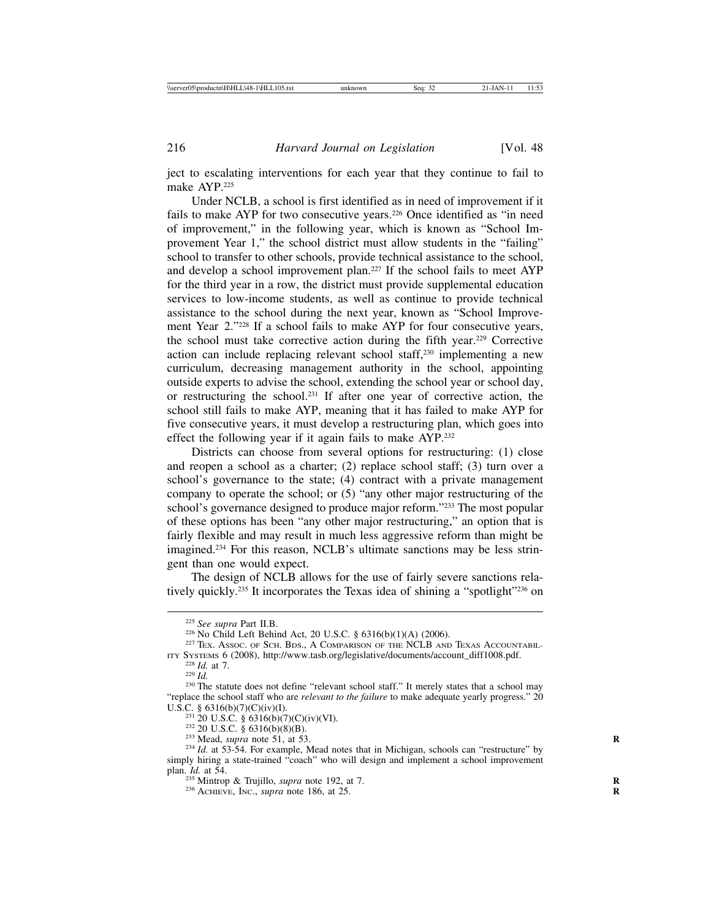ject to escalating interventions for each year that they continue to fail to make AYP.225

Under NCLB, a school is first identified as in need of improvement if it fails to make AYP for two consecutive years.<sup>226</sup> Once identified as "in need of improvement," in the following year, which is known as "School Improvement Year 1," the school district must allow students in the "failing" school to transfer to other schools, provide technical assistance to the school, and develop a school improvement plan.227 If the school fails to meet AYP for the third year in a row, the district must provide supplemental education services to low-income students, as well as continue to provide technical assistance to the school during the next year, known as "School Improvement Year 2."228 If a school fails to make AYP for four consecutive years, the school must take corrective action during the fifth year.229 Corrective action can include replacing relevant school staff,230 implementing a new curriculum, decreasing management authority in the school, appointing outside experts to advise the school, extending the school year or school day, or restructuring the school.231 If after one year of corrective action, the school still fails to make AYP, meaning that it has failed to make AYP for five consecutive years, it must develop a restructuring plan, which goes into effect the following year if it again fails to make AYP.232

Districts can choose from several options for restructuring: (1) close and reopen a school as a charter; (2) replace school staff; (3) turn over a school's governance to the state; (4) contract with a private management company to operate the school; or (5) "any other major restructuring of the school's governance designed to produce major reform."233 The most popular of these options has been "any other major restructuring," an option that is fairly flexible and may result in much less aggressive reform than might be imagined.234 For this reason, NCLB's ultimate sanctions may be less stringent than one would expect.

The design of NCLB allows for the use of fairly severe sanctions relatively quickly.235 It incorporates the Texas idea of shining a "spotlight"236 on

<sup>&</sup>lt;sup>225</sup> See supra Part II.B.<br><sup>226</sup> No Child Left Behind Act, 20 U.S.C. § 6316(b)(1)(A) (2006).<br><sup>227</sup> TEX. Assoc. OF SCH. BDS., A COMPARISON OF THE NCLB AND TEXAS ACCOUNTABIL-<br>ITY SYSTEMS 6 (2008), http://www.tasb.org/legisla

<sup>&</sup>lt;sup>228</sup> *Id.* at 7. <sup>229</sup> *Id.* **at 7.** <sup>229</sup> *Id.* **at 7.** <sup>230</sup> The statute does not define "relevant school staff." It merely states that a school may "replace the school staff who are *relevant to the failure* to make adequate yearly progress." 20 U.S.C. § 6316(b)(7)(C)(iv)(I).<br>
<sup>231</sup> 20 U.S.C. § 6316(b)(7)(C)(iv)(I).<br>
<sup>232</sup> 20 U.S.C. § 6316(b)(7)(C)(iv)(VI).<br>
<sup>232</sup> 20 U.S.C. § 6316(b)(8)(B).<br>
<sup>233</sup> Mead, *supra* note 51, at 53.<br>
<sup>234</sup> Id. at 53-54. For example, Me

simply hiring a state-trained "coach" who will design and implement a school improvement plan.  $Id$ . at 54.

<sup>&</sup>lt;sup>235</sup> Mintrop & Trujillo, *supra* note 192, at 7.<br><sup>236</sup> ACHIEVE, INC., *supra* note 186, at 25.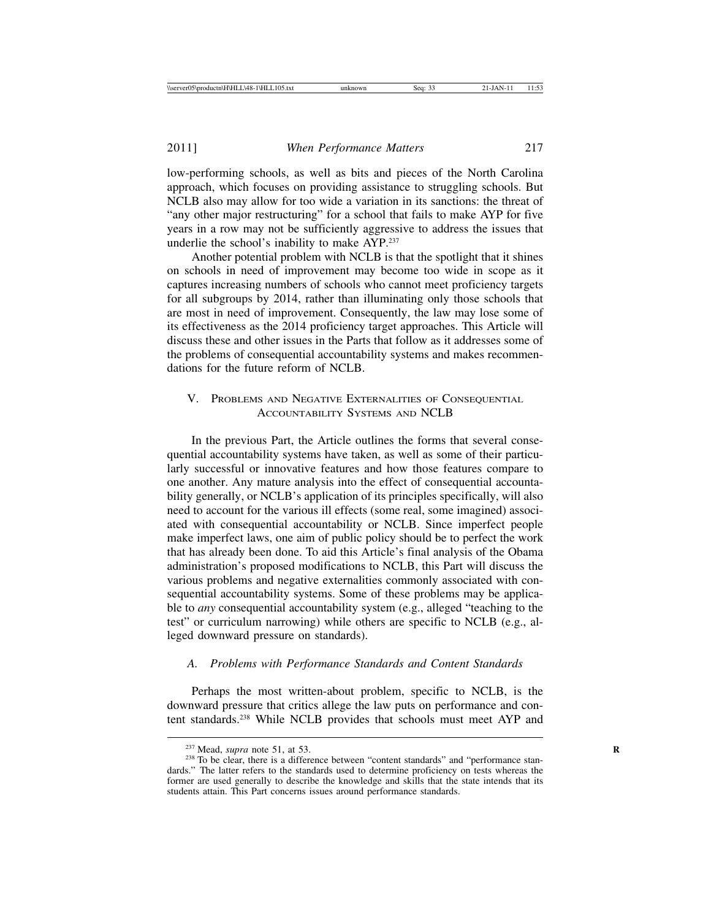low-performing schools, as well as bits and pieces of the North Carolina approach, which focuses on providing assistance to struggling schools. But NCLB also may allow for too wide a variation in its sanctions: the threat of "any other major restructuring" for a school that fails to make AYP for five years in a row may not be sufficiently aggressive to address the issues that underlie the school's inability to make AYP.237

Another potential problem with NCLB is that the spotlight that it shines on schools in need of improvement may become too wide in scope as it captures increasing numbers of schools who cannot meet proficiency targets for all subgroups by 2014, rather than illuminating only those schools that are most in need of improvement. Consequently, the law may lose some of its effectiveness as the 2014 proficiency target approaches. This Article will discuss these and other issues in the Parts that follow as it addresses some of the problems of consequential accountability systems and makes recommendations for the future reform of NCLB.

#### V. PROBLEMS AND NEGATIVE EXTERNALITIES OF CONSEQUENTIAL ACCOUNTABILITY SYSTEMS AND NCLB

In the previous Part, the Article outlines the forms that several consequential accountability systems have taken, as well as some of their particularly successful or innovative features and how those features compare to one another. Any mature analysis into the effect of consequential accountability generally, or NCLB's application of its principles specifically, will also need to account for the various ill effects (some real, some imagined) associated with consequential accountability or NCLB. Since imperfect people make imperfect laws, one aim of public policy should be to perfect the work that has already been done. To aid this Article's final analysis of the Obama administration's proposed modifications to NCLB, this Part will discuss the various problems and negative externalities commonly associated with consequential accountability systems. Some of these problems may be applicable to *any* consequential accountability system (e.g., alleged "teaching to the test" or curriculum narrowing) while others are specific to NCLB (e.g., alleged downward pressure on standards).

#### *A. Problems with Performance Standards and Content Standards*

Perhaps the most written-about problem, specific to NCLB, is the downward pressure that critics allege the law puts on performance and content standards.238 While NCLB provides that schools must meet AYP and

<sup>&</sup>lt;sup>237</sup> Mead, *supra* note 51, at 53.<br><sup>238</sup> To be clear, there is a difference between "content standards" and "performance standards." The latter refers to the standards used to determine proficiency on tests whereas the former are used generally to describe the knowledge and skills that the state intends that its students attain. This Part concerns issues around performance standards.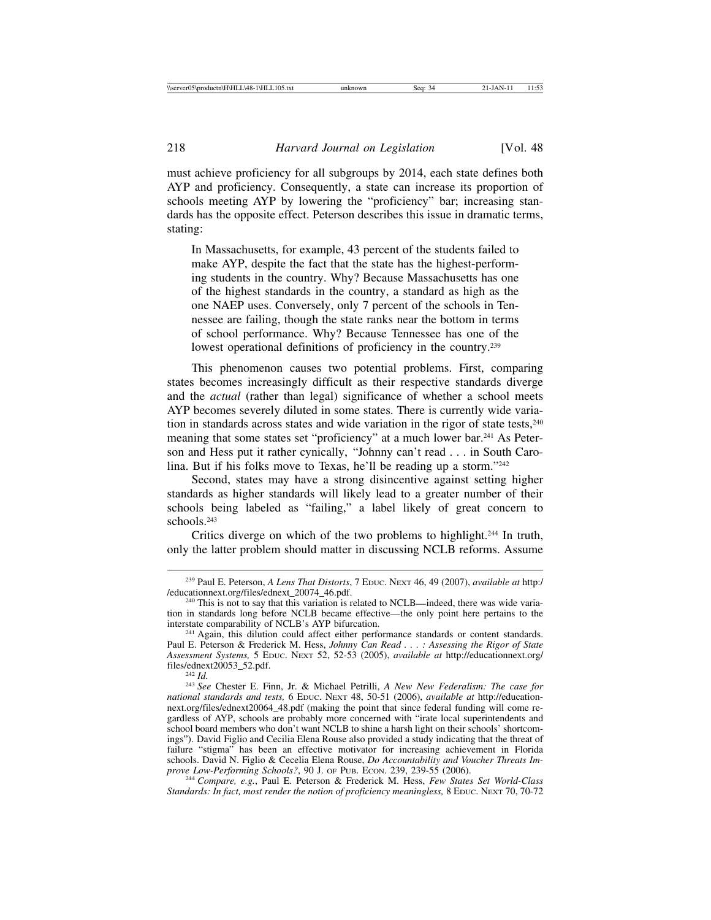must achieve proficiency for all subgroups by 2014, each state defines both AYP and proficiency. Consequently, a state can increase its proportion of schools meeting AYP by lowering the "proficiency" bar; increasing standards has the opposite effect. Peterson describes this issue in dramatic terms, stating:

In Massachusetts, for example, 43 percent of the students failed to make AYP, despite the fact that the state has the highest-performing students in the country. Why? Because Massachusetts has one of the highest standards in the country, a standard as high as the one NAEP uses. Conversely, only 7 percent of the schools in Tennessee are failing, though the state ranks near the bottom in terms of school performance. Why? Because Tennessee has one of the lowest operational definitions of proficiency in the country.<sup>239</sup>

This phenomenon causes two potential problems. First, comparing states becomes increasingly difficult as their respective standards diverge and the *actual* (rather than legal) significance of whether a school meets AYP becomes severely diluted in some states. There is currently wide variation in standards across states and wide variation in the rigor of state tests, $240$ meaning that some states set "proficiency" at a much lower bar.241 As Peterson and Hess put it rather cynically, "Johnny can't read . . . in South Carolina. But if his folks move to Texas, he'll be reading up a storm."242

Second, states may have a strong disincentive against setting higher standards as higher standards will likely lead to a greater number of their schools being labeled as "failing," a label likely of great concern to schools.243

Critics diverge on which of the two problems to highlight.244 In truth, only the latter problem should matter in discussing NCLB reforms. Assume

<sup>242</sup> *Id.* <sup>242</sup> *Id.* <sup>243</sup> *See* Chester E. Finn, Jr. & Michael Petrilli, *A New New Federalism: The case for national standards and tests,* 6 EDUC. NEXT 48, 50-51 (2006), *available at* http://educationnext.org/files/ednext20064\_48.pdf (making the point that since federal funding will come regardless of AYP, schools are probably more concerned with "irate local superintendents and school board members who don't want NCLB to shine a harsh light on their schools' shortcomings"). David Figlio and Cecilia Elena Rouse also provided a study indicating that the threat of failure "stigma" has been an effective motivator for increasing achievement in Florida schools. David N. Figlio & Cecelia Elena Rouse, *Do Accountability and Voucher Threats Im-*<br>prove Low-Performing Schools?, 90 J. OF PUB. ECON. 239, 239-55 (2006).

<sup>244</sup> Compare, e.g., Paul E. Peterson & Frederick M. Hess, *Few States Set World-Class Standards: In fact, most render the notion of proficiency meaningless,* 8 EDUC. NEXT 70, 70-72

<sup>239</sup> Paul E. Peterson, *A Lens That Distorts*, 7 EDUC. NEXT 46, 49 (2007), *available at* http:/

 $^{240}$  This is not to say that this variation is related to NCLB—indeed, there was wide variation in standards long before NCLB became effective—the only point here pertains to the interstate comparability of NCLB's AYP bifurcation.

<sup>&</sup>lt;sup>241</sup> Again, this dilution could affect either performance standards or content standards. Paul E. Peterson & Frederick M. Hess, *Johnny Can Read . . . : Assessing the Rigor of State Assessment Systems,* 5 EDUC. NEXT 52, 52-53 (2005), *available at* http://educationnext.org/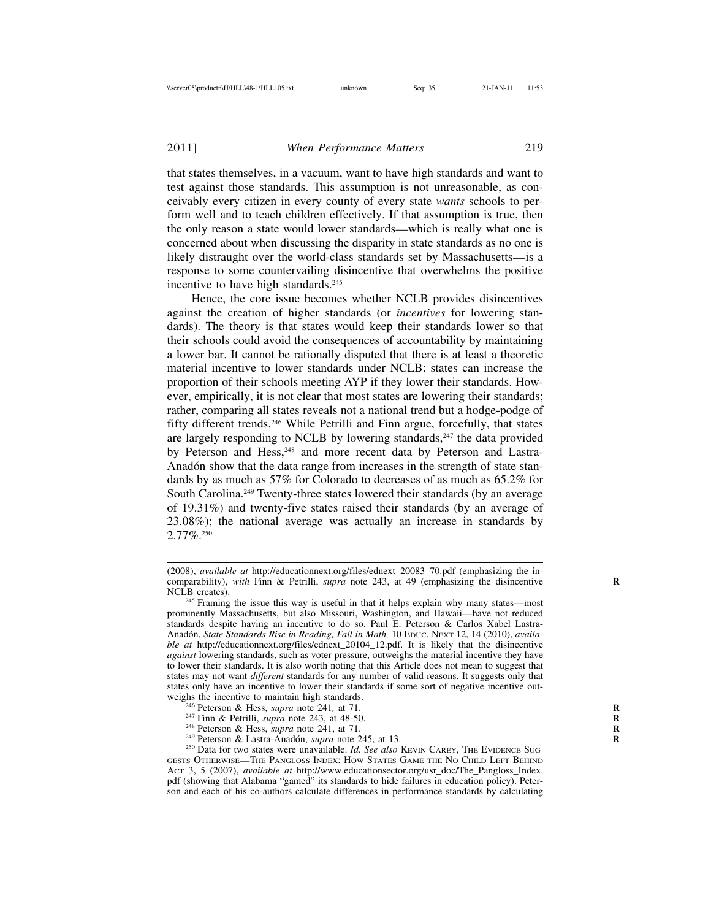that states themselves, in a vacuum, want to have high standards and want to test against those standards. This assumption is not unreasonable, as conceivably every citizen in every county of every state *wants* schools to perform well and to teach children effectively. If that assumption is true, then the only reason a state would lower standards—which is really what one is concerned about when discussing the disparity in state standards as no one is likely distraught over the world-class standards set by Massachusetts—is a response to some countervailing disincentive that overwhelms the positive incentive to have high standards.<sup>245</sup>

Hence, the core issue becomes whether NCLB provides disincentives against the creation of higher standards (or *incentives* for lowering standards). The theory is that states would keep their standards lower so that their schools could avoid the consequences of accountability by maintaining a lower bar. It cannot be rationally disputed that there is at least a theoretic material incentive to lower standards under NCLB: states can increase the proportion of their schools meeting AYP if they lower their standards. However, empirically, it is not clear that most states are lowering their standards; rather, comparing all states reveals not a national trend but a hodge-podge of fifty different trends.246 While Petrilli and Finn argue, forcefully, that states are largely responding to NCLB by lowering standards, $247$  the data provided by Peterson and Hess,<sup>248</sup> and more recent data by Peterson and Lastra-Anadón show that the data range from increases in the strength of state standards by as much as 57% for Colorado to decreases of as much as 65.2% for South Carolina.249 Twenty-three states lowered their standards (by an average of 19.31%) and twenty-five states raised their standards (by an average of 23.08%); the national average was actually an increase in standards by 2.77%.250

- 
- 
- 
- 

<sup>246</sup> Peterson & Hess, *supra* note 241, at 71.<br><sup>247</sup> Finn & Petrilli, *supra* note 243, at 48-50.<br><sup>248</sup> Peterson & Hess, *supra* note 241, at 71.<br><sup>249</sup> Peterson & Lastra-Anadón, *supra* note 245, at 13.<br><sup>250</sup> Data for tw GESTS OTHERWISE—THE PANGLOSS INDEX: HOW STATES GAME THE NO CHILD LEFT BEHIND ACT 3, 5 (2007), *available at* http://www.educationsector.org/usr\_doc/The\_Pangloss\_Index. pdf (showing that Alabama "gamed" its standards to hide failures in education policy). Peterson and each of his co-authors calculate differences in performance standards by calculating

<sup>(2008),</sup> *available at* http://educationnext.org/files/ednext\_20083\_70.pdf (emphasizing the incomparability), with Finn & Petrilli, *supra* note 243, at 49 (emphasizing the disincentive NCLB creates). <sup>245</sup> Framing the issue this way is useful in that it helps explain why many states—most

prominently Massachusetts, but also Missouri, Washington, and Hawaii—have not reduced standards despite having an incentive to do so. Paul E. Peterson & Carlos Xabel Lastra-Anadón, *State Standards Rise in Reading, Fall in Math, 10 EDUC*. NEXT 12, 14 (2010), *available at* http://educationnext.org/files/ednext\_20104\_12.pdf. It is likely that the disincentive *against* lowering standards, such as voter pressure, outweighs the material incentive they have to lower their standards. It is also worth noting that this Article does not mean to suggest that states may not want *different* standards for any number of valid reasons. It suggests only that states only have an incentive to lower their standards if some sort of negative incentive out-<br>weighs the incentive to maintain high standards.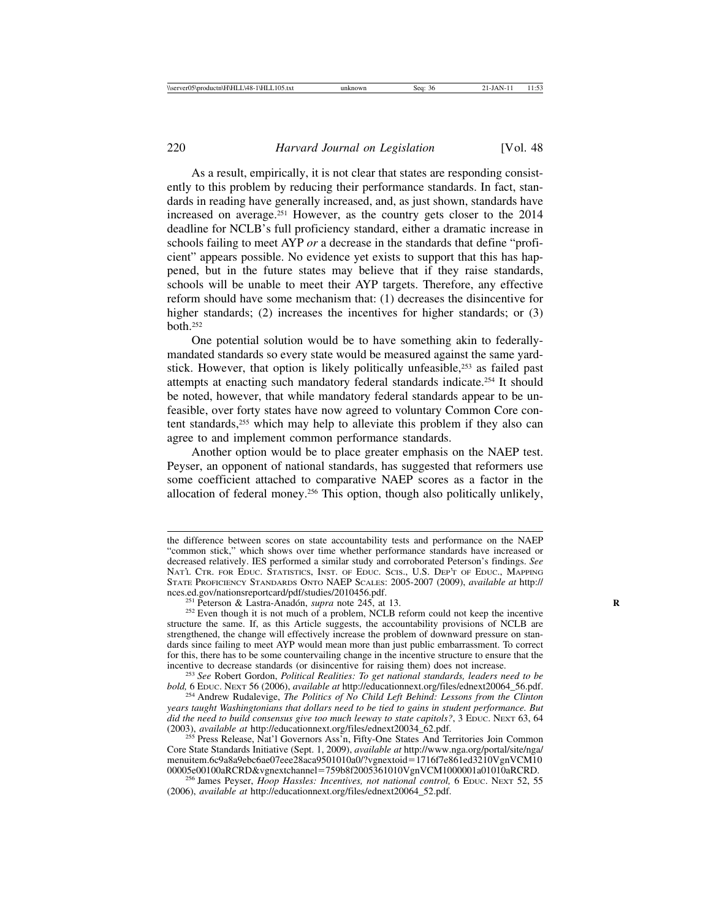As a result, empirically, it is not clear that states are responding consistently to this problem by reducing their performance standards. In fact, standards in reading have generally increased, and, as just shown, standards have increased on average.251 However, as the country gets closer to the 2014 deadline for NCLB's full proficiency standard, either a dramatic increase in schools failing to meet AYP *or* a decrease in the standards that define "proficient" appears possible. No evidence yet exists to support that this has happened, but in the future states may believe that if they raise standards, schools will be unable to meet their AYP targets. Therefore, any effective reform should have some mechanism that: (1) decreases the disincentive for higher standards; (2) increases the incentives for higher standards; or (3) both.252

One potential solution would be to have something akin to federallymandated standards so every state would be measured against the same yardstick. However, that option is likely politically unfeasible,<sup>253</sup> as failed past attempts at enacting such mandatory federal standards indicate.254 It should be noted, however, that while mandatory federal standards appear to be unfeasible, over forty states have now agreed to voluntary Common Core content standards,<sup>255</sup> which may help to alleviate this problem if they also can agree to and implement common performance standards.

Another option would be to place greater emphasis on the NAEP test. Peyser, an opponent of national standards, has suggested that reformers use some coefficient attached to comparative NAEP scores as a factor in the allocation of federal money.256 This option, though also politically unlikely,

the difference between scores on state accountability tests and performance on the NAEP "common stick," which shows over time whether performance standards have increased or decreased relatively. IES performed a similar study and corroborated Peterson's findings. *See* NAT'L CTR. FOR EDUC. STATISTICS, INST. OF EDUC. SCIS., U.S. DEP'T OF EDUC., MAPPING STATE PROFICIENCY STANDARDS ONTO NAEP SCALES: 2005-2007 (2009), *available at* http://

<sup>&</sup>lt;sup>251</sup> Peterson & Lastra-Anadón, *supra* note 245, at 13. <sup>252</sup> Even though it is not much of a problem, NCLB reform could not keep the incentive structure the same. If, as this Article suggests, the accountability provisions of NCLB are strengthened, the change will effectively increase the problem of downward pressure on standards since failing to meet AYP would mean more than just public embarrassment. To correct for this, there has to be some countervailing change in the incentive structure to ensure that the incentive to decrease standards (or disincentive for raising them) does not increase.

<sup>&</sup>lt;sup>253</sup> See Robert Gordon, *Political Realities: To get national standards, leaders need to be bold,* 6 Ebuc. Next 56 (2006), *available at http://educationnext.org/files/ednext20064\_56.pdf.* 

<sup>&</sup>lt;sup>254</sup> Andrew Rudalevige, *The Politics of No Child Left Behind: Lessons from the Clinton years taught Washingtonians that dollars need to be tied to gains in student performance. But did the need to build consensus give too much leeway to state capitols?*, 3 EDUC. NEXT 63, 64 (2003), *available at http://educationnext.org/files/ednext20034\_62.pdf.* 

<sup>&</sup>lt;sup>255</sup> Press Release, Nat'l Governors Ass'n, Fifty-One States And Territories Join Common Core State Standards Initiative (Sept. 1, 2009), *available at* http://www.nga.org/portal/site/nga/ menuitem.6c9a8a9ebc6ae07eee28aca9501010a0/?vgnextoid=1716f7e861ed3210VgnVCM10<br>00005e00100aRCRD&vgnextchannel=759b8f2005361010VgnVCM1000001a01010aRCRD.

<sup>&</sup>lt;sup>256</sup> James Peyser, *Hoop Hassles: Incentives, not national control*, 6 EDUC. NEXT 52, 55 (2006), *available at* http://educationnext.org/files/ednext20064\_52.pdf.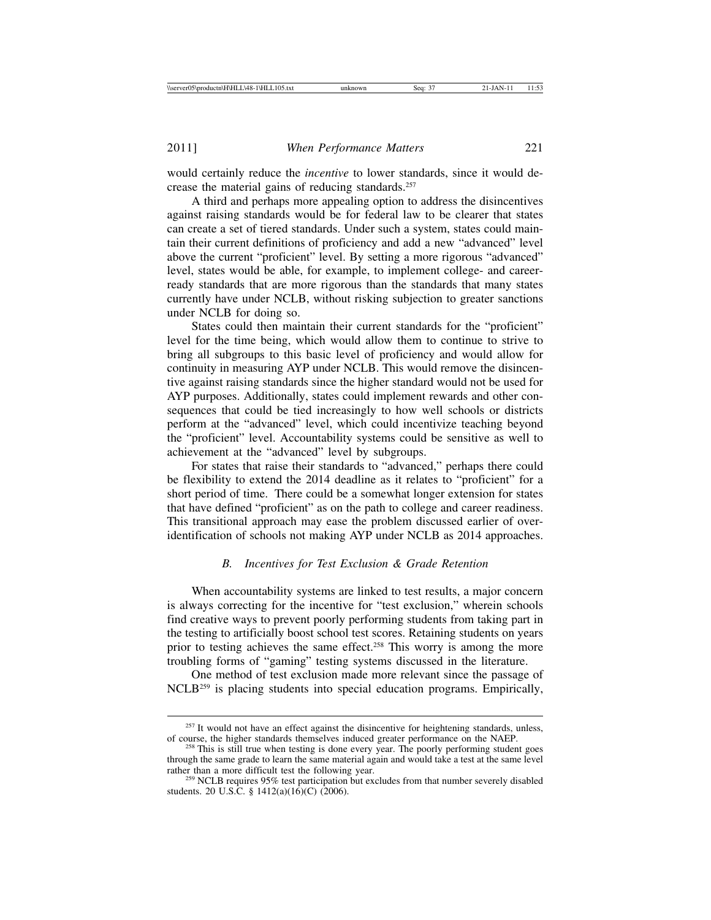would certainly reduce the *incentive* to lower standards, since it would decrease the material gains of reducing standards.<sup>257</sup>

A third and perhaps more appealing option to address the disincentives against raising standards would be for federal law to be clearer that states can create a set of tiered standards. Under such a system, states could maintain their current definitions of proficiency and add a new "advanced" level above the current "proficient" level. By setting a more rigorous "advanced" level, states would be able, for example, to implement college- and careerready standards that are more rigorous than the standards that many states currently have under NCLB, without risking subjection to greater sanctions under NCLB for doing so.

States could then maintain their current standards for the "proficient" level for the time being, which would allow them to continue to strive to bring all subgroups to this basic level of proficiency and would allow for continuity in measuring AYP under NCLB. This would remove the disincentive against raising standards since the higher standard would not be used for AYP purposes. Additionally, states could implement rewards and other consequences that could be tied increasingly to how well schools or districts perform at the "advanced" level, which could incentivize teaching beyond the "proficient" level. Accountability systems could be sensitive as well to achievement at the "advanced" level by subgroups.

For states that raise their standards to "advanced," perhaps there could be flexibility to extend the 2014 deadline as it relates to "proficient" for a short period of time. There could be a somewhat longer extension for states that have defined "proficient" as on the path to college and career readiness. This transitional approach may ease the problem discussed earlier of overidentification of schools not making AYP under NCLB as 2014 approaches.

#### *B. Incentives for Test Exclusion & Grade Retention*

When accountability systems are linked to test results, a major concern is always correcting for the incentive for "test exclusion," wherein schools find creative ways to prevent poorly performing students from taking part in the testing to artificially boost school test scores. Retaining students on years prior to testing achieves the same effect.258 This worry is among the more troubling forms of "gaming" testing systems discussed in the literature.

One method of test exclusion made more relevant since the passage of NCLB259 is placing students into special education programs. Empirically,

 $257$  It would not have an effect against the disincentive for heightening standards, unless, of course, the higher standards themselves induced greater performance on the NAEP.

<sup>&</sup>lt;sup>258</sup> This is still true when testing is done every year. The poorly performing student goes through the same grade to learn the same material again and would take a test at the same level rather than a more difficult test the following year.<br><sup>259</sup> NCLB requires 95% test participation but excludes from that number severely disabled

students. 20 U.S.C. § 1412(a)(16)(C) (2006).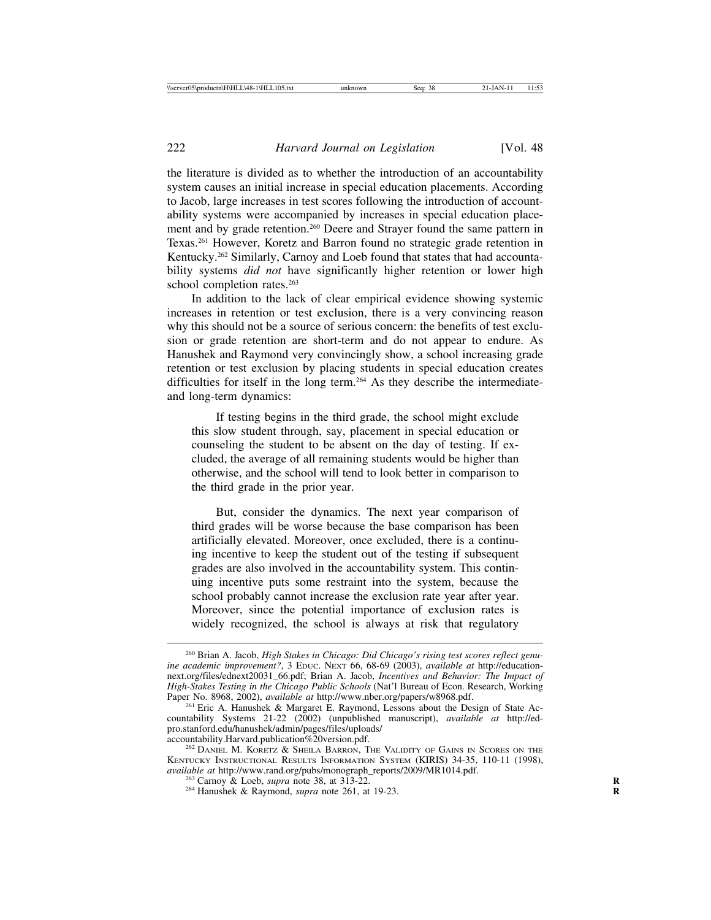the literature is divided as to whether the introduction of an accountability system causes an initial increase in special education placements. According to Jacob, large increases in test scores following the introduction of accountability systems were accompanied by increases in special education placement and by grade retention.260 Deere and Strayer found the same pattern in Texas.261 However, Koretz and Barron found no strategic grade retention in Kentucky.262 Similarly, Carnoy and Loeb found that states that had accountability systems *did not* have significantly higher retention or lower high school completion rates.<sup>263</sup>

In addition to the lack of clear empirical evidence showing systemic increases in retention or test exclusion, there is a very convincing reason why this should not be a source of serious concern: the benefits of test exclusion or grade retention are short-term and do not appear to endure. As Hanushek and Raymond very convincingly show, a school increasing grade retention or test exclusion by placing students in special education creates difficulties for itself in the long term.264 As they describe the intermediateand long-term dynamics:

If testing begins in the third grade, the school might exclude this slow student through, say, placement in special education or counseling the student to be absent on the day of testing. If excluded, the average of all remaining students would be higher than otherwise, and the school will tend to look better in comparison to the third grade in the prior year.

But, consider the dynamics. The next year comparison of third grades will be worse because the base comparison has been artificially elevated. Moreover, once excluded, there is a continuing incentive to keep the student out of the testing if subsequent grades are also involved in the accountability system. This continuing incentive puts some restraint into the system, because the school probably cannot increase the exclusion rate year after year. Moreover, since the potential importance of exclusion rates is widely recognized, the school is always at risk that regulatory

<sup>260</sup> Brian A. Jacob, *High Stakes in Chicago: Did Chicago's rising test scores reflect genuine academic improvement?*, 3 EDUC. NEXT 66, 68-69 (2003), *available at* http://educationnext.org/files/ednext20031\_66.pdf; Brian A. Jacob, *Incentives and Behavior: The Impact of High-Stakes Testing in the Chicago Public Schools* (Nat'l Bureau of Econ. Research, Working Paper No. 8968, 2002), *available at http://www.nber.org/papers/w8968.pdf.* 

Paper No. 8968, 2002), *available at* http://www.nber.org/papers/w8968.pdf. <sup>261</sup> Eric A. Hanushek & Margaret E. Raymond, Lessons about the Design of State Accountability Systems 21-22 (2002) (unpublished manuscript), *available at* http://edpro.stanford.edu/hanushek/admin/pages/files/uploads/

 $262$  DANIEL M. KORETZ  $\&$  SHEILA BARRON, THE VALIDITY OF GAINS IN SCORES ON THE KENTUCKY INSTRUCTIONAL RESULTS INFORMATION SYSTEM (KIRIS) 34-35, 110-11 (1998), *available at* http://www.rand.org/pubs/monograph\_reports/2009/MR1014.pdf. <sup>263</sup> Carnoy & Loeb, *supra* note 38, at 313-22. <sup>264</sup> Hanushek & Raymond, *supra* note 261, at 19-23.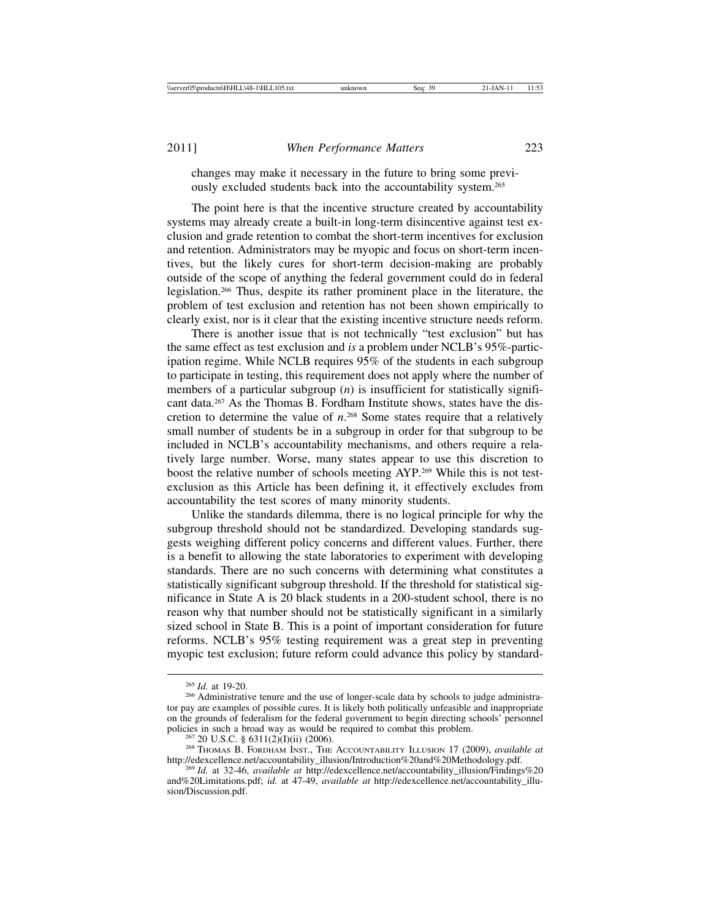changes may make it necessary in the future to bring some previously excluded students back into the accountability system.<sup>265</sup>

The point here is that the incentive structure created by accountability systems may already create a built-in long-term disincentive against test exclusion and grade retention to combat the short-term incentives for exclusion and retention. Administrators may be myopic and focus on short-term incentives, but the likely cures for short-term decision-making are probably outside of the scope of anything the federal government could do in federal legislation.266 Thus, despite its rather prominent place in the literature, the problem of test exclusion and retention has not been shown empirically to clearly exist, nor is it clear that the existing incentive structure needs reform.

There is another issue that is not technically "test exclusion" but has the same effect as test exclusion and *is* a problem under NCLB's 95%-participation regime. While NCLB requires 95% of the students in each subgroup to participate in testing, this requirement does not apply where the number of members of a particular subgroup (*n*) is insufficient for statistically significant data.267 As the Thomas B. Fordham Institute shows, states have the discretion to determine the value of *n*. 268 Some states require that a relatively small number of students be in a subgroup in order for that subgroup to be included in NCLB's accountability mechanisms, and others require a relatively large number. Worse, many states appear to use this discretion to boost the relative number of schools meeting AYP.269 While this is not testexclusion as this Article has been defining it, it effectively excludes from accountability the test scores of many minority students.

Unlike the standards dilemma, there is no logical principle for why the subgroup threshold should not be standardized. Developing standards suggests weighing different policy concerns and different values. Further, there is a benefit to allowing the state laboratories to experiment with developing standards. There are no such concerns with determining what constitutes a statistically significant subgroup threshold. If the threshold for statistical significance in State A is 20 black students in a 200-student school, there is no reason why that number should not be statistically significant in a similarly sized school in State B. This is a point of important consideration for future reforms. NCLB's 95% testing requirement was a great step in preventing myopic test exclusion; future reform could advance this policy by standard-

<sup>&</sup>lt;sup>265</sup> *Id.* at 19-20.<br><sup>266</sup> Administrative tenure and the use of longer-scale data by schools to judge administrator pay are examples of possible cures. It is likely both politically unfeasible and inappropriate on the grounds of federalism for the federal government to begin directing schools' personnel

<sup>&</sup>lt;sup>267</sup> 20 U.S.C. § 6311(2)(I)(ii) (2006).<br><sup>268</sup> THOMAS B. FORDHAM INST., THE ACCOUNTABILITY ILLUSION 17 (2009), *available at*<br>http://edexcellence.net/accountability\_illusion/Introduction%20and%20Methodology.pdf.

<sup>&</sup>lt;sup>269</sup> *Id.* at 32-46, *available at* http://edexcellence.net/accountability\_illusion/Findings%20 and%20Limitations.pdf; *id.* at 47-49, *available at* http://edexcellence.net/accountability\_illusion/Discussion.pdf.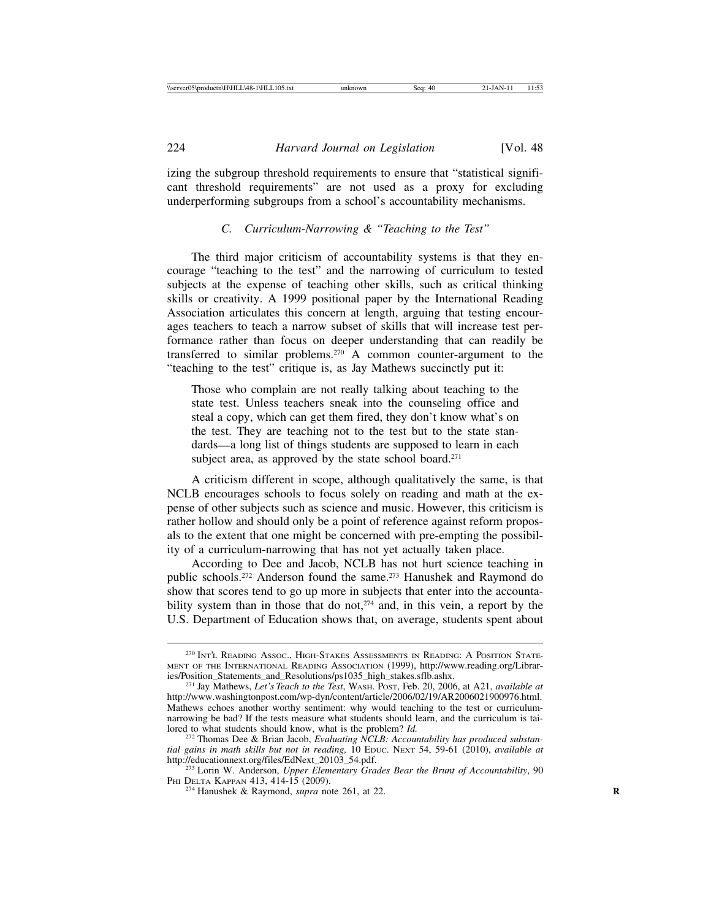izing the subgroup threshold requirements to ensure that "statistical significant threshold requirements" are not used as a proxy for excluding underperforming subgroups from a school's accountability mechanisms.

#### *C. Curriculum-Narrowing & "Teaching to the Test"*

The third major criticism of accountability systems is that they encourage "teaching to the test" and the narrowing of curriculum to tested subjects at the expense of teaching other skills, such as critical thinking skills or creativity. A 1999 positional paper by the International Reading Association articulates this concern at length, arguing that testing encourages teachers to teach a narrow subset of skills that will increase test performance rather than focus on deeper understanding that can readily be transferred to similar problems.270 A common counter-argument to the "teaching to the test" critique is, as Jay Mathews succinctly put it:

Those who complain are not really talking about teaching to the state test. Unless teachers sneak into the counseling office and steal a copy, which can get them fired, they don't know what's on the test. They are teaching not to the test but to the state standards—a long list of things students are supposed to learn in each subject area, as approved by the state school board.<sup>271</sup>

A criticism different in scope, although qualitatively the same, is that NCLB encourages schools to focus solely on reading and math at the expense of other subjects such as science and music. However, this criticism is rather hollow and should only be a point of reference against reform proposals to the extent that one might be concerned with pre-empting the possibility of a curriculum-narrowing that has not yet actually taken place.

According to Dee and Jacob, NCLB has not hurt science teaching in public schools.272 Anderson found the same.273 Hanushek and Raymond do show that scores tend to go up more in subjects that enter into the accountability system than in those that do not, $274$  and, in this vein, a report by the U.S. Department of Education shows that, on average, students spent about

<sup>270</sup> INT'L READING ASSOC., HIGH-STAKES ASSESSMENTS IN READING: A POSITION STATE-MENT OF THE INTERNATIONAL READING ASSOCIATION (1999), http://www.reading.org/Librar-<br>ies/Position\_Statements\_and\_Resolutions/ps1035\_high\_stakes.sflb.ashx.

<sup>&</sup>lt;sup>271</sup> Jay Mathews, *Let's Teach to the Test*, WASH. POST, Feb. 20, 2006, at A21, *available at* http://www.washingtonpost.com/wp-dyn/content/article/2006/02/19/AR2006021900976.html. Mathews echoes another worthy sentiment: why would teaching to the test or curriculumnarrowing be bad? If the tests measure what students should learn, and the curriculum is tai-<br>lored to what students should know, what is the problem?  $Id$ .

<sup>&</sup>lt;sup>272</sup> Thomas Dee & Brian Jacob, *Evaluating NCLB: Accountability has produced substantial gains in math skills but not in reading,* 10 EDUC. NEXT 54, 59-61 (2010), *available at*

<sup>&</sup>lt;sup>273</sup> Lorin W. Anderson, *Upper Elementary Grades Bear the Brunt of Accountability*, 90 PHI DELTA KAPPAN 413, 414-15 (2009).

<sup>&</sup>lt;sup>274</sup> Hanushek & Raymond, *supra* note 261, at 22.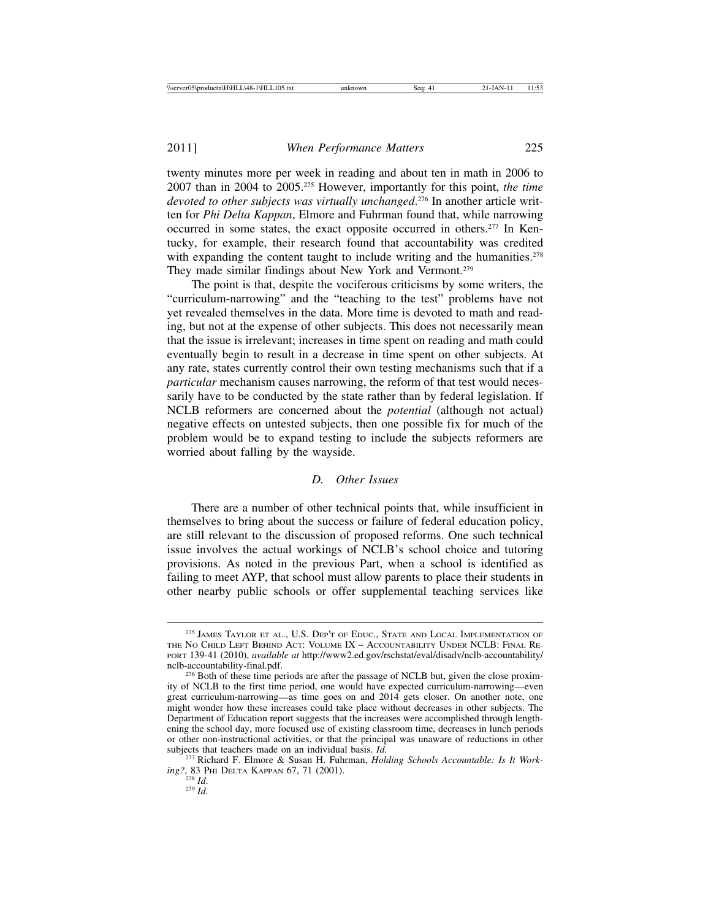twenty minutes more per week in reading and about ten in math in 2006 to 2007 than in 2004 to 2005.275 However, importantly for this point, *the time devoted to other subjects was virtually unchanged*. 276 In another article written for *Phi Delta Kappan*, Elmore and Fuhrman found that, while narrowing occurred in some states, the exact opposite occurred in others.277 In Kentucky, for example, their research found that accountability was credited with expanding the content taught to include writing and the humanities.<sup>278</sup> They made similar findings about New York and Vermont.<sup>279</sup>

The point is that, despite the vociferous criticisms by some writers, the "curriculum-narrowing" and the "teaching to the test" problems have not yet revealed themselves in the data. More time is devoted to math and reading, but not at the expense of other subjects. This does not necessarily mean that the issue is irrelevant; increases in time spent on reading and math could eventually begin to result in a decrease in time spent on other subjects. At any rate, states currently control their own testing mechanisms such that if a *particular* mechanism causes narrowing, the reform of that test would necessarily have to be conducted by the state rather than by federal legislation. If NCLB reformers are concerned about the *potential* (although not actual) negative effects on untested subjects, then one possible fix for much of the problem would be to expand testing to include the subjects reformers are worried about falling by the wayside.

#### *D. Other Issues*

There are a number of other technical points that, while insufficient in themselves to bring about the success or failure of federal education policy, are still relevant to the discussion of proposed reforms. One such technical issue involves the actual workings of NCLB's school choice and tutoring provisions. As noted in the previous Part, when a school is identified as failing to meet AYP, that school must allow parents to place their students in other nearby public schools or offer supplemental teaching services like

<sup>&</sup>lt;sup>275</sup> JAMES TAYLOR ET AL., U.S. DEP'T OF EDUC., STATE AND LOCAL IMPLEMENTATION OF THE NO CHILD LEFT BEHIND ACT: VOLUME IX – ACCOUNTABILITY UNDER NCLB: FINAL RE-PORT 139-41 (2010), *available at* http://www2.ed.gov/rschstat/eval/disadv/nclb-accountability/

<sup>&</sup>lt;sup>276</sup> Both of these time periods are after the passage of NCLB but, given the close proximity of NCLB to the first time period, one would have expected curriculum-narrowing—even great curriculum-narrowing—as time goes on and 2014 gets closer. On another note, one might wonder how these increases could take place without decreases in other subjects. The Department of Education report suggests that the increases were accomplished through lengthening the school day, more focused use of existing classroom time, decreases in lunch periods or other non-instructional activities, or that the principal was unaware of reductions in other subjects that teachers made on an individual basis. *Id*.

<sup>&</sup>lt;sup>277</sup> Richard F. Elmore & Susan H. Fuhrman, *Holding Schools Accountable: Is It Working?*, 83 PHI DELTA KAPPAN 67, 71 (2001). <sup>278</sup> *Id*. <sup>279</sup> *Id*.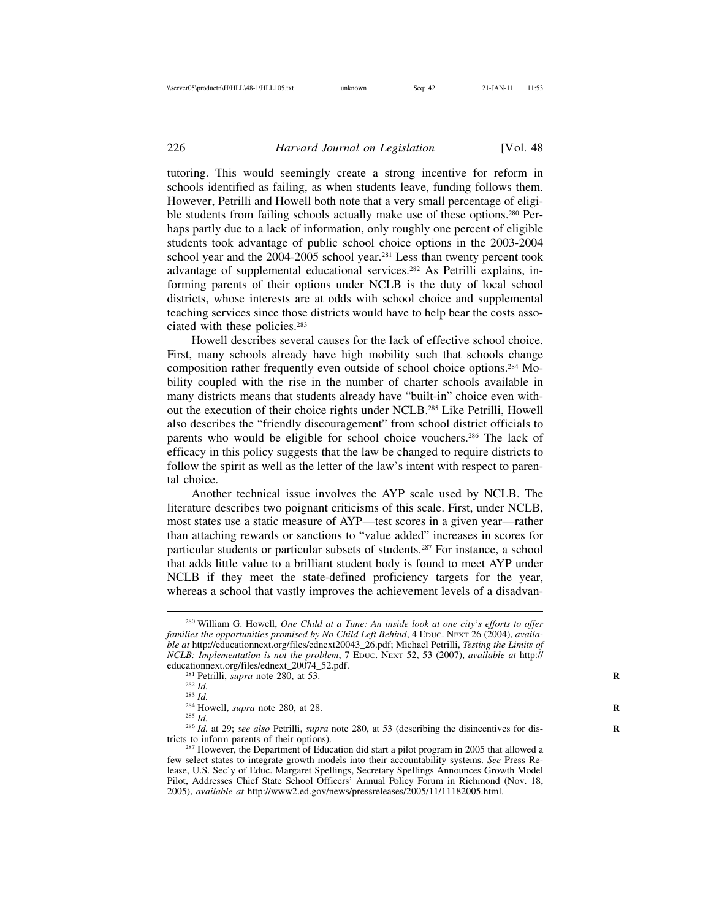tutoring. This would seemingly create a strong incentive for reform in schools identified as failing, as when students leave, funding follows them. However, Petrilli and Howell both note that a very small percentage of eligible students from failing schools actually make use of these options.<sup>280</sup> Perhaps partly due to a lack of information, only roughly one percent of eligible students took advantage of public school choice options in the 2003-2004 school year and the 2004-2005 school year.<sup>281</sup> Less than twenty percent took advantage of supplemental educational services.282 As Petrilli explains, informing parents of their options under NCLB is the duty of local school districts, whose interests are at odds with school choice and supplemental teaching services since those districts would have to help bear the costs associated with these policies.283

Howell describes several causes for the lack of effective school choice. First, many schools already have high mobility such that schools change composition rather frequently even outside of school choice options.284 Mobility coupled with the rise in the number of charter schools available in many districts means that students already have "built-in" choice even without the execution of their choice rights under NCLB.285 Like Petrilli, Howell also describes the "friendly discouragement" from school district officials to parents who would be eligible for school choice vouchers.286 The lack of efficacy in this policy suggests that the law be changed to require districts to follow the spirit as well as the letter of the law's intent with respect to parental choice.

Another technical issue involves the AYP scale used by NCLB. The literature describes two poignant criticisms of this scale. First, under NCLB, most states use a static measure of AYP—test scores in a given year—rather than attaching rewards or sanctions to "value added" increases in scores for particular students or particular subsets of students.287 For instance, a school that adds little value to a brilliant student body is found to meet AYP under NCLB if they meet the state-defined proficiency targets for the year, whereas a school that vastly improves the achievement levels of a disadvan-

<sup>280</sup> William G. Howell, *One Child at a Time: An inside look at one city's efforts to offer* families the opportunities promised by No Child Left Behind, 4 EDUC. NEXT 26 (2004), *available at* http://educationnext.org/files/ednext20043\_26.pdf; Michael Petrilli, *Testing the Limits of NCLB: Implementation is not the problem*, 7 EDUC. NEXT 52, 53 (2007), *available at http://* educationnext.org/files/ednext\_20074\_52.pdf.

<sup>&</sup>lt;sup>281</sup> Petrilli, *supra* note 280, at 53.<br><sup>282</sup> *Id.*<br><sup>283</sup> *Id.*<br><sup>284</sup> Howell, *supra* note 280, at 28.<br><sup>285</sup> *Id.*<br><sup>286</sup> *Id.* at 29; *see also* Petrilli, *supra* note 280, at 53 (describing the disincentives for distric

<sup>&</sup>lt;sup>287</sup> However, the Department of Education did start a pilot program in 2005 that allowed a few select states to integrate growth models into their accountability systems. *See* Press Release, U.S. Sec'y of Educ. Margaret Spellings, Secretary Spellings Announces Growth Model Pilot, Addresses Chief State School Officers' Annual Policy Forum in Richmond (Nov. 18, 2005), *available at* http://www2.ed.gov/news/pressreleases/2005/11/11182005.html.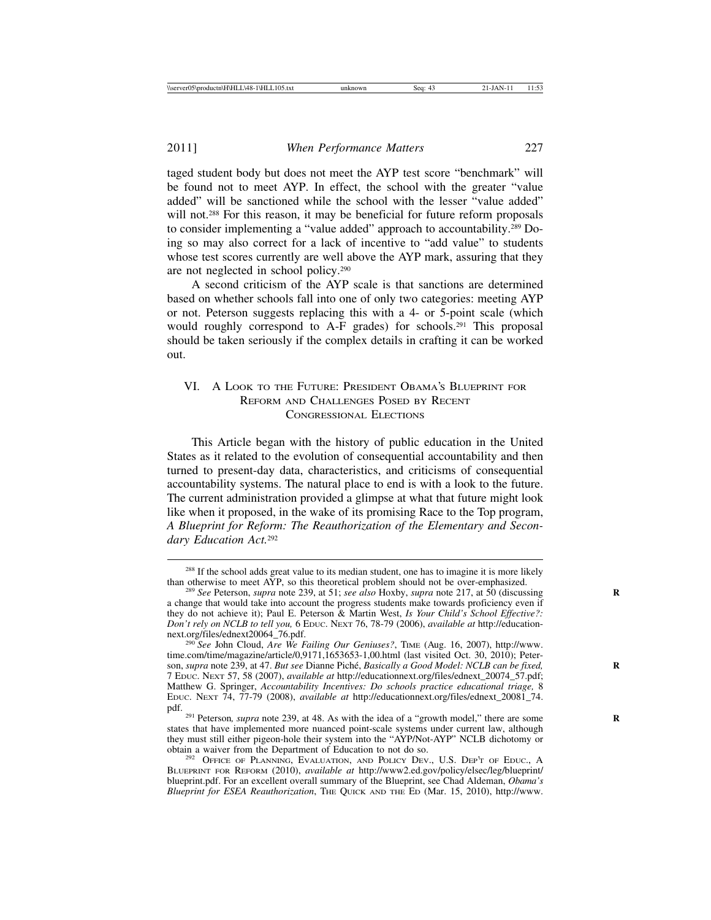taged student body but does not meet the AYP test score "benchmark" will be found not to meet AYP. In effect, the school with the greater "value added" will be sanctioned while the school with the lesser "value added" will not.<sup>288</sup> For this reason, it may be beneficial for future reform proposals to consider implementing a "value added" approach to accountability.289 Doing so may also correct for a lack of incentive to "add value" to students whose test scores currently are well above the AYP mark, assuring that they are not neglected in school policy.290

A second criticism of the AYP scale is that sanctions are determined based on whether schools fall into one of only two categories: meeting AYP or not. Peterson suggests replacing this with a 4- or 5-point scale (which would roughly correspond to A-F grades) for schools.<sup>291</sup> This proposal should be taken seriously if the complex details in crafting it can be worked out.

#### VI. A LOOK TO THE FUTURE: PRESIDENT OBAMA'S BLUEPRINT FOR REFORM AND CHALLENGES POSED BY RECENT CONGRESSIONAL ELECTIONS

This Article began with the history of public education in the United States as it related to the evolution of consequential accountability and then turned to present-day data, characteristics, and criticisms of consequential accountability systems. The natural place to end is with a look to the future. The current administration provided a glimpse at what that future might look like when it proposed, in the wake of its promising Race to the Top program, *A Blueprint for Reform: The Reauthorization of the Elementary and Secondary Education Act.*<sup>292</sup>

 $288$  If the school adds great value to its median student, one has to imagine it is more likely than otherwise to meet AYP, so this theoretical problem should not be over-emphasized.

<sup>&</sup>lt;sup>289</sup> See Peterson, *supra* note 239, at 51; *see also* Hoxby, *supra* note 217, at 50 (discussing a change that would take into account the progress students make towards proficiency even if they do not achieve it); Paul E. Peterson & Martin West, *Is Your Child's School Effective?: Don't rely on NCLB to tell you,* 6 EDUC. NEXT 76, 78-79 (2006), *available at* http://education-

<sup>&</sup>lt;sup>290</sup> See John Cloud, *Are We Failing Our Geniuses?*, TIME (Aug. 16, 2007), http://www. time.com/time/magazine/article/0,9171,1653653-1,00.html (last visited Oct. 30, 2010); Peterson, *supra* note 239, at 47. *But see* Dianne Pich´e, *Basically a Good Model: NCLB can be fixed,* **R** 7 EDUC. NEXT 57, 58 (2007), *available at* http://educationnext.org/files/ednext\_20074\_57.pdf; Matthew G. Springer, *Accountability Incentives: Do schools practice educational triage,* 8 EDUC. NEXT 74, 77-79 (2008), *available at* http://educationnext.org/files/ednext\_20081\_74.

<sup>&</sup>lt;sup>291</sup> Peterson, *supra* note 239, at 48. As with the idea of a "growth model," there are some states that have implemented more nuanced point-scale systems under current law, although they must still either pigeon-hole their system into the "AYP/Not-AYP" NCLB dichotomy or obtain a waiver from the Department of Education to not do so.

<sup>&</sup>lt;sup>292</sup> OFFICE OF PLANNING, EVALUATION, AND POLICY DEV., U.S. DEP'T OF EDUC., A BLUEPRINT FOR REFORM (2010), *available at* http://www2.ed.gov/policy/elsec/leg/blueprint/ blueprint.pdf. For an excellent overall summary of the Blueprint, see Chad Aldeman, *Obama's Blueprint for ESEA Reauthorization*, THE QUICK AND THE ED (Mar. 15, 2010), http://www.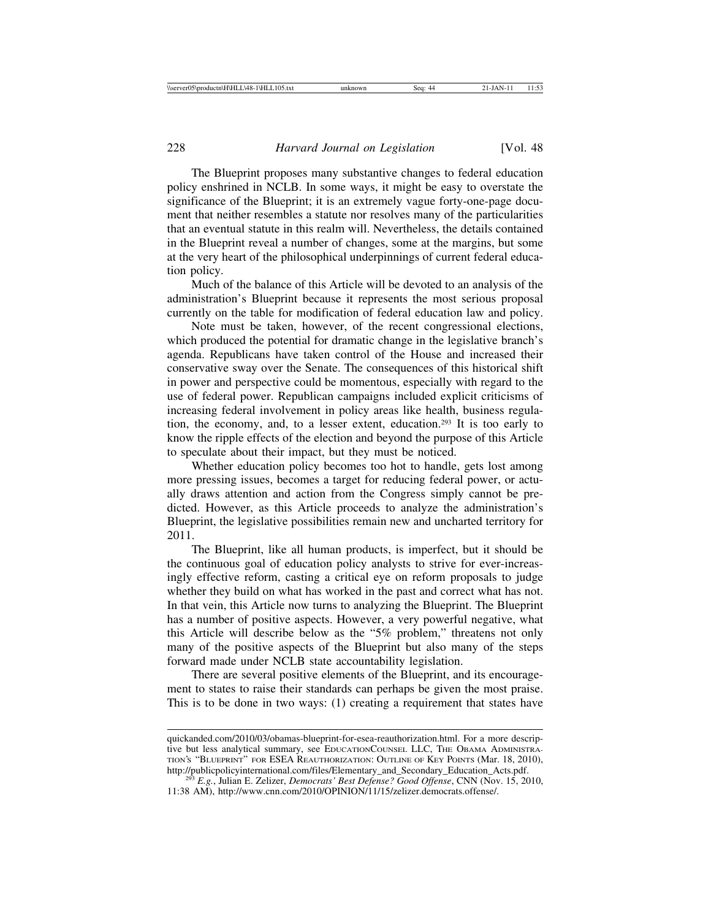The Blueprint proposes many substantive changes to federal education policy enshrined in NCLB. In some ways, it might be easy to overstate the significance of the Blueprint; it is an extremely vague forty-one-page document that neither resembles a statute nor resolves many of the particularities that an eventual statute in this realm will. Nevertheless, the details contained in the Blueprint reveal a number of changes, some at the margins, but some at the very heart of the philosophical underpinnings of current federal education policy.

Much of the balance of this Article will be devoted to an analysis of the administration's Blueprint because it represents the most serious proposal currently on the table for modification of federal education law and policy.

Note must be taken, however, of the recent congressional elections, which produced the potential for dramatic change in the legislative branch's agenda. Republicans have taken control of the House and increased their conservative sway over the Senate. The consequences of this historical shift in power and perspective could be momentous, especially with regard to the use of federal power. Republican campaigns included explicit criticisms of increasing federal involvement in policy areas like health, business regulation, the economy, and, to a lesser extent, education.293 It is too early to know the ripple effects of the election and beyond the purpose of this Article to speculate about their impact, but they must be noticed.

Whether education policy becomes too hot to handle, gets lost among more pressing issues, becomes a target for reducing federal power, or actually draws attention and action from the Congress simply cannot be predicted. However, as this Article proceeds to analyze the administration's Blueprint, the legislative possibilities remain new and uncharted territory for 2011.

The Blueprint, like all human products, is imperfect, but it should be the continuous goal of education policy analysts to strive for ever-increasingly effective reform, casting a critical eye on reform proposals to judge whether they build on what has worked in the past and correct what has not. In that vein, this Article now turns to analyzing the Blueprint. The Blueprint has a number of positive aspects. However, a very powerful negative, what this Article will describe below as the "5% problem," threatens not only many of the positive aspects of the Blueprint but also many of the steps forward made under NCLB state accountability legislation.

There are several positive elements of the Blueprint, and its encouragement to states to raise their standards can perhaps be given the most praise. This is to be done in two ways: (1) creating a requirement that states have

quickanded.com/2010/03/obamas-blueprint-for-esea-reauthorization.html. For a more descriptive but less analytical summary, see EDUCATIONCOUNSEL LLC, THE OBAMA ADMINISTRA-TION'S "BLUEPRINT" FOR ESEA REAUTHORIZATION: OUTLINE OF KEY POINTS (Mar. 18, 2010),

<sup>&</sup>lt;sup>293</sup> E.g., Julian E. Zelizer, *Democrats' Best Defense? Good Offense*, CNN (Nov. 15, 2010, 11:38 AM), http://www.cnn.com/2010/OPINION/11/15/zelizer.democrats.offense/.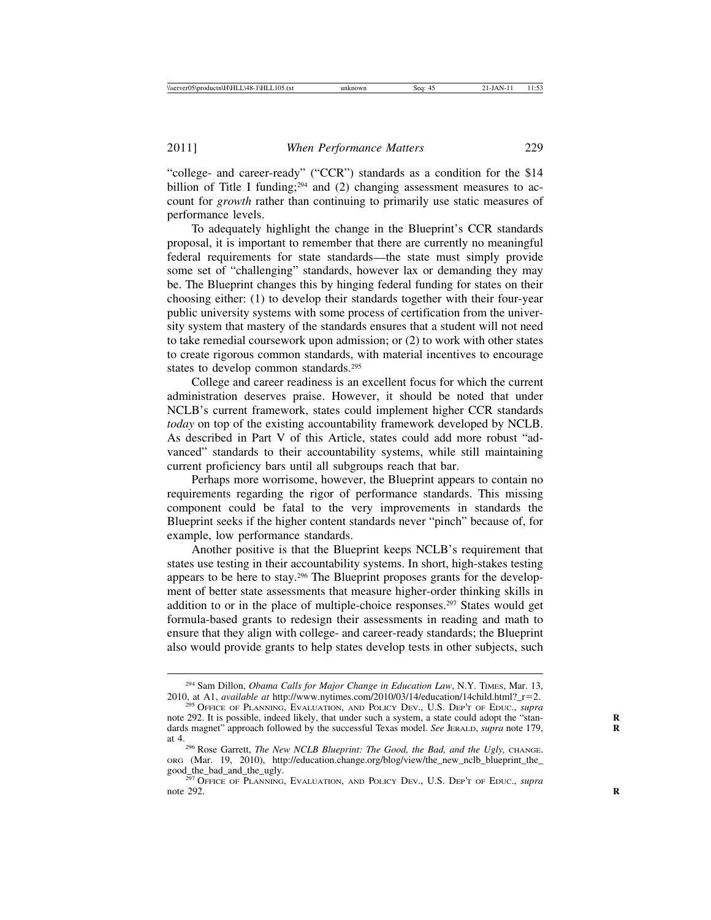"college- and career-ready" ("CCR") standards as a condition for the \$14 billion of Title I funding;<sup>294</sup> and (2) changing assessment measures to account for *growth* rather than continuing to primarily use static measures of performance levels.

To adequately highlight the change in the Blueprint's CCR standards proposal, it is important to remember that there are currently no meaningful federal requirements for state standards—the state must simply provide some set of "challenging" standards, however lax or demanding they may be. The Blueprint changes this by hinging federal funding for states on their choosing either: (1) to develop their standards together with their four-year public university systems with some process of certification from the university system that mastery of the standards ensures that a student will not need to take remedial coursework upon admission; or (2) to work with other states to create rigorous common standards, with material incentives to encourage states to develop common standards.<sup>295</sup>

College and career readiness is an excellent focus for which the current administration deserves praise. However, it should be noted that under NCLB's current framework, states could implement higher CCR standards *today* on top of the existing accountability framework developed by NCLB. As described in Part V of this Article, states could add more robust "advanced" standards to their accountability systems, while still maintaining current proficiency bars until all subgroups reach that bar.

Perhaps more worrisome, however, the Blueprint appears to contain no requirements regarding the rigor of performance standards. This missing component could be fatal to the very improvements in standards the Blueprint seeks if the higher content standards never "pinch" because of, for example, low performance standards.

Another positive is that the Blueprint keeps NCLB's requirement that states use testing in their accountability systems. In short, high-stakes testing appears to be here to stay.296 The Blueprint proposes grants for the development of better state assessments that measure higher-order thinking skills in addition to or in the place of multiple-choice responses.297 States would get formula-based grants to redesign their assessments in reading and math to ensure that they align with college- and career-ready standards; the Blueprint also would provide grants to help states develop tests in other subjects, such

<sup>&</sup>lt;sup>294</sup> Sam Dillon, *Obama Calls for Major Change in Education Law*, N.Y. TIMES, Mar. 13, 2010, at A1, *available at http://www.nytimes.com/2010/03/14/education/14child.html?\_r=2.* 

<sup>&</sup>lt;sup>295</sup> OFFICE OF PLANNING, EVALUATION, AND POLICY DEV., U.S. DEP'T OF EDUC., *supra* note 292. It is possible, indeed likely, that under such a system, a state could adopt the "stan- **R** dards magnet" approach followed by the successful Texas model. *See JERALD, supra* note 179,

at 4.296 Rose Garrett, *The New NCLB Blueprint: The Good, the Bad, and the Ugly,* CHANGE. ORG (Mar. 19, 2010), http://education.change.org/blog/view/the\_new\_nclb\_blueprint\_the\_

<sup>&</sup>lt;sup>297</sup> OFFICE OF PLANNING, EVALUATION, AND POLICY DEV., U.S. DEP'T OF EDUC., *supra* note 292. note 292.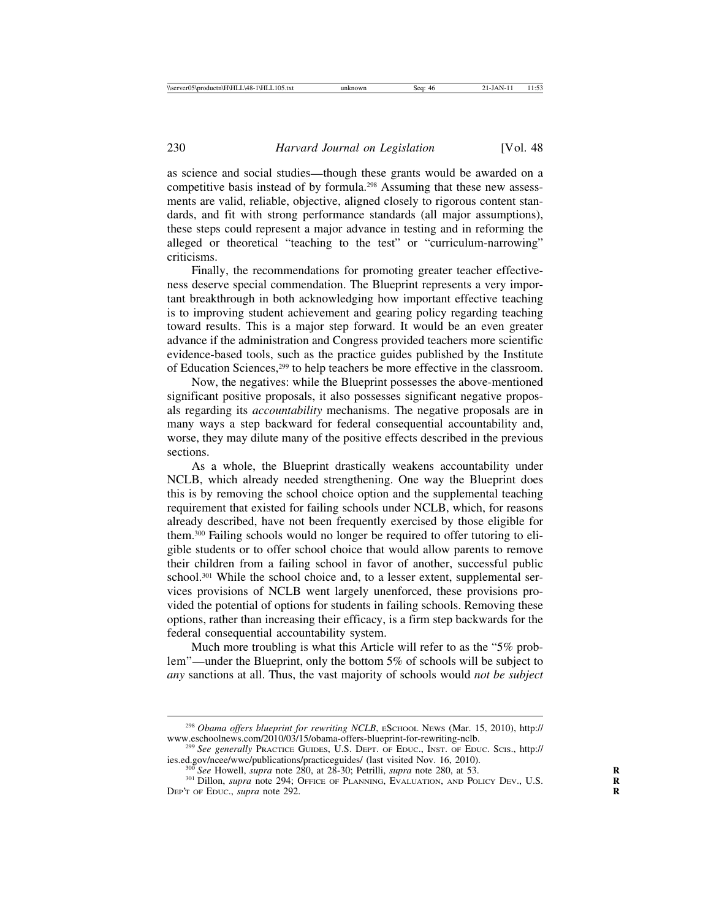as science and social studies—though these grants would be awarded on a competitive basis instead of by formula.<sup>298</sup> Assuming that these new assessments are valid, reliable, objective, aligned closely to rigorous content standards, and fit with strong performance standards (all major assumptions), these steps could represent a major advance in testing and in reforming the alleged or theoretical "teaching to the test" or "curriculum-narrowing" criticisms.

Finally, the recommendations for promoting greater teacher effectiveness deserve special commendation. The Blueprint represents a very important breakthrough in both acknowledging how important effective teaching is to improving student achievement and gearing policy regarding teaching toward results. This is a major step forward. It would be an even greater advance if the administration and Congress provided teachers more scientific evidence-based tools, such as the practice guides published by the Institute of Education Sciences,299 to help teachers be more effective in the classroom.

Now, the negatives: while the Blueprint possesses the above-mentioned significant positive proposals, it also possesses significant negative proposals regarding its *accountability* mechanisms. The negative proposals are in many ways a step backward for federal consequential accountability and, worse, they may dilute many of the positive effects described in the previous sections.

As a whole, the Blueprint drastically weakens accountability under NCLB, which already needed strengthening. One way the Blueprint does this is by removing the school choice option and the supplemental teaching requirement that existed for failing schools under NCLB, which, for reasons already described, have not been frequently exercised by those eligible for them.300 Failing schools would no longer be required to offer tutoring to eligible students or to offer school choice that would allow parents to remove their children from a failing school in favor of another, successful public school.<sup>301</sup> While the school choice and, to a lesser extent, supplemental services provisions of NCLB went largely unenforced, these provisions provided the potential of options for students in failing schools. Removing these options, rather than increasing their efficacy, is a firm step backwards for the federal consequential accountability system.

Much more troubling is what this Article will refer to as the "5% problem"—under the Blueprint, only the bottom 5% of schools will be subject to *any* sanctions at all. Thus, the vast majority of schools would *not be subject*

<sup>&</sup>lt;sup>298</sup> *Obama offers blueprint for rewriting NCLB*, ESCHOOL NEws (Mar. 15, 2010), http://<br>www.eschoolnews.com/2010/03/15/obama-offers-blueprint-for-rewriting-nclb.

<sup>&</sup>lt;sup>299</sup> See generally Practice Guides, U.S. Dept. of Educ., Inst. of Educ. Scis., http://<br>ies.ed.gov/ncee/www./publications/practiceguides/ (last visited Nov. 16, 2010).

<sup>&</sup>lt;sup>300</sup> See Howell, *supra* note 280, at 28-30; Petrilli, *supra* note 280, at 53.<br><sup>301</sup> Dillon, *supra* note 294; OFFICE OF PLANNING, EVALUATION, AND POLICY DEV., U.S. DEP'T OF EDUC., *supra* note 292. **R**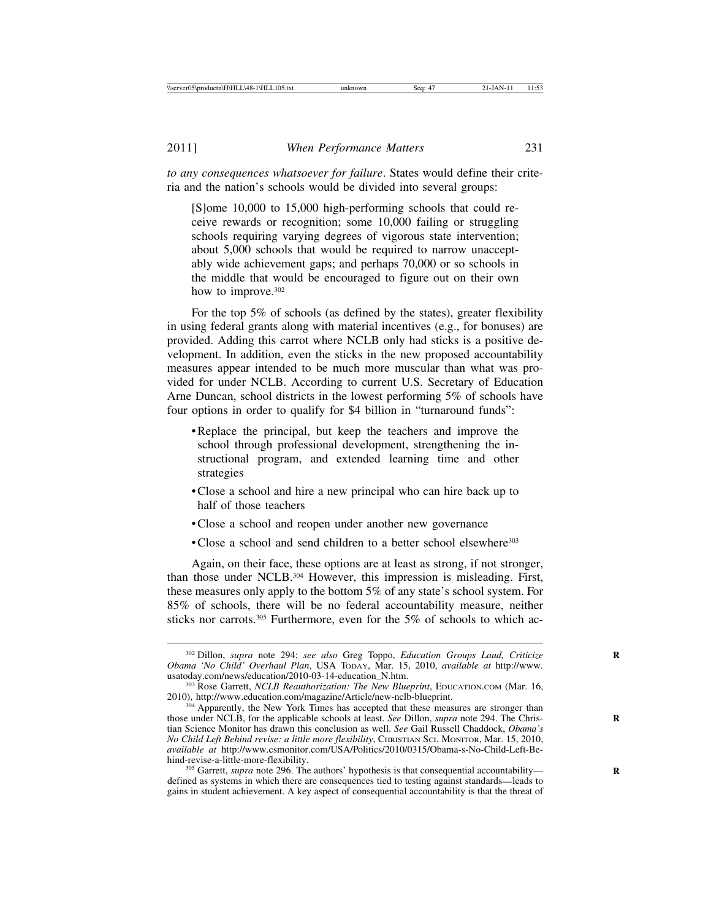*to any consequences whatsoever for failure*. States would define their criteria and the nation's schools would be divided into several groups:

[S]ome 10,000 to 15,000 high-performing schools that could receive rewards or recognition; some 10,000 failing or struggling schools requiring varying degrees of vigorous state intervention; about 5,000 schools that would be required to narrow unacceptably wide achievement gaps; and perhaps 70,000 or so schools in the middle that would be encouraged to figure out on their own how to improve.<sup>302</sup>

For the top 5% of schools (as defined by the states), greater flexibility in using federal grants along with material incentives (e.g., for bonuses) are provided. Adding this carrot where NCLB only had sticks is a positive development. In addition, even the sticks in the new proposed accountability measures appear intended to be much more muscular than what was provided for under NCLB. According to current U.S. Secretary of Education Arne Duncan, school districts in the lowest performing 5% of schools have four options in order to qualify for \$4 billion in "turnaround funds":

- Replace the principal, but keep the teachers and improve the school through professional development, strengthening the instructional program, and extended learning time and other strategies
- Close a school and hire a new principal who can hire back up to half of those teachers
- Close a school and reopen under another new governance
- Close a school and send children to a better school elsewhere<sup>303</sup>

Again, on their face, these options are at least as strong, if not stronger, than those under NCLB.304 However, this impression is misleading. First, these measures only apply to the bottom 5% of any state's school system. For 85% of schools, there will be no federal accountability measure, neither sticks nor carrots.305 Furthermore, even for the 5% of schools to which ac-

<sup>&</sup>lt;sup>302</sup> Dillon, *supra* note 294; *see also* Greg Toppo, *Education Groups Laud, Criticize Obama 'No Child' Overhaul Plan*, USA TODAY, Mar. 15, 2010, *available at* http://www.

<sup>&</sup>lt;sup>303</sup> Rose Garrett, *NCLB Reauthorization: The New Blueprint*, EDUCATION.COM (Mar. 16, 2010), http://www.education.com/magazine/Article/new-nclb-blueprint.

<sup>&</sup>lt;sup>304</sup> Apparently, the New York Times has accepted that these measures are stronger than those under NCLB, for the applicable schools at least. *See* Dillon, *supra* note 294. The Chris- **R** tian Science Monitor has drawn this conclusion as well. *See* Gail Russell Chaddock, *Obama's No Child Left Behind revise: a little more flexibility*, CHRISTIAN SCI. MONITOR, Mar. 15, 2010, *available at* http://www.csmonitor.com/USA/Politics/2010/0315/Obama-s-No-Child-Left-Be-

<sup>&</sup>lt;sup>305</sup> Garrett, *supra* note 296. The authors' hypothesis is that consequential accountability defined as systems in which there are consequences tied to testing against standards—leads to gains in student achievement. A key aspect of consequential accountability is that the threat of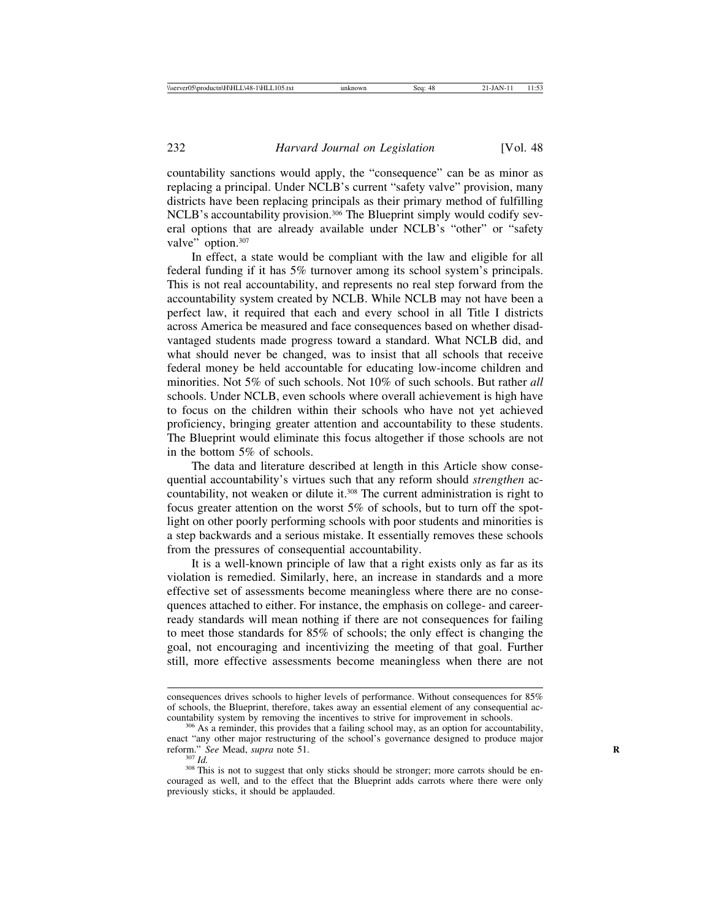countability sanctions would apply, the "consequence" can be as minor as replacing a principal. Under NCLB's current "safety valve" provision, many districts have been replacing principals as their primary method of fulfilling NCLB's accountability provision.<sup>306</sup> The Blueprint simply would codify several options that are already available under NCLB's "other" or "safety valve" option.<sup>307</sup>

In effect, a state would be compliant with the law and eligible for all federal funding if it has 5% turnover among its school system's principals. This is not real accountability, and represents no real step forward from the accountability system created by NCLB. While NCLB may not have been a perfect law, it required that each and every school in all Title I districts across America be measured and face consequences based on whether disadvantaged students made progress toward a standard. What NCLB did, and what should never be changed, was to insist that all schools that receive federal money be held accountable for educating low-income children and minorities. Not 5% of such schools. Not 10% of such schools. But rather *all* schools. Under NCLB, even schools where overall achievement is high have to focus on the children within their schools who have not yet achieved proficiency, bringing greater attention and accountability to these students. The Blueprint would eliminate this focus altogether if those schools are not in the bottom 5% of schools.

The data and literature described at length in this Article show consequential accountability's virtues such that any reform should *strengthen* accountability, not weaken or dilute it.<sup>308</sup> The current administration is right to focus greater attention on the worst 5% of schools, but to turn off the spotlight on other poorly performing schools with poor students and minorities is a step backwards and a serious mistake. It essentially removes these schools from the pressures of consequential accountability.

It is a well-known principle of law that a right exists only as far as its violation is remedied. Similarly, here, an increase in standards and a more effective set of assessments become meaningless where there are no consequences attached to either. For instance, the emphasis on college- and careerready standards will mean nothing if there are not consequences for failing to meet those standards for 85% of schools; the only effect is changing the goal, not encouraging and incentivizing the meeting of that goal. Further still, more effective assessments become meaningless when there are not

consequences drives schools to higher levels of performance. Without consequences for 85% of schools, the Blueprint, therefore, takes away an essential element of any consequential accountability system by removing the incentives to strive for improvement in schools.

 $\frac{306}{30}$  As a reminder, this provides that a failing school may, as an option for accountability, enact "any other major restructuring of the school's governance designed to produce major reform." See Mead, supra note 51.

<sup>&</sup>lt;sup>307</sup> *Id.* <sup>308</sup> *Inis* is not to suggest that only sticks should be stronger; more carrots should be en-<br><sup>308</sup> This is not to suggest that only sticks should be stronger; more carrots should be encouraged as well, and to the effect that the Blueprint adds carrots where there were only previously sticks, it should be applauded.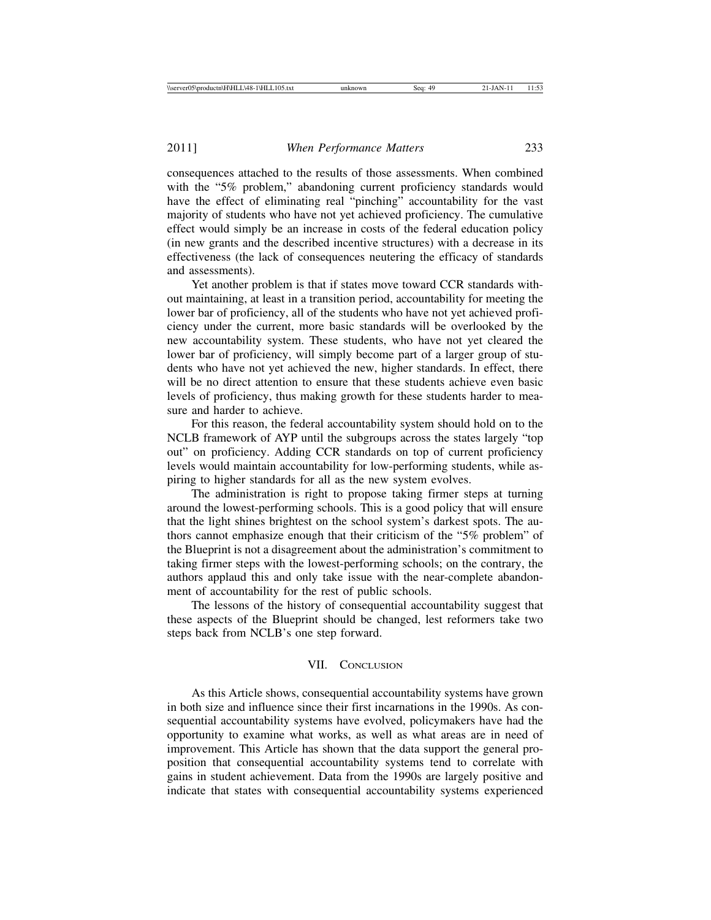consequences attached to the results of those assessments. When combined with the "5% problem," abandoning current proficiency standards would have the effect of eliminating real "pinching" accountability for the vast majority of students who have not yet achieved proficiency. The cumulative effect would simply be an increase in costs of the federal education policy (in new grants and the described incentive structures) with a decrease in its effectiveness (the lack of consequences neutering the efficacy of standards and assessments).

Yet another problem is that if states move toward CCR standards without maintaining, at least in a transition period, accountability for meeting the lower bar of proficiency, all of the students who have not yet achieved proficiency under the current, more basic standards will be overlooked by the new accountability system. These students, who have not yet cleared the lower bar of proficiency, will simply become part of a larger group of students who have not yet achieved the new, higher standards. In effect, there will be no direct attention to ensure that these students achieve even basic levels of proficiency, thus making growth for these students harder to measure and harder to achieve.

For this reason, the federal accountability system should hold on to the NCLB framework of AYP until the subgroups across the states largely "top out" on proficiency. Adding CCR standards on top of current proficiency levels would maintain accountability for low-performing students, while aspiring to higher standards for all as the new system evolves.

The administration is right to propose taking firmer steps at turning around the lowest-performing schools. This is a good policy that will ensure that the light shines brightest on the school system's darkest spots. The authors cannot emphasize enough that their criticism of the "5% problem" of the Blueprint is not a disagreement about the administration's commitment to taking firmer steps with the lowest-performing schools; on the contrary, the authors applaud this and only take issue with the near-complete abandonment of accountability for the rest of public schools.

The lessons of the history of consequential accountability suggest that these aspects of the Blueprint should be changed, lest reformers take two steps back from NCLB's one step forward.

#### VII. CONCLUSION

As this Article shows, consequential accountability systems have grown in both size and influence since their first incarnations in the 1990s. As consequential accountability systems have evolved, policymakers have had the opportunity to examine what works, as well as what areas are in need of improvement. This Article has shown that the data support the general proposition that consequential accountability systems tend to correlate with gains in student achievement. Data from the 1990s are largely positive and indicate that states with consequential accountability systems experienced